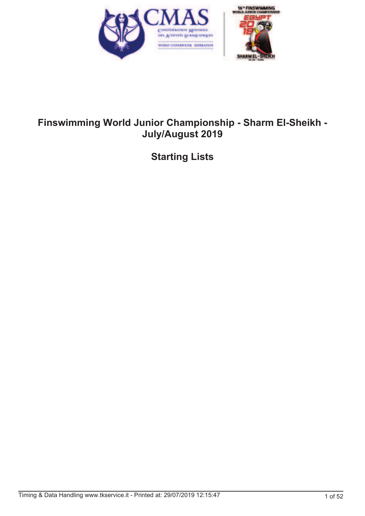

# **Finswimming World Junior Championship - Sharm El-Sheikh - July/August 2019**

**Starting Lists**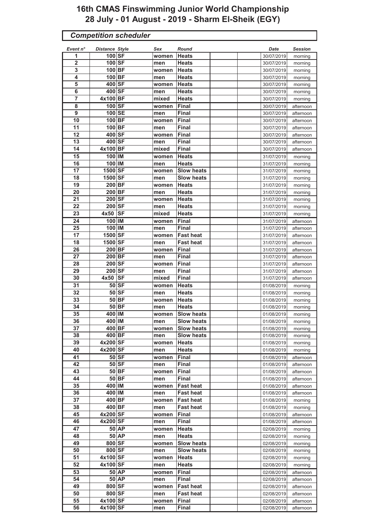# **16th CMAS Finswimming Junior World Championship 28 July - 01 August - 2019 - Sharm El-Sheik (EGY)**

| <b>Competition scheduler</b> |                       |              |       |                   |  |  |            |                |
|------------------------------|-----------------------|--------------|-------|-------------------|--|--|------------|----------------|
| Event n°                     | <b>Distance Style</b> |              | Sex   | Round             |  |  | Date       | <b>Session</b> |
| 1                            | 100 SF                |              | women | <b>Heats</b>      |  |  | 30/07/2019 | morning        |
| $\overline{2}$               | 100 SF                |              | men   | Heats             |  |  | 30/07/2019 | morning        |
| 3                            | 100 BF                |              | women | <b>Heats</b>      |  |  | 30/07/2019 | morning        |
| 4                            | 100 BF                |              | men   | <b>Heats</b>      |  |  | 30/07/2019 | morning        |
| 5                            | 400 SF                |              | women | <b>Heats</b>      |  |  | 30/07/2019 | morning        |
| 6                            | 400 SF                |              | men   | <b>Heats</b>      |  |  | 30/07/2019 | morning        |
| $\overline{7}$               | 4x100 BF              |              | mixed | <b>Heats</b>      |  |  | 30/07/2019 | morning        |
| 8                            | 100 SF                |              | women | <b>Final</b>      |  |  | 30/07/2019 | afternoon      |
| 9                            | 100 SE                |              | men   | <b>Final</b>      |  |  | 30/07/2019 | afternoon      |
| 10                           | 100 BF                |              | women | Final             |  |  | 30/07/2019 | afternoon      |
| 11                           | 100 BF                |              | men   | Final             |  |  | 30/07/2019 | afternoon      |
| 12                           | 400 SF                |              | women | <b>Final</b>      |  |  | 30/07/2019 | afternoon      |
| 13                           | 400 SF                |              | men   | <b>Final</b>      |  |  | 30/07/2019 | afternoon      |
| 14                           | 4x100 BF              |              | mixed | <b>Final</b>      |  |  | 30/07/2019 | afternoon      |
| 15                           | 100 IM                |              | women | <b>Heats</b>      |  |  | 31/07/2019 | morning        |
| 16                           | 100 IM                |              | men   | <b>Heats</b>      |  |  | 31/07/2019 | morning        |
| 17                           | 1500 SF               |              | women | <b>Slow heats</b> |  |  | 31/07/2019 | morning        |
| 18                           | 1500 SF               |              | men   | <b>Slow heats</b> |  |  | 31/07/2019 |                |
| 19                           | 200 BF                |              |       | <b>Heats</b>      |  |  |            | morning        |
| 20                           | 200 BF                |              | women | <b>Heats</b>      |  |  | 31/07/2019 | morning        |
|                              |                       |              | men   |                   |  |  | 31/07/2019 | morning        |
| 21                           | 200 SF                |              | women | <b>Heats</b>      |  |  | 31/07/2019 | morning        |
| 22                           | 200 SF                |              | men   | Heats             |  |  | 31/07/2019 | morning        |
| 23                           | 4x50                  | <b>SF</b>    | mixed | <b>Heats</b>      |  |  | 31/07/2019 | morning        |
| 24                           | 100 IM                |              | women | <b>Final</b>      |  |  | 31/07/2019 | afternoon      |
| 25                           | 100 IM                |              | men   | <b>Final</b>      |  |  | 31/07/2019 | afternoon      |
| 17                           | 1500 SF               |              | women | <b>Fast heat</b>  |  |  | 31/07/2019 | afternoon      |
| 18                           | 1500 SF               |              | men   | <b>Fast heat</b>  |  |  | 31/07/2019 | afternoon      |
| 26                           | 200 BF                |              | women | <b>Final</b>      |  |  | 31/07/2019 | afternoon      |
| 27                           | 200 BF                |              | men   | <b>Final</b>      |  |  | 31/07/2019 | afternoon      |
| 28                           | 200 SF                |              | women | <b>Final</b>      |  |  | 31/07/2019 | afternoon      |
| 29                           | 200 SF                |              | men   | Final             |  |  | 31/07/2019 | afternoon      |
| 30                           | 4x50                  | <b>SF</b>    | mixed | <b>Final</b>      |  |  | 31/07/2019 | afternoon      |
| $\overline{31}$              |                       | $50$ SF      | women | <b>Heats</b>      |  |  | 01/08/2019 | morning        |
| 32                           |                       | $50$ SF      | men   | <b>Heats</b>      |  |  | 01/08/2019 | morning        |
| 33                           |                       | 50 BF        | women | <b>Heats</b>      |  |  | 01/08/2019 | morning        |
| $\overline{34}$              |                       | $50$ BF      | men   | <b>Heats</b>      |  |  | 01/08/2019 | morning        |
| 35                           | 400 IM                |              | women | <b>Slow heats</b> |  |  | 01/08/2019 | morning        |
| 36                           | 400 IM                |              | men   | <b>Slow heats</b> |  |  | 01/08/2019 | morning        |
| 37                           | 400 BF                |              | women | <b>Slow heats</b> |  |  | 01/08/2019 | morning        |
| 38                           | 400 BF                |              | men   | <b>Slow heats</b> |  |  | 01/08/2019 | morning        |
| 39                           | 4x200 SF              |              | women | <b>Heats</b>      |  |  | 01/08/2019 | morning        |
| 40                           | 4x200 SF              |              | men   | <b>Heats</b>      |  |  | 01/08/2019 | morning        |
| 41                           |                       | $50$ SF      | women | <b>Final</b>      |  |  | 01/08/2019 | afternoon      |
| 42                           |                       | $50$ SF      | men   | <b>Final</b>      |  |  | 01/08/2019 | afternoon      |
| 43                           |                       | $50$ BF      | women | <b>Final</b>      |  |  | 01/08/2019 | afternoon      |
| 44                           |                       | 50 BF        | men   | <b>Final</b>      |  |  | 01/08/2019 | afternoon      |
| 35                           | 400 IM                |              | women | <b>Fast heat</b>  |  |  | 01/08/2019 | afternoon      |
| 36                           | 400 IM                |              | men   | <b>Fast heat</b>  |  |  | 01/08/2019 | afternoon      |
| 37                           | 400 BF                |              | women | <b>Fast heat</b>  |  |  | 01/08/2019 | morning        |
| 38                           | 400 BF                |              | men   | <b>Fast heat</b>  |  |  | 01/08/2019 | morning        |
| 45                           | 4x200 SF              |              | women | Final             |  |  | 01/08/2019 | afternoon      |
| 46                           | 4x200 SF              |              | men   | <b>Final</b>      |  |  | 01/08/2019 | afternoon      |
| 47                           |                       | 50 AP        | women | <b>Heats</b>      |  |  | 02/08/2019 | morning        |
| 48                           |                       | <b>50 AP</b> | men   | <b>Heats</b>      |  |  | 02/08/2019 | morning        |
| 49                           | 800 SF                |              | women | <b>Slow heats</b> |  |  | 02/08/2019 |                |
| 50                           | 800 SF                |              |       | <b>Slow heats</b> |  |  | 02/08/2019 | morning        |
| 51                           | 4x100 SF              |              | men   | <b>Heats</b>      |  |  |            | morning        |
| 52                           | 4x100 SF              |              | women |                   |  |  | 02/08/2019 | morning        |
|                              |                       |              | men   | <b>Heats</b>      |  |  | 02/08/2019 | morning        |
| 53                           |                       | 50 AP        | women | Final             |  |  | 02/08/2019 | afternoon      |
| 54                           |                       | 50 AP        | men   | <b>Final</b>      |  |  | 02/08/2019 | afternoon      |
| 49                           | 800 SF                |              | women | <b>Fast heat</b>  |  |  | 02/08/2019 | afternoon      |
| 50                           | 800 SF                |              | men   | <b>Fast heat</b>  |  |  | 02/08/2019 | afternoon      |
| 55                           | 4x100 SF              |              | women | <b>Final</b>      |  |  | 02/08/2019 | afternoon      |
| 56                           | 4x100 SF              |              | men   | <b>Final</b>      |  |  | 02/08/2019 | afternoon      |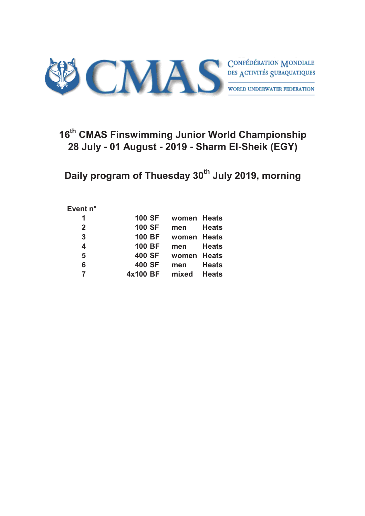

# **16th CMAS Finswimming Junior World Championship 28 July - 01 August - 2019 - Sharm El-Sheik (EGY)**

**Daily program of Thuesday 30th July 2019, morning**

#### **Event n°**

| 1              | <b>100 SF</b> | women Heats |              |
|----------------|---------------|-------------|--------------|
| $\overline{2}$ | <b>100 SF</b> | men         | <b>Heats</b> |
| 3              | <b>100 BF</b> | women       | <b>Heats</b> |
| 4              | <b>100 BF</b> | men         | <b>Heats</b> |
| 5              | 400 SF        | women       | <b>Heats</b> |
| 6              | 400 SF        | men         | <b>Heats</b> |
| 7              | 4x100 BF      | mixed       | <b>Heats</b> |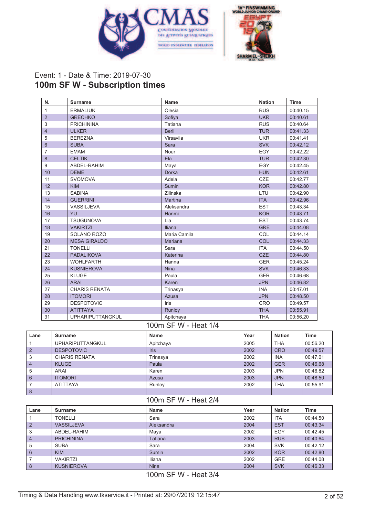



# Event: 1 - Date & Time: 2019-07-30 **100m SF W - Subscription times**

| N.             | <b>Surname</b>          | <b>Name</b>    | <b>Nation</b> | <b>Time</b> |
|----------------|-------------------------|----------------|---------------|-------------|
| $\mathbf{1}$   | <b>ERMALIUK</b>         | Olesia         | <b>RUS</b>    | 00:40.15    |
| $\overline{2}$ | <b>GRECHKO</b>          | Sofiya         | <b>UKR</b>    | 00:40.61    |
| 3              | <b>PRICHININA</b>       | Tatiana        | <b>RUS</b>    | 00:40.64    |
| $\overline{4}$ | <b>ULKER</b>            | <b>Beril</b>   | <b>TUR</b>    | 00:41.33    |
| 5              | <b>BEREZNA</b>          | Virsaviia      | <b>UKR</b>    | 00:41.41    |
| 6              | <b>SUBA</b>             | Sara           | <b>SVK</b>    | 00:42.12    |
| 7              | <b>EMAM</b>             | Nour           | EGY           | 00:42.22    |
| 8              | <b>CELTIK</b>           | Ela            | <b>TUR</b>    | 00:42.30    |
| 9              | ABDEL-RAHIM             | Maya           | EGY           | 00:42.45    |
| 10             | <b>DEME</b>             | Dorka          | <b>HUN</b>    | 00:42.61    |
| 11             | <b>SVOMOVA</b>          | Adela          | <b>CZE</b>    | 00:42.77    |
| 12             | <b>KIM</b>              | Sumin          | <b>KOR</b>    | 00:42.80    |
| 13             | <b>SABINA</b>           | Zilinska       | LTU           | 00:42.90    |
| 14             | <b>GUERRINI</b>         | <b>Martina</b> | <b>ITA</b>    | 00:42.96    |
| 15             | <b>VASSILJEVA</b>       | Aleksandra     | <b>EST</b>    | 00:43.34    |
| 16             | YU                      | Hanmi          | <b>KOR</b>    | 00:43.71    |
| 17             | <b>TSUGUNOVA</b>        | Lia            | <b>EST</b>    | 00:43.74    |
| 18             | <b>VAKIRTZI</b>         | <b>Iliana</b>  | <b>GRE</b>    | 00:44.08    |
| 19             | SOLANO ROZO             | Maria Camila   | COL           | 00:44.14    |
| 20             | <b>MESA GIRALDO</b>     | Mariana        | COL           | 00:44.33    |
| 21             | <b>TONELLI</b>          | Sara           | <b>ITA</b>    | 00:44.50    |
| 22             | <b>PADALIKOVA</b>       | Katerina       | <b>CZE</b>    | 00:44.80    |
| 23             | <b>WOHLFARTH</b>        | Hanna          | <b>GER</b>    | 00:45.24    |
| 24             | <b>KUSNIEROVA</b>       | <b>Nina</b>    | <b>SVK</b>    | 00:46.33    |
| 25             | <b>KLUGE</b>            | Paula          | <b>GER</b>    | 00:46.68    |
| 26             | <b>ARAI</b>             | Karen          | <b>JPN</b>    | 00:46.82    |
| 27             | <b>CHARIS RENATA</b>    | Trinasya       | <b>INA</b>    | 00:47.01    |
| 28             | <b>ITOMORI</b>          | Azusa          | <b>JPN</b>    | 00:48.50    |
| 29             | <b>DESPOTOVIC</b>       | Iris           | <b>CRO</b>    | 00:49.57    |
| 30             | <b>ATITTAYA</b>         | Runloy         | <b>THA</b>    | 00:55.91    |
| 31             | <b>UPHARIPUTTANGKUL</b> | Apitchaya      | <b>THA</b>    | 00:56.20    |

#### 100m SF W - Heat 1/4

| Lane           | <b>Surname</b>          | Name        | Year | <b>Nation</b> | <b>Time</b> |
|----------------|-------------------------|-------------|------|---------------|-------------|
|                | <b>UPHARIPUTTANGKUL</b> | Apitchaya   | 2005 | <b>THA</b>    | 00:56.20    |
| $\overline{2}$ | <b>DESPOTOVIC</b>       | <b>Iris</b> | 2002 | <b>CRO</b>    | 00:49.57    |
| 3              | <b>CHARIS RENATA</b>    | Trinasya    | 2002 | <b>INA</b>    | 00:47.01    |
| $\overline{4}$ | <b>KLUGE</b>            | Paula       | 2002 | <b>GER</b>    | 00:46.68    |
| 5              | ARAI                    | Karen       | 2003 | <b>JPN</b>    | 00:46.82    |
| 6              | <b>ITOMORI</b>          | Azusa       | 2003 | <b>JPN</b>    | 00:48.50    |
|                | <b>ATITTAYA</b>         | Runloy      | 2002 | <b>THA</b>    | 00:55.91    |
| 8              |                         |             |      |               |             |

#### 100m SF W - Heat 2/4

| Lane           | Surname           | <b>Name</b> | Year | <b>Nation</b> | Time     |
|----------------|-------------------|-------------|------|---------------|----------|
|                | <b>TONELLI</b>    | Sara        | 2002 | <b>ITA</b>    | 00:44.50 |
| $\overline{2}$ | <b>VASSILJEVA</b> | Aleksandra  | 2004 | <b>EST</b>    | 00:43.34 |
| 3              | ABDEL-RAHIM       | Maya        | 2002 | EGY           | 00:42.45 |
| $\overline{4}$ | <b>PRICHININA</b> | Tatiana     | 2003 | <b>RUS</b>    | 00:40.64 |
| 5              | <b>SUBA</b>       | Sara        | 2004 | <b>SVK</b>    | 00:42.12 |
| 6              | <b>KIM</b>        | Sumin       | 2002 | <b>KOR</b>    | 00:42.80 |
|                | <b>VAKIRTZI</b>   | Iliana      | 2002 | <b>GRE</b>    | 00:44.08 |
| 8              | <b>KUSNIEROVA</b> | <b>Nina</b> | 2004 | <b>SVK</b>    | 00:46.33 |

100m SF W - Heat 3/4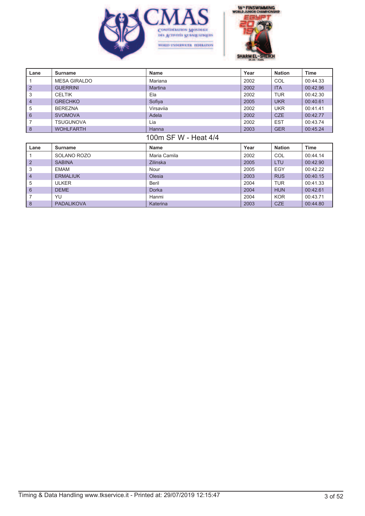



| Lane                 | <b>Surname</b>      | <b>Name</b>     | Year | <b>Nation</b> | <b>Time</b> |  |  |
|----------------------|---------------------|-----------------|------|---------------|-------------|--|--|
|                      | <b>MESA GIRALDO</b> | Mariana         | 2002 | COL           | 00:44.33    |  |  |
| $\overline{2}$       | <b>GUERRINI</b>     | <b>Martina</b>  | 2002 | <b>ITA</b>    | 00:42.96    |  |  |
| 3                    | <b>CELTIK</b>       | Ela             | 2002 | <b>TUR</b>    | 00:42.30    |  |  |
| 4                    | <b>GRECHKO</b>      | Sofiya          | 2005 | <b>UKR</b>    | 00:40.61    |  |  |
| 5                    | <b>BEREZNA</b>      | Virsavija       | 2002 | <b>UKR</b>    | 00:41.41    |  |  |
| $6\phantom{1}$       | <b>SVOMOVA</b>      | Adela           | 2002 | <b>CZE</b>    | 00:42.77    |  |  |
| 7                    | <b>TSUGUNOVA</b>    | Lia             | 2002 | <b>EST</b>    | 00:43.74    |  |  |
| $\boldsymbol{8}$     | <b>WOHLFARTH</b>    | Hanna           | 2003 | <b>GER</b>    | 00:45.24    |  |  |
| 100m SF W - Heat 4/4 |                     |                 |      |               |             |  |  |
| Lane                 | <b>Surname</b>      | <b>Name</b>     | Year | <b>Nation</b> | <b>Time</b> |  |  |
|                      | SOLANO ROZO         | Maria Camila    | 2002 | COL           | 00:44.14    |  |  |
| $\overline{2}$       | <b>SABINA</b>       | <b>Zilinska</b> | 2005 | <b>LTU</b>    | 00:42.90    |  |  |
| 3                    | <b>EMAM</b>         | Nour            | 2005 | <b>EGY</b>    | 00:42.22    |  |  |
| 4                    | <b>ERMALIUK</b>     | Olesia          | 2003 | <b>RUS</b>    | 00:40.15    |  |  |
| 5                    | <b>ULKER</b>        | Beril           | 2004 | <b>TUR</b>    | 00:41.33    |  |  |
| $6\phantom{1}$       | <b>DEME</b>         | Dorka           | 2004 | <b>HUN</b>    | 00:42.61    |  |  |
| 7                    | YU                  | Hanmi           | 2004 | <b>KOR</b>    | 00:43.71    |  |  |
| 8                    | <b>PADALIKOVA</b>   | Katerina        | 2003 | <b>CZE</b>    | 00:44.80    |  |  |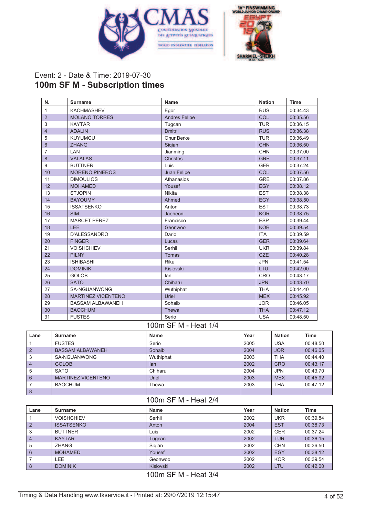



## Event: 2 - Date & Time: 2019-07-30 **100m SF M - Subscription times**

| N.             | <b>Surname</b>            | <b>Name</b>          | <b>Nation</b> | <b>Time</b> |
|----------------|---------------------------|----------------------|---------------|-------------|
| $\mathbf{1}$   | <b>KACHMASHEV</b>         | Egor                 | <b>RUS</b>    | 00:34.43    |
| $\overline{2}$ | <b>MOLANO TORRES</b>      | <b>Andres Felipe</b> | <b>COL</b>    | 00:35.56    |
| 3              | <b>KAYTAR</b>             | Tugcan               | <b>TUR</b>    | 00:36.15    |
| $\overline{4}$ | <b>ADALIN</b>             | <b>Dmitrii</b>       | <b>RUS</b>    | 00:36.38    |
| 5              | <b>KUYUMCU</b>            | Onur Berke           | <b>TUR</b>    | 00:36.49    |
| $6\phantom{1}$ | <b>ZHANG</b>              | Siqian               | <b>CHN</b>    | 00:36.50    |
| 7              | LAN                       | Jianming             | <b>CHN</b>    | 00:37.00    |
| 8              | <b>VALALAS</b>            | Christos             | <b>GRE</b>    | 00:37.11    |
| 9              | <b>BUTTNER</b>            | Luis                 | <b>GER</b>    | 00:37.24    |
| 10             | <b>MORENO PINEROS</b>     | Juan Felipe          | COL           | 00:37.56    |
| 11             | <b>DIMOULIOS</b>          | Athanasios           | <b>GRE</b>    | 00:37.86    |
| 12             | <b>MOHAMED</b>            | Yousef               | <b>EGY</b>    | 00:38.12    |
| 13             | <b>STJOPIN</b>            | <b>Nikita</b>        | <b>EST</b>    | 00:38.38    |
| 14             | <b>BAYOUMY</b>            | Ahmed                | <b>EGY</b>    | 00:38.50    |
| 15             | <b>ISSATSENKO</b>         | Anton                | <b>EST</b>    | 00:38.73    |
| 16             | <b>SIM</b>                | Jaeheon              | <b>KOR</b>    | 00:38.75    |
| 17             | <b>MARCET PEREZ</b>       | Francisco            | <b>ESP</b>    | 00:39.44    |
| 18             | <b>LEE</b>                | Geonwoo              | <b>KOR</b>    | 00:39.54    |
| 19             | <b>D'ALESSANDRO</b>       | Dario                | <b>ITA</b>    | 00:39.59    |
| 20             | <b>FINGER</b>             | Lucas                | <b>GER</b>    | 00:39.64    |
| 21             | <b>VOISHCHIEV</b>         | Serhii               | <b>UKR</b>    | 00:39.84    |
| 22             | <b>PILNY</b>              | Tomas                | <b>CZE</b>    | 00:40.28    |
| 23             | <b>ISHIBASHI</b>          | <b>Riku</b>          | <b>JPN</b>    | 00:41.54    |
| 24             | <b>DOMINIK</b>            | Kislovski            | LTU           | 00:42.00    |
| 25             | <b>GOLOB</b>              | lan                  | <b>CRO</b>    | 00:43.17    |
| 26             | <b>SATO</b>               | Chiharu              | <b>JPN</b>    | 00:43.70    |
| 27             | SA-NGUANWONG              | Wuthiphat            | <b>THA</b>    | 00:44.40    |
| 28             | <b>MARTINEZ VICENTENO</b> | Uriel                | <b>MEX</b>    | 00:45.92    |
| 29             | <b>BASSAM ALBAWANEH</b>   | Sohaib               | <b>JOR</b>    | 00:46.05    |
| 30             | <b>BAOCHUM</b>            | Thewa                | <b>THA</b>    | 00:47.12    |
| 31             | <b>FUSTES</b>             | Serio                | <b>USA</b>    | 00:48.50    |

#### 100m SF M - Heat 1/4

| Lane           | Surname                   | Name      | Year | <b>Nation</b> | Time     |
|----------------|---------------------------|-----------|------|---------------|----------|
|                | <b>FUSTES</b>             | Serio     | 2005 | <b>USA</b>    | 00:48.50 |
| $\overline{2}$ | <b>BASSAM ALBAWANEH</b>   | Sohaib    | 2004 | <b>JOR</b>    | 00:46.05 |
| 3              | SA-NGUANWONG              | Wuthiphat | 2003 | <b>THA</b>    | 00:44.40 |
| $\overline{4}$ | <b>GOLOB</b>              | lan       | 2002 | <b>CRO</b>    | 00:43.17 |
| 5              | <b>SATO</b>               | Chiharu   | 2004 | <b>JPN</b>    | 00:43.70 |
| 6              | <b>MARTINEZ VICENTENO</b> | Uriel     | 2003 | <b>MEX</b>    | 00:45.92 |
|                | BAOCHUM                   | Thewa     | 2003 | <b>THA</b>    | 00:47.12 |
| 8              |                           |           |      |               |          |

### 100m SF M - Heat 2/4

| Lane           | <b>Surname</b>    | Name      | Year | <b>Nation</b> | Time     |
|----------------|-------------------|-----------|------|---------------|----------|
|                | <b>VOISHCHIEV</b> | Serhii    | 2002 | UKR           | 00:39.84 |
| $\overline{2}$ | <b>ISSATSENKO</b> | Anton     | 2004 | <b>EST</b>    | 00:38.73 |
| 3              | <b>BUTTNER</b>    | Luis      | 2002 | <b>GER</b>    | 00:37.24 |
| $\overline{4}$ | <b>KAYTAR</b>     | Tugcan    | 2002 | <b>TUR</b>    | 00:36.15 |
| 5              | <b>ZHANG</b>      | Sigian    | 2002 | <b>CHN</b>    | 00:36.50 |
| 6              | <b>MOHAMED</b>    | Yousef    | 2002 | <b>EGY</b>    | 00:38.12 |
|                | LEE.              | Geonwoo   | 2002 | <b>KOR</b>    | 00:39.54 |
| 8              | <b>DOMINIK</b>    | Kislovski | 2002 | LTU           | 00:42.00 |

100m SF M - Heat 3/4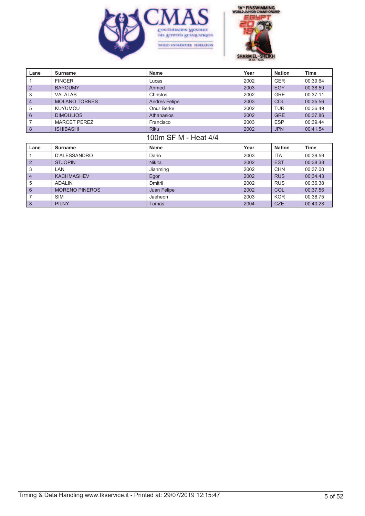



| Lane                 | <b>Surname</b>        | <b>Name</b>          | Year | <b>Nation</b> | <b>Time</b> |  |
|----------------------|-----------------------|----------------------|------|---------------|-------------|--|
|                      | <b>FINGER</b>         | Lucas                | 2002 | <b>GER</b>    | 00:39.64    |  |
| $\overline{2}$       | <b>BAYOUMY</b>        | Ahmed                | 2003 | <b>EGY</b>    | 00:38.50    |  |
| 3                    | <b>VALALAS</b>        | Christos             | 2002 | <b>GRE</b>    | 00:37.11    |  |
| 4                    | <b>MOLANO TORRES</b>  | <b>Andres Felipe</b> | 2003 | COL           | 00:35.56    |  |
| 5                    | <b>KUYUMCU</b>        | Onur Berke           | 2002 | <b>TUR</b>    | 00:36.49    |  |
| $6\phantom{1}$       | <b>DIMOULIOS</b>      | Athanasios           | 2002 | <b>GRE</b>    | 00:37.86    |  |
| 7                    | <b>MARCET PEREZ</b>   | Francisco            | 2003 | <b>ESP</b>    | 00:39.44    |  |
| $\boldsymbol{8}$     | <b>ISHIBASHI</b>      | <b>Riku</b>          | 2002 | <b>JPN</b>    | 00:41.54    |  |
| 100m SF M - Heat 4/4 |                       |                      |      |               |             |  |
| Lane                 | <b>Surname</b>        | <b>Name</b>          | Year | <b>Nation</b> | Time        |  |
|                      | D'ALESSANDRO          | Dario                | 2003 | <b>ITA</b>    | 00:39.59    |  |
| $\overline{2}$       | <b>STJOPIN</b>        | <b>Nikita</b>        | 2002 | <b>EST</b>    | 00:38.38    |  |
| 3                    | <b>LAN</b>            | Jianming             | 2002 | <b>CHN</b>    | 00:37.00    |  |
| 4                    | <b>KACHMASHEV</b>     | Egor                 | 2002 | <b>RUS</b>    | 00:34.43    |  |
| 5                    | <b>ADALIN</b>         | Dmitrii              | 2002 | <b>RUS</b>    | 00:36.38    |  |
| $6\phantom{1}6$      | <b>MORENO PINEROS</b> | Juan Felipe          | 2002 | COL           | 00:37.56    |  |
| 7                    | SIM                   | Jaeheon              | 2003 | <b>KOR</b>    | 00:38.75    |  |
| 8                    | <b>PILNY</b>          | <b>Tomas</b>         | 2004 | <b>CZE</b>    | 00:40.28    |  |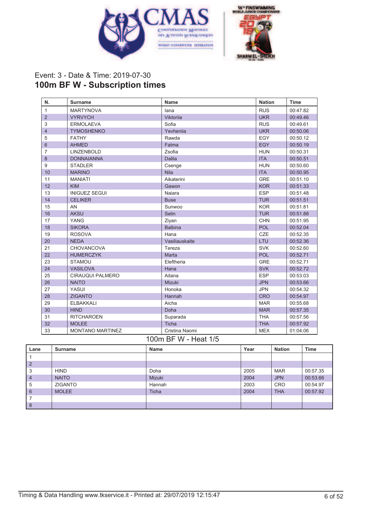



## Event: 3 - Date & Time: 2019-07-30 **100m BF W - Subscription times**

| N.             | <b>Surname</b>          | Name           | <b>Nation</b> | <b>Time</b> |
|----------------|-------------------------|----------------|---------------|-------------|
| $\mathbf{1}$   | <b>MARTYNOVA</b>        | lana           | <b>RUS</b>    | 00:47.82    |
| $\overline{2}$ | <b>VYRVYCH</b>          | Viktoriia      | <b>UKR</b>    | 00:49.46    |
| 3              | <b>ERMOLAEVA</b>        | Sofia          | <b>RUS</b>    | 00:49.61    |
| $\overline{4}$ | <b>TYMOSHENKO</b>       | Yevhenija      | <b>UKR</b>    | 00:50.06    |
| 5              | <b>FATHY</b>            | Rawda          | EGY           | 00:50.12    |
| $6\phantom{1}$ | <b>AHMED</b>            | Fatma          | <b>EGY</b>    | 00:50.19    |
| $\overline{7}$ | <b>LINZENBOLD</b>       | Zsofia         | <b>HUN</b>    | 00:50.31    |
| 8              | <b>DONNAIANNA</b>       | <b>Dalila</b>  | <b>ITA</b>    | 00:50.51    |
| 9              | <b>STADLER</b>          | Csenge         | <b>HUN</b>    | 00:50.60    |
| 10             | <b>MARINO</b>           | <b>Nila</b>    | <b>ITA</b>    | 00:50.95    |
| 11             | <b>MANIATI</b>          | Aikaterini     | <b>GRE</b>    | 00:51.10    |
| 12             | <b>KIM</b>              | Gawon          | <b>KOR</b>    | 00:51.33    |
| 13             | <b>INIGUEZ SEGUI</b>    | Naiara         | <b>ESP</b>    | 00:51.48    |
| 14             | <b>CELIKER</b>          | <b>Buse</b>    | <b>TUR</b>    | 00:51.51    |
| 15             | AN                      | Sunwoo         | <b>KOR</b>    | 00:51.81    |
| 16             | <b>AKSU</b>             | Selin          | <b>TUR</b>    | 00:51.88    |
| 17             | <b>YANG</b>             | Ziyan          | <b>CHN</b>    | 00:51.95    |
| 18             | <b>SIKORA</b>           | <b>Balbina</b> | <b>POL</b>    | 00:52.04    |
| 19             | <b>ROSOVA</b>           | Hana           | CZE           | 00:52.35    |
| 20             | <b>NEDA</b>             | Vasiliauskaite | LTU           | 00:52.36    |
| 21             | CHOVANCOVA              | Tereza         | <b>SVK</b>    | 00:52.60    |
| 22             | <b>HUMERCZYK</b>        | Marta          | <b>POL</b>    | 00:52.71    |
| 23             | <b>STAMOU</b>           | Eleftheria     | <b>GRE</b>    | 00:52.71    |
| 24             | <b>VASILOVA</b>         | Hana           | <b>SVK</b>    | 00:52.72    |
| 25             | <b>CIRAUQUI PALMERO</b> | Aitana         | <b>ESP</b>    | 00:53.03    |
| 26             | <b>NAITO</b>            | Mizuki         | <b>JPN</b>    | 00:53.66    |
| 27             | <b>YASUI</b>            | Honoka         | <b>JPN</b>    | 00:54.32    |
| 28             | <b>ZIGANTO</b>          | Hannah         | <b>CRO</b>    | 00:54.97    |
| 29             | <b>ELBAKKALI</b>        | Aicha          | <b>MAR</b>    | 00:55.68    |
| 30             | <b>HIND</b>             | Doha           | <b>MAR</b>    | 00:57.35    |
| 31             | <b>RITCHAROEN</b>       | Suparada       | <b>THA</b>    | 00:57.56    |
| 32             | <b>MOLEE</b>            | Ticha          | <b>THA</b>    | 00:57.92    |
| 33             | <b>MONTANO MARTINEZ</b> | Cristina Naomi | <b>MEX</b>    | 01:04.06    |

#### 100m BF W - Heat 1/5

| Lane           | Surname        | Name         | Year | <b>Nation</b> | <b>Time</b> |
|----------------|----------------|--------------|------|---------------|-------------|
|                |                |              |      |               |             |
| $\overline{2}$ |                |              |      |               |             |
| 3              | <b>HIND</b>    | Doha         | 2005 | <b>MAR</b>    | 00:57.35    |
| $\overline{4}$ | <b>NAITO</b>   | Mizuki       | 2004 | <b>JPN</b>    | 00:53.66    |
| 5              | <b>ZIGANTO</b> | Hannah       | 2003 | <b>CRO</b>    | 00:54.97    |
| 6              | <b>MOLEE</b>   | <b>Ticha</b> | 2004 | <b>THA</b>    | 00:57.92    |
|                |                |              |      |               |             |
| 8              |                |              |      |               |             |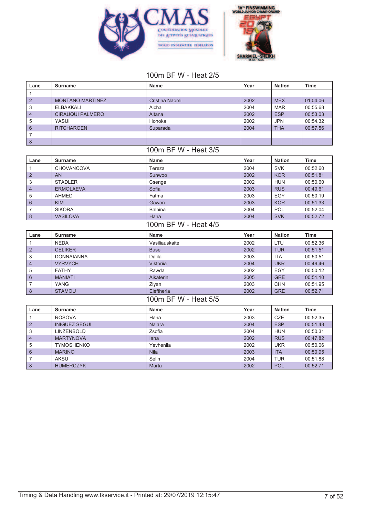



#### 100m BF W - Heat 2/5

| Lane            | <b>Surname</b>          | <b>Name</b>          | Year | <b>Nation</b> | <b>Time</b> |
|-----------------|-------------------------|----------------------|------|---------------|-------------|
| $\mathbf{1}$    |                         |                      |      |               |             |
| $\overline{2}$  | <b>MONTANO MARTINEZ</b> | Cristina Naomi       | 2002 | <b>MEX</b>    | 01:04.06    |
| 3               | <b>ELBAKKALI</b>        | Aicha                | 2004 | <b>MAR</b>    | 00:55.68    |
| $\overline{4}$  | <b>CIRAUQUI PALMERO</b> | Aitana               | 2002 | <b>ESP</b>    | 00:53.03    |
| 5               | <b>YASUI</b>            | Honoka               | 2002 | <b>JPN</b>    | 00:54.32    |
| $6\phantom{1}$  | <b>RITCHAROEN</b>       | Suparada             | 2004 | <b>THA</b>    | 00:57.56    |
| $\overline{7}$  |                         |                      |      |               |             |
| $\delta$        |                         |                      |      |               |             |
|                 |                         | 100m BF W - Heat 3/5 |      |               |             |
| Lane            | <b>Surname</b>          | <b>Name</b>          | Year | <b>Nation</b> | <b>Time</b> |
| $\mathbf{1}$    | CHOVANCOVA              | Tereza               | 2004 | <b>SVK</b>    | 00:52.60    |
| $\overline{2}$  | <b>AN</b>               | Sunwoo               | 2002 | <b>KOR</b>    | 00:51.81    |
| 3               | <b>STADLER</b>          | Csenge               | 2002 | <b>HUN</b>    | 00:50.60    |
| $\overline{4}$  | <b>ERMOLAEVA</b>        | Sofia                | 2003 | <b>RUS</b>    | 00:49.61    |
| 5               | <b>AHMED</b>            | Fatma                | 2003 | <b>EGY</b>    | 00:50.19    |
| $6\phantom{1}6$ | <b>KIM</b>              | Gawon                | 2003 | <b>KOR</b>    | 00:51.33    |
| 7               | <b>SIKORA</b>           | <b>Balbina</b>       | 2004 | POL           | 00:52.04    |
| $\delta$        | <b>VASILOVA</b>         | Hana                 | 2004 | <b>SVK</b>    | 00:52.72    |
|                 |                         | 100m BF W - Heat 4/5 |      |               |             |
| Lane            | <b>Surname</b>          | <b>Name</b>          | Year | <b>Nation</b> | <b>Time</b> |
| $\mathbf{1}$    | <b>NEDA</b>             | Vasiliauskaite       | 2002 | LTU           | 00:52.36    |
| $\overline{2}$  | <b>CELIKER</b>          | <b>Buse</b>          | 2002 | <b>TUR</b>    | 00:51.51    |
| 3               | <b>DONNAIANNA</b>       | Dalila               | 2003 | <b>ITA</b>    | 00:50.51    |
| $\overline{4}$  | <b>VYRVYCH</b>          | Viktorija            | 2004 | <b>UKR</b>    | 00:49.46    |
| 5               | <b>FATHY</b>            | Rawda                | 2002 | <b>EGY</b>    | 00:50.12    |
| 6               | <b>MANIATI</b>          | Aikaterini           | 2005 | <b>GRE</b>    | 00:51.10    |
| 7               | YANG                    | Ziyan                | 2003 | <b>CHN</b>    | 00:51.95    |
| $\delta$        | <b>STAMOU</b>           | Eleftheria           | 2002 | <b>GRE</b>    | 00:52.71    |
|                 |                         | 100m BF W - Heat 5/5 |      |               |             |
| Lane            | <b>Surname</b>          | <b>Name</b>          | Year | <b>Nation</b> | <b>Time</b> |
| $\mathbf{1}$    | <b>ROSOVA</b>           | Hana                 | 2003 | <b>CZE</b>    | 00:52.35    |
| $\overline{2}$  | <b>INIGUEZ SEGUI</b>    | <b>Najara</b>        | 2004 | <b>ESP</b>    | 00:51.48    |
| 3               | <b>LINZENBOLD</b>       | Zsofia               | 2004 | <b>HUN</b>    | 00:50.31    |
| $\overline{4}$  | <b>MARTYNOVA</b>        | lana                 | 2002 | <b>RUS</b>    | 00:47.82    |
| 5               | <b>TYMOSHENKO</b>       | Yevhenija            | 2002 | <b>UKR</b>    | 00:50.06    |
| 6               | <b>MARINO</b>           | <b>Nila</b>          | 2003 | <b>ITA</b>    | 00:50.95    |
| $\overline{7}$  | <b>AKSU</b>             | Selin                | 2004 | <b>TUR</b>    | 00:51.88    |
| 8               | <b>HUMERCZYK</b>        | Marta                | 2002 | <b>POL</b>    | 00:52.71    |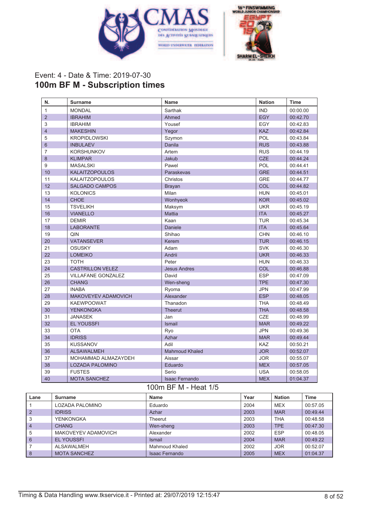



## Event: 4 - Date & Time: 2019-07-30 **100m BF M - Subscription times**

| N.             | <b>Surname</b>             | Name                                               | <b>Nation</b> | <b>Time</b> |
|----------------|----------------------------|----------------------------------------------------|---------------|-------------|
| $\mathbf{1}$   | <b>MONDAL</b>              | Sarthak                                            | <b>IND</b>    | 00:00.00    |
| $\overline{2}$ | <b>IBRAHIM</b>             | Ahmed                                              | <b>EGY</b>    | 00:42.70    |
| 3              | <b>IBRAHIM</b>             | Yousef                                             | EGY           | 00:42.83    |
| $\overline{4}$ | <b>MAKESHIN</b>            | Yegor                                              | <b>KAZ</b>    | 00:42.84    |
| 5              | <b>KROPIDLOWSKI</b>        | Szymon                                             | POL           | 00:43.84    |
| 6              | <b>INBULAEV</b>            | Danila                                             | <b>RUS</b>    | 00:43.88    |
| 7              | <b>KORSHUNKOV</b>          | Artem                                              | <b>RUS</b>    | 00:44.19    |
| 8              | <b>KLIMPAR</b>             | Jakub                                              | <b>CZE</b>    | 00:44.24    |
| 9              | <b>MASALSKI</b>            | Pawel                                              | POL           | 00:44.41    |
| 10             | <b>KALAITZOPOULOS</b>      | Paraskevas                                         | <b>GRE</b>    | 00:44.51    |
| 11             | <b>KALAITZOPOULOS</b>      | Christos                                           | <b>GRE</b>    | 00:44.77    |
| 12             | <b>SALGADO CAMPOS</b>      | <b>Brayan</b>                                      | COL           | 00:44.82    |
| 13             | <b>KOLONICS</b>            | Milan                                              | <b>HUN</b>    | 00:45.01    |
| 14             | <b>CHOE</b>                | Wonhyeok                                           | <b>KOR</b>    | 00:45.02    |
| 15             | <b>TSVELIKH</b>            | Maksym                                             | <b>UKR</b>    | 00:45.19    |
| 16             | <b>VIANELLO</b>            | <b>Mattia</b>                                      | <b>ITA</b>    | 00:45.27    |
| 17             | <b>DEMIR</b>               | Kaan                                               | <b>TUR</b>    | 00:45.34    |
| 18             | <b>LABORANTE</b>           | Daniele                                            | <b>ITA</b>    | 00:45.64    |
| 19             | QIN                        | Shihao                                             | <b>CHN</b>    | 00:46.10    |
| 20             | <b>VATANSEVER</b>          | Kerem                                              | <b>TUR</b>    | 00:46.15    |
| 21             | <b>OSUSKY</b>              | Adam                                               | <b>SVK</b>    | 00:46.30    |
| 22             | <b>LOMEIKO</b>             | Andrii                                             | <b>UKR</b>    | 00:46.33    |
| 23             | <b>TOTH</b>                | Peter                                              | <b>HUN</b>    | 00:46.33    |
| 24             | <b>CASTRILLON VELEZ</b>    | <b>Jesus Andres</b>                                | COL           | 00:46.88    |
| 25             | <b>VILLAFANE GONZALEZ</b>  | David                                              | <b>ESP</b>    | 00:47.09    |
| 26             | <b>CHANG</b>               | Wen-sheng                                          | <b>TPE</b>    | 00:47.30    |
| 27             | <b>INABA</b>               | Ryoma                                              | <b>JPN</b>    | 00:47.99    |
| 28             | <b>MAKOVEYEV ADAMOVICH</b> | Alexander                                          | <b>ESP</b>    | 00:48.05    |
| 29             | <b>KAEWPOOWAT</b>          | Thanadon                                           | <b>THA</b>    | 00:48.49    |
| 30             | YENKONGKA                  | <b>Theerut</b>                                     | <b>THA</b>    | 00:48.58    |
| 31             | <b>JANASEK</b>             | Jan                                                | CZE           | 00:48.99    |
| 32             | <b>EL YOUSSFI</b>          | Ismail                                             | <b>MAR</b>    | 00:49.22    |
| 33             | <b>OTA</b>                 | Ryo                                                | <b>JPN</b>    | 00:49.36    |
| 34             | <b>IDRISS</b>              | Azhar                                              | <b>MAR</b>    | 00:49.44    |
| 35             | <b>KUSSANOV</b>            | Adil                                               | <b>KAZ</b>    | 00:50.21    |
| 36             | <b>ALSAWALMEH</b>          | <b>Mahmoud Khaled</b>                              | <b>JOR</b>    | 00:52.07    |
| 37             | MOHAMMAD ALMAZAYDEH        | Aissar                                             | <b>JOR</b>    | 00:55.07    |
| 38             | <b>LOZADA PALOMINO</b>     | Eduardo                                            | <b>MEX</b>    | 00:57.05    |
| 39             | <b>FUSTES</b>              | Serio                                              | <b>USA</b>    | 00:58.05    |
| 40             | <b>MOTA SANCHEZ</b>        | <b>Isaac Fernando</b>                              | <b>MEX</b>    | 01:04.37    |
|                |                            | $100 \text{ m} \text{ D} \Gamma M$<br>$H \sim 4/E$ |               |             |

#### 100m BF M - Heat 1/5

| Lane           | Surname             | Name                  | Year | <b>Nation</b> | Time     |
|----------------|---------------------|-----------------------|------|---------------|----------|
|                | LOZADA PALOMINO     | Eduardo               | 2004 | <b>MEX</b>    | 00:57.05 |
| $\overline{2}$ | <b>IDRISS</b>       | Azhar                 | 2003 | <b>MAR</b>    | 00:49.44 |
| 3              | <b>YENKONGKA</b>    | Theerut               | 2003 | <b>THA</b>    | 00:48.58 |
| $\overline{4}$ | <b>CHANG</b>        | Wen-sheng             | 2003 | <b>TPE</b>    | 00:47.30 |
| 5              | MAKOVEYEV ADAMOVICH | Alexander             | 2002 | <b>ESP</b>    | 00:48.05 |
| 6              | <b>EL YOUSSFI</b>   | Ismail                | 2004 | <b>MAR</b>    | 00:49.22 |
|                | ALSAWALMEH          | Mahmoud Khaled        | 2002 | <b>JOR</b>    | 00:52.07 |
| 8              | <b>MOTA SANCHEZ</b> | <b>Isaac Fernando</b> | 2005 | <b>MEX</b>    | 01:04.37 |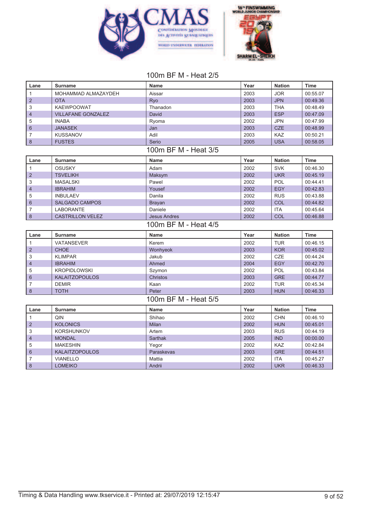



## 100m BF M - Heat 2/5

| Lane                    | <b>Surname</b>                    | <b>Name</b>          | Year         | <b>Nation</b>            | <b>Time</b>          |
|-------------------------|-----------------------------------|----------------------|--------------|--------------------------|----------------------|
| $\mathbf{1}$            | MOHAMMAD ALMAZAYDEH               | Aissar               | 2003         | <b>JOR</b>               | 00:55.07             |
| $\overline{2}$          | <b>OTA</b>                        | Ryo                  | 2003         | <b>JPN</b>               | 00:49.36             |
| 3                       | <b>KAEWPOOWAT</b>                 | Thanadon             | 2003         | <b>THA</b>               | 00:48.49             |
| $\overline{4}$          | <b>VILLAFANE GONZALEZ</b>         | David                | 2003         | <b>ESP</b>               | 00:47.09             |
| 5                       | <b>INABA</b>                      | Ryoma                | 2002         | <b>JPN</b>               | 00:47.99             |
| 6                       | <b>JANASEK</b>                    | Jan                  | 2003         | <b>CZE</b>               | 00:48.99             |
| $\overline{7}$          | <b>KUSSANOV</b>                   | Adil                 | 2003         | <b>KAZ</b>               | 00:50.21             |
| $\delta$                | <b>FUSTES</b>                     | Serio                | 2005         | <b>USA</b>               | 00:58.05             |
|                         |                                   | 100m BF M - Heat 3/5 |              |                          |                      |
| Lane                    | <b>Surname</b>                    | <b>Name</b>          | Year         | <b>Nation</b>            | <b>Time</b>          |
| $\mathbf{1}$            | <b>OSUSKY</b>                     | Adam                 | 2002         | <b>SVK</b>               | 00:46.30             |
| 2                       | <b>TSVELIKH</b>                   | Maksym               | 2002         | <b>UKR</b>               | 00:45.19             |
| 3                       | <b>MASALSKI</b>                   | Pawel                | 2002         | <b>POL</b>               | 00:44.41             |
| $\overline{\mathbf{4}}$ | <b>IBRAHIM</b>                    | Yousef               | 2002         | <b>EGY</b>               | 00:42.83             |
| 5                       | <b>INBULAEV</b>                   | Danila               | 2002         | <b>RUS</b>               | 00:43.88             |
| 6                       | <b>SALGADO CAMPOS</b>             | <b>Brayan</b>        | 2002         | COL                      | 00:44.82             |
| $\overline{7}$          | <b>LABORANTE</b>                  | Daniele              | 2002         | <b>ITA</b>               | 00:45.64             |
| 8                       | <b>CASTRILLON VELEZ</b>           | <b>Jesus Andres</b>  | 2002         | COL                      | 00:46.88             |
|                         |                                   | 100m BF M - Heat 4/5 |              |                          |                      |
|                         |                                   |                      |              |                          |                      |
| Lane                    | <b>Surname</b>                    | <b>Name</b>          | Year         | <b>Nation</b>            | <b>Time</b>          |
| $\mathbf{1}$            | <b>VATANSEVER</b>                 | Kerem                | 2002         | <b>TUR</b>               | 00:46.15             |
| $\overline{2}$          | <b>CHOE</b>                       | Wonhyeok             | 2003         | <b>KOR</b>               | 00:45.02             |
| 3                       | <b>KLIMPAR</b>                    | Jakub                | 2002         | <b>CZE</b>               | 00:44.24             |
| $\overline{4}$          | <b>IBRAHIM</b>                    | Ahmed                | 2004         | <b>EGY</b>               | 00:42.70             |
| 5                       | <b>KROPIDLOWSKI</b>               | Szymon               | 2002         | POL                      | 00:43.84             |
| 6                       | <b>KALAITZOPOULOS</b>             | <b>Christos</b>      | 2003         | <b>GRE</b>               | 00:44.77             |
| $\overline{7}$          | <b>DEMIR</b>                      | Kaan                 | 2002         | <b>TUR</b>               | 00:45.34             |
| 8                       | <b>TOTH</b>                       | Peter                | 2003         | <b>HUN</b>               | 00:46.33             |
|                         |                                   | 100m BF M - Heat 5/5 |              |                          |                      |
| Lane                    | <b>Surname</b>                    | <b>Name</b>          | Year         | <b>Nation</b>            | <b>Time</b>          |
| $\mathbf{1}$            | QIN                               | Shihao               | 2002         | <b>CHN</b>               | 00:46.10             |
| $\overline{2}$          | <b>KOLONICS</b>                   | <b>Milan</b>         | 2002         | <b>HUN</b>               | 00:45.01             |
| 3                       | <b>KORSHUNKOV</b>                 | Artem                | 2003         | <b>RUS</b>               | 00:44.19             |
| $\overline{4}$          | <b>MONDAL</b>                     | <b>Sarthak</b>       | 2005         | <b>IND</b>               | 00:00.00             |
| 5                       | <b>MAKESHIN</b>                   | Yegor                | 2002         | <b>KAZ</b>               | 00:42.84             |
| 6                       | <b>KALAITZOPOULOS</b>             | Paraskevas           | 2003         | <b>GRE</b>               | 00:44.51             |
| $\overline{7}$<br>8     | <b>VIANELLO</b><br><b>LOMEIKO</b> | Mattia<br>Andrii     | 2002<br>2002 | <b>ITA</b><br><b>UKR</b> | 00:45.27<br>00:46.33 |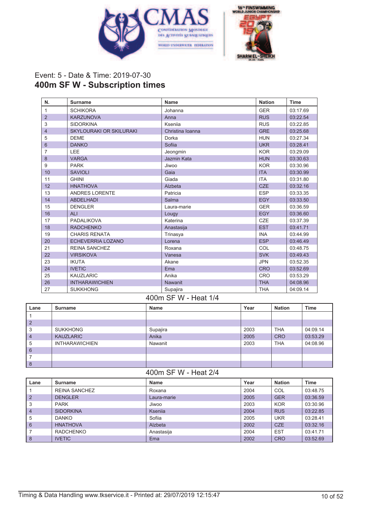



## Event: 5 - Date & Time: 2019-07-30 **400m SF W - Subscription times**

| N.                       | <b>Surname</b>                 | <b>Name</b>      | <b>Nation</b> | <b>Time</b> |
|--------------------------|--------------------------------|------------------|---------------|-------------|
| 1                        | <b>SCHIKORA</b>                | Johanna          | <b>GER</b>    | 03:17.69    |
| $\overline{2}$           | <b>KARZUNOVA</b>               | Anna             | <b>RUS</b>    | 03:22.54    |
| 3                        | <b>SIDORKINA</b>               | Kseniia          | <b>RUS</b>    | 03:22.85    |
| $\overline{\mathcal{L}}$ | <b>SKYLOURAKI OR SKILURAKI</b> | Christina Ioanna | <b>GRE</b>    | 03:25.68    |
| 5                        | <b>DEME</b>                    | Dorka            | <b>HUN</b>    | 03:27.34    |
| $6\phantom{1}$           | <b>DANKO</b>                   | Sofiia           | <b>UKR</b>    | 03:28.41    |
| 7                        | LEE                            | Jeongmin         | <b>KOR</b>    | 03:29.09    |
| 8                        | <b>VARGA</b>                   | Jazmin Kata      | <b>HUN</b>    | 03:30.63    |
| 9                        | <b>PARK</b>                    | Jiwoo            | <b>KOR</b>    | 03:30.96    |
| 10                       | <b>SAVIOLI</b>                 | Gaia             | <b>ITA</b>    | 03:30.99    |
| 11                       | <b>GHINI</b>                   | Giada            | <b>ITA</b>    | 03:31.80    |
| 12                       | <b>HNATHOVA</b>                | Alzbeta          | <b>CZE</b>    | 03:32.16    |
| 13                       | <b>ANDRES LORENTE</b>          | Patricia         | <b>ESP</b>    | 03:33.35    |
| 14                       | <b>ABDELHADI</b>               | Salma            | <b>EGY</b>    | 03:33.50    |
| 15                       | <b>DENGLER</b>                 | Laura-marie      | <b>GER</b>    | 03:36.59    |
| 16                       | <b>ALI</b>                     | Lougy            | <b>EGY</b>    | 03:36.60    |
| 17                       | PADALIKOVA                     | Katerina         | <b>CZE</b>    | 03:37.39    |
| 18                       | <b>RADCHENKO</b>               | Anastasija       | <b>EST</b>    | 03:41.71    |
| 19                       | <b>CHARIS RENATA</b>           | Trinasya         | <b>INA</b>    | 03:44.99    |
| 20                       | <b>ECHEVERRIA LOZANO</b>       | Lorena           | <b>ESP</b>    | 03:46.49    |
| 21                       | <b>REINA SANCHEZ</b>           | Roxana           | COL           | 03:48.75    |
| 22                       | <b>VIRSIKOVA</b>               | Vanesa           | <b>SVK</b>    | 03:49.43    |
| 23                       | <b>IKUTA</b>                   | Akane            | <b>JPN</b>    | 03:52.35    |
| 24                       | <b>IVETIC</b>                  | Ema              | <b>CRO</b>    | 03:52.69    |
| 25                       | <b>KAUZLARIC</b>               | Anika            | <b>CRO</b>    | 03:53.29    |
| 26                       | <b>INTHARAWICHIEN</b>          | Nawanit          | <b>THA</b>    | 04:08.96    |
| 27                       | <b>SUKKHONG</b>                | Supajira         | <b>THA</b>    | 04:09.14    |

#### 400m SF W - Heat 1/4

| Lane           | Surname               | <b>Name</b> | Year | <b>Nation</b> | <b>Time</b> |
|----------------|-----------------------|-------------|------|---------------|-------------|
|                |                       |             |      |               |             |
| $\overline{2}$ |                       |             |      |               |             |
| 3              | <b>SUKKHONG</b>       | Supajira    | 2003 | <b>THA</b>    | 04:09.14    |
| $\overline{4}$ | <b>KAUZLARIC</b>      | Anika       | 2005 | <b>CRO</b>    | 03:53.29    |
| 5              | <b>INTHARAWICHIEN</b> | Nawanit     | 2003 | <b>THA</b>    | 04:08.96    |
| 6              |                       |             |      |               |             |
|                |                       |             |      |               |             |
| 8              |                       |             |      |               |             |

#### 400m SF W - Heat 2/4

| Lane           | Surname          | Name        | Year | <b>Nation</b> | Time     |
|----------------|------------------|-------------|------|---------------|----------|
|                | REINA SANCHEZ    | Roxana      | 2004 | COL           | 03:48.75 |
| $\overline{2}$ | <b>DENGLER</b>   | Laura-marie | 2005 | <b>GER</b>    | 03:36.59 |
| 3              | <b>PARK</b>      | Jiwoo       | 2003 | <b>KOR</b>    | 03:30.96 |
| $\overline{4}$ | <b>SIDORKINA</b> | Ksenija     | 2004 | <b>RUS</b>    | 03:22.85 |
| 5              | <b>DANKO</b>     | Sofiia      | 2005 | <b>UKR</b>    | 03:28.41 |
| 6              | <b>HNATHOVA</b>  | Alzbeta     | 2002 | <b>CZE</b>    | 03:32.16 |
|                | <b>RADCHENKO</b> | Anastasija  | 2004 | <b>EST</b>    | 03:41.71 |
| 8              | <b>IVETIC</b>    | Ema         | 2002 | <b>CRO</b>    | 03:52.69 |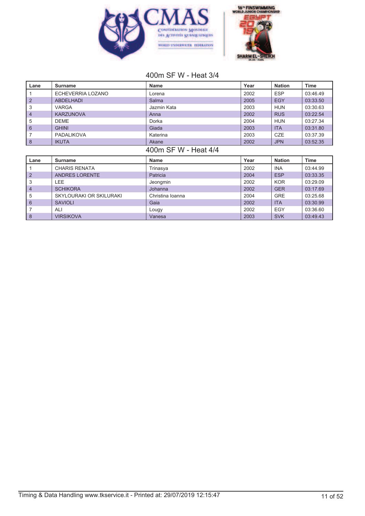



### 400m SF W - Heat 3/4

| Lane             | <b>Surname</b>          | <b>Name</b>          | Year | <b>Nation</b> | <b>Time</b> |
|------------------|-------------------------|----------------------|------|---------------|-------------|
|                  | ECHEVERRIA LOZANO       | Lorena               | 2002 | <b>ESP</b>    | 03:46.49    |
| $\overline{2}$   | <b>ABDELHADI</b>        | Salma                | 2005 | <b>EGY</b>    | 03:33.50    |
| 3                | VARGA                   | Jazmin Kata          | 2003 | <b>HUN</b>    | 03:30.63    |
| $\overline{4}$   | <b>KARZUNOVA</b>        | Anna                 | 2002 | <b>RUS</b>    | 03:22.54    |
| 5                | <b>DEME</b>             | Dorka                | 2004 | <b>HUN</b>    | 03:27.34    |
| $6\phantom{1}$   | <b>GHINI</b>            | Giada                | 2003 | <b>ITA</b>    | 03:31.80    |
| 7                | <b>PADALIKOVA</b>       | Katerina             | 2003 | <b>CZE</b>    | 03:37.39    |
| $\boldsymbol{8}$ | <b>IKUTA</b>            | Akane                | 2002 | <b>JPN</b>    | 03:52.35    |
|                  |                         | 400m SF W - Heat 4/4 |      |               |             |
| Lane             | <b>Surname</b>          | <b>Name</b>          | Year | <b>Nation</b> | <b>Time</b> |
|                  | <b>CHARIS RENATA</b>    | Trinasya             | 2002 | <b>INA</b>    | 03:44.99    |
| $\overline{2}$   | <b>ANDRES LORENTE</b>   | Patricia             | 2004 | <b>ESP</b>    | 03:33.35    |
| 3                | LEE                     | Jeongmin             | 2002 | <b>KOR</b>    | 03:29.09    |
| 4                | <b>SCHIKORA</b>         | Johanna              | 2002 | <b>GER</b>    | 03:17.69    |
| 5                | SKYLOURAKI OR SKILURAKI | Christina Ioanna     | 2004 | <b>GRE</b>    | 03:25.68    |
| 6                | <b>SAVIOLI</b>          | Gaia                 | 2002 | <b>ITA</b>    | 03:30.99    |
| 7                | ALI                     | Lougy                | 2002 | <b>EGY</b>    | 03:36.60    |

8 | VIRSIKOVA | Vanesa | 2003 | SVK | 03:49.43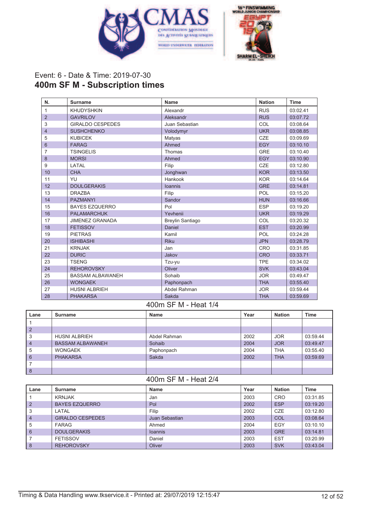



## Event: 6 - Date & Time: 2019-07-30 **400m SF M - Subscription times**

| N.             | <b>Surname</b>          | <b>Name</b>             | <b>Nation</b> | <b>Time</b> |
|----------------|-------------------------|-------------------------|---------------|-------------|
| 1              | <b>KHUDYSHKIN</b>       | Alexandr                | <b>RUS</b>    | 03:02.41    |
| $\overline{2}$ | <b>GAVRILOV</b>         | Aleksandr               | <b>RUS</b>    | 03:07.72    |
| 3              | <b>GIRALDO CESPEDES</b> | Juan Sebastian          | COL           | 03:08.64    |
| $\overline{4}$ | <b>SUSHCHENKO</b>       | Volodymyr               | <b>UKR</b>    | 03:08.85    |
| 5              | <b>KUBICEK</b>          | Matyas                  | <b>CZE</b>    | 03:09.69    |
| 6              | <b>FARAG</b>            | Ahmed                   | <b>EGY</b>    | 03:10.10    |
| $\overline{7}$ | <b>TSINGELIS</b>        | Thomas                  | <b>GRE</b>    | 03:10.40    |
| 8              | <b>MORSI</b>            | Ahmed                   | <b>EGY</b>    | 03:10.90    |
| 9              | LATAL                   | Filip                   | <b>CZE</b>    | 03:12.80    |
| 10             | <b>CHA</b>              | Jonghwan                | <b>KOR</b>    | 03:13.50    |
| 11             | YU                      | Hankook                 | <b>KOR</b>    | 03:14.64    |
| 12             | <b>DOULGERAKIS</b>      | <b>loannis</b>          | <b>GRE</b>    | 03:14.81    |
| 13             | <b>DRAZBA</b>           | Filip                   | POL           | 03:15.20    |
| 14             | <b>PAZMANYI</b>         | Sandor                  | <b>HUN</b>    | 03:16.66    |
| 15             | <b>BAYES EZQUERRO</b>   | Pol                     | <b>ESP</b>    | 03:19.20    |
| 16             | <b>PALAMARCHUK</b>      | Yevhenii                | <b>UKR</b>    | 03:19.29    |
| 17             | <b>JIMENEZ GRANADA</b>  | <b>Breylin Santiago</b> | COL           | 03:20.32    |
| 18             | <b>FETISSOV</b>         | Daniel                  | <b>EST</b>    | 03:20.99    |
| 19             | <b>PIETRAS</b>          | Kamil                   | POL           | 03:24.28    |
| 20             | <b>ISHIBASHI</b>        | <b>Riku</b>             | <b>JPN</b>    | 03:28.79    |
| 21             | <b>KRNJAK</b>           | Jan                     | <b>CRO</b>    | 03:31.85    |
| 22             | <b>DURIC</b>            | Jakov                   | <b>CRO</b>    | 03:33.71    |
| 23             | <b>TSENG</b>            | Tzu-yu                  | <b>TPE</b>    | 03:34.02    |
| 24             | <b>REHOROVSKY</b>       | Oliver                  | <b>SVK</b>    | 03:43.04    |
| 25             | <b>BASSAM ALBAWANEH</b> | Sohaib                  | <b>JOR</b>    | 03:49.47    |
| 26             | <b>WONGAEK</b>          | Paphonpach              | <b>THA</b>    | 03:55.40    |
| 27             | <b>HUSNI ALBRIEH</b>    | Abdel Rahman            | <b>JOR</b>    | 03:59.44    |
| 28             | <b>PHAKARSA</b>         | Sakda                   | <b>THA</b>    | 03:59.69    |

#### 400m SF M - Heat 1/4

| Lane      | <b>Surname</b>          | <b>Name</b>  | Year | <b>Nation</b> | <b>Time</b> |
|-----------|-------------------------|--------------|------|---------------|-------------|
|           |                         |              |      |               |             |
| $\mid$ 2  |                         |              |      |               |             |
| 3         | <b>HUSNI ALBRIEH</b>    | Abdel Rahman | 2002 | <b>JOR</b>    | 03:59.44    |
| $\vert$ 4 | <b>BASSAM ALBAWANEH</b> | Sohaib       | 2004 | <b>JOR</b>    | 03:49.47    |
| 5         | <b>WONGAEK</b>          | Paphonpach   | 2004 | <b>THA</b>    | 03:55.40    |
| 6         | <b>PHAKARSA</b>         | Sakda        | 2002 | <b>THA</b>    | 03:59.69    |
|           |                         |              |      |               |             |
| 8         |                         |              |      |               |             |

#### 400m SF M - Heat 2/4

| Lane           | Surname               | <b>Name</b>    | Year | <b>Nation</b> | <b>Time</b> |
|----------------|-----------------------|----------------|------|---------------|-------------|
|                | <b>KRNJAK</b>         | Jan            | 2003 | CRO           | 03:31.85    |
| $\overline{2}$ | <b>BAYES EZQUERRO</b> | Pol            | 2002 | <b>ESP</b>    | 03:19.20    |
| 3              | LATAL                 | Filip          | 2002 | CZE           | 03:12.80    |
| $\overline{4}$ | GIRALDO CESPEDES      | Juan Sebastian | 2003 | COL           | 03:08.64    |
| 5              | <b>FARAG</b>          | Ahmed          | 2004 | EGY           | 03:10.10    |
| 6              | <b>DOULGERAKIS</b>    | <b>Ioannis</b> | 2003 | <b>GRE</b>    | 03:14.81    |
|                | <b>FETISSOV</b>       | Daniel         | 2003 | <b>EST</b>    | 03:20.99    |
| 8              | <b>REHOROVSKY</b>     | Oliver         | 2003 | <b>SVK</b>    | 03:43.04    |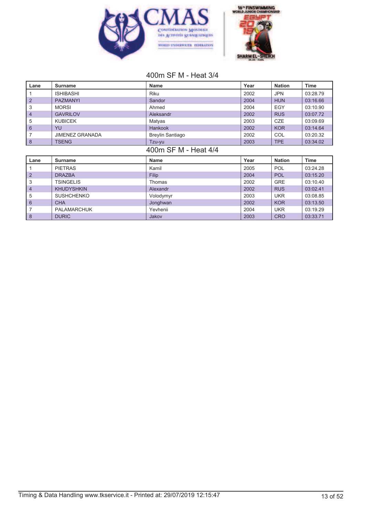



# 400m SF M - Heat 3/4

| Lane           | <b>Surname</b>         | <b>Name</b>             | Year | <b>Nation</b> | <b>Time</b> |
|----------------|------------------------|-------------------------|------|---------------|-------------|
|                | <b>ISHIBASHI</b>       | <b>Riku</b>             | 2002 | <b>JPN</b>    | 03:28.79    |
| $\overline{2}$ | <b>PAZMANYI</b>        | Sandor                  | 2004 | <b>HUN</b>    | 03:16.66    |
| 3              | <b>MORSI</b>           | Ahmed                   | 2004 | <b>EGY</b>    | 03:10.90    |
| 4              | <b>GAVRILOV</b>        | Aleksandr               | 2002 | <b>RUS</b>    | 03:07.72    |
| 5              | <b>KUBICEK</b>         | Matyas                  | 2003 | <b>CZE</b>    | 03:09.69    |
| $6\phantom{1}$ | YU                     | <b>Hankook</b>          | 2002 | <b>KOR</b>    | 03:14.64    |
| 7              | <b>JIMENEZ GRANADA</b> | <b>Breylin Santiago</b> | 2002 | COL           | 03:20.32    |
| $\bf 8$        | <b>TSENG</b>           | Tzu-yu                  | 2003 | <b>TPE</b>    | 03:34.02    |
|                |                        | 400m SF M - Heat 4/4    |      |               |             |
|                |                        |                         |      |               |             |
| Lane           | <b>Surname</b>         | <b>Name</b>             | Year | <b>Nation</b> | Time        |
|                | <b>PIETRAS</b>         | Kamil                   | 2005 | <b>POL</b>    | 03:24.28    |
| $\overline{2}$ | <b>DRAZBA</b>          | Filip                   | 2004 | <b>POL</b>    | 03:15.20    |
| 3              | TSINGELIS              | Thomas                  | 2002 | <b>GRE</b>    | 03:10.40    |
| 4              | <b>KHUDYSHKIN</b>      | Alexandr                | 2002 | <b>RUS</b>    | 03:02.41    |
| 5              | <b>SUSHCHENKO</b>      | Volodymyr               | 2003 | <b>UKR</b>    | 03:08.85    |
| $6\phantom{1}$ | <b>CHA</b>             | Jonghwan                | 2002 | <b>KOR</b>    | 03:13.50    |
| 7              | <b>PALAMARCHUK</b>     | Yevhenii                | 2004 | <b>UKR</b>    | 03:19.29    |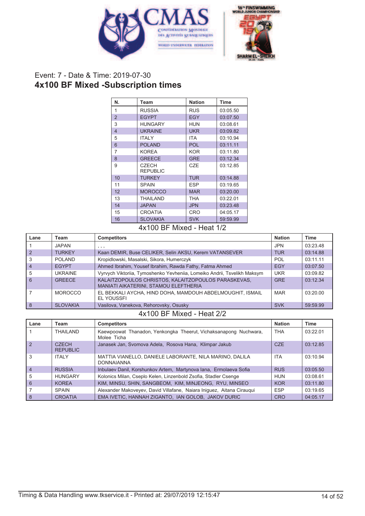



# Event: 7 - Date & Time: 2019-07-30 **4x100 BF Mixed -Subscription times**

| N.             | Team                            | <b>Nation</b>     | <b>Time</b> |
|----------------|---------------------------------|-------------------|-------------|
| 1              | <b>RUSSIA</b>                   | <b>RUS</b>        | 03:05.50    |
| $\overline{2}$ | <b>EGYPT</b>                    | <b>EGY</b>        | 03:07.50    |
| 3              | <b>HUNGARY</b>                  | <b>HUN</b>        | 03:08.61    |
| $\overline{4}$ | <b>UKRAINE</b>                  | <b>UKR</b>        | 03:09.82    |
| 5              | <b>ITALY</b>                    | ITA               | 03:10.94    |
| 6              | <b>POLAND</b>                   | <b>POL</b>        | 03:11.11    |
| 7              | <b>KOREA</b>                    | <b>KOR</b>        | 03:11.80    |
| 8              | <b>GREECE</b>                   | <b>GRE</b>        | 03:12.34    |
| 9              | <b>CZECH</b><br><b>REPUBLIC</b> | CZE               | 03:12.85    |
| 10             | <b>TURKEY</b>                   | <b>TUR</b>        | 03:14.88    |
| 11             | <b>SPAIN</b>                    | <b>ESP</b>        | 03:19.65    |
| 12             | <b>MOROCCO</b>                  | <b>MAR</b>        | 03:20.00    |
| 13             | <b>THAILAND</b>                 | THA               | 03:22.01    |
| 14             | <b>JAPAN</b>                    | <b>JPN</b>        | 03:23.48    |
| 15             | <b>CROATIA</b>                  | <b>CRO</b>        | 04:05.17    |
| 16             | <b>SLOVAKIA</b><br>---          | <b>SVK</b><br>. . | 59:59.99    |

#### 4x100 BF Mixed - Heat 1/2

| Lane           | Team            | <b>Competitors</b>                                                                           | <b>Nation</b> | <b>Time</b> |
|----------------|-----------------|----------------------------------------------------------------------------------------------|---------------|-------------|
|                | <b>JAPAN</b>    | , , ,                                                                                        | <b>JPN</b>    | 03:23.48    |
| $\overline{2}$ | <b>TURKEY</b>   | Kaan DEMIR, Buse CELIKER, Selin AKSU, Kerem VATANSEVER                                       | <b>TUR</b>    | 03:14.88    |
| 3              | POI AND         | Kropidlowski, Masalski, Sikora, Humerczyk                                                    | <b>POL</b>    | 03:11.11    |
| $\overline{4}$ | <b>EGYPT</b>    | Ahmed Ibrahim, Yousef Ibrahim, Rawda Fathy, Fatma Ahmed                                      | EGY           | 03:07.50    |
| 5              | <b>UKRAINE</b>  | Vyrvych Viktoriia, Tymoshenko Yevheniia, Lomeiko Andrii, Tsvelikh Maksym                     | <b>UKR</b>    | 03:09.82    |
| 6              | GREECE          | KALAITZOPOULOS CHRISTOS, KALAITZOPOULOS PARASKEVAS,<br>MANIATI AIKATERINI, STAMOU ELEFTHERIA | <b>GRE</b>    | 03:12.34    |
|                | <b>MOROCCO</b>  | EL BEKKALI AYCHA, HIND DOHA, MAMDOUH ABDELMOUGHIT, ISMAIL<br>EL YOUSSFI                      | <b>MAR</b>    | 03:20.00    |
| 8              | <b>SLOVAKIA</b> | Vasilova, Vanekova, Rehorovsky, Osusky                                                       | <b>SVK</b>    | 59:59.99    |

#### 4x100 BF Mixed - Heat 2/2

| Lane           | Team                                  | <b>Competitors</b>                                                              | <b>Nation</b> | Time     |
|----------------|---------------------------------------|---------------------------------------------------------------------------------|---------------|----------|
|                | <b>THAILAND</b>                       | Kaewpoowat Thanadon, Yenkongka Theerut, Vichaksanapong Nuchwara,<br>Molee Ticha | <b>THA</b>    | 03:22.01 |
| $\vert$ 2      | C <sub>7</sub> FCH<br><b>REPUBLIC</b> | Janasek Jan, Svomova Adela, Rosova Hana, Klimpar Jakub                          | <b>CZE</b>    | 03:12.85 |
| 3              | <b>ITALY</b>                          | MATTIA VIANELLO, DANIELE LABORANTE, NILA MARINO, DALILA<br><b>DONNAIANNA</b>    | <b>ITA</b>    | 03:10.94 |
| $\overline{4}$ | <b>RUSSIA</b>                         | Inbulaev Danil, Korshunkov Artem, Martynova Iana, Ermolaeva Sofia               | <b>RUS</b>    | 03:05.50 |
| 5              | <b>HUNGARY</b>                        | Kolonics Milan, Cseplo Kelen, Linzenbold Zsofia, Stadler Csenge                 | <b>HUN</b>    | 03:08.61 |
| 6              | <b>KORFA</b>                          | KIM, MINSU, SHIN, SANGBEOM, KIM, MINJEONG, RYU, MINSEO                          | <b>KOR</b>    | 03:11.80 |
|                | <b>SPAIN</b>                          | Alexander Makoveyev, David Villafane, Naiara Iniquez, Aitana Ciraugui           | <b>ESP</b>    | 03:19.65 |
| 8              | <b>CROATIA</b>                        | EMA IVETIC, HANNAH ZIGANTO, IAN GOLOB, JAKOV DURIC                              | <b>CRO</b>    | 04:05.17 |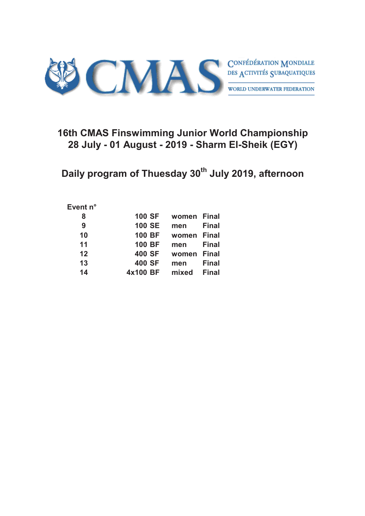

# **16th CMAS Finswimming Junior World Championship 28 July - 01 August - 2019 - Sharm El-Sheik (EGY)**

**Daily program of Thuesday 30th July 2019, afternoon**

#### **Event n°**

| <b>100 SF</b> | women Final |              |
|---------------|-------------|--------------|
| <b>100 SE</b> | men         | <b>Final</b> |
| <b>100 BF</b> | women Final |              |
| <b>100 BF</b> | men         | <b>Final</b> |
| <b>400 SF</b> | women Final |              |
| <b>400 SF</b> | men         | <b>Final</b> |
| 4x100 BF      | mixed       | <b>Final</b> |
|               |             |              |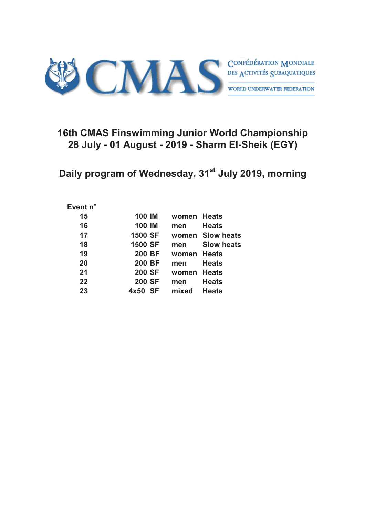

# **16th CMAS Finswimming Junior World Championship 28 July - 01 August - 2019 - Sharm El-Sheik (EGY)**

**Daily program of Wednesday, 31st July 2019, morning**

#### **Event n°**

| 15 | <b>100 IM</b>     | women Heats |                   |
|----|-------------------|-------------|-------------------|
| 16 | <b>100 IM</b>     | men         | <b>Heats</b>      |
| 17 | <b>1500 SF</b>    |             | women Slow heats  |
| 18 | <b>1500 SF</b>    | men         | <b>Slow heats</b> |
| 19 | <b>200 BF</b>     | women       | <b>Heats</b>      |
| 20 | <b>200 BF</b>     | men         | <b>Heats</b>      |
| 21 | <b>200 SF</b>     | women       | <b>Heats</b>      |
| 22 | <b>200 SF</b>     | men         | <b>Heats</b>      |
| 23 | <b>SF</b><br>4x50 | mixed       | <b>Heats</b>      |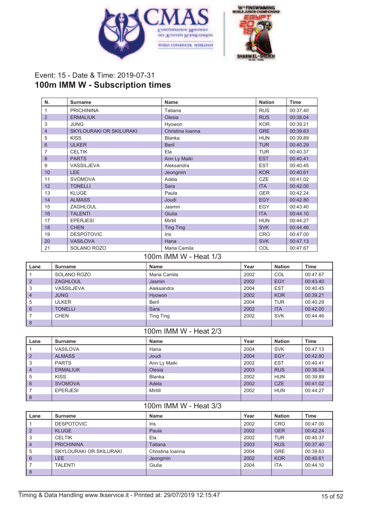



### Event: 15 - Date & Time: 2019-07-31 **100m IMM W - Subscription times**

| N.             | <b>Surname</b>                 | Name             | <b>Nation</b> | <b>Time</b> |
|----------------|--------------------------------|------------------|---------------|-------------|
| 1              | <b>PRICHININA</b>              | Tatiana          | <b>RUS</b>    | 00:37.40    |
| 2              | <b>ERMALIUK</b>                | Olesia           | <b>RUS</b>    | 00:38.04    |
| 3              | <b>JUNG</b>                    | Hyowon           | <b>KOR</b>    | 00:39.21    |
| $\overline{4}$ | <b>SKYLOURAKI OR SKILURAKI</b> | Christina Ioanna | <b>GRE</b>    | 00:39.63    |
| 5              | <b>KISS</b>                    | <b>Blanka</b>    | <b>HUN</b>    | 00:39.89    |
| 6              | <b>ULKER</b>                   | <b>Beril</b>     | <b>TUR</b>    | 00:40.29    |
| 7              | <b>CELTIK</b>                  | Ela              | <b>TUR</b>    | 00:40.37    |
| 8              | <b>PARTS</b>                   | Ann Ly Maiki     | <b>EST</b>    | 00:40.41    |
| 9              | <b>VASSILJEVA</b>              | Aleksandra       | <b>EST</b>    | 00:40.45    |
| 10             | LEE                            | Jeongmin         | <b>KOR</b>    | 00:40.61    |
| 11             | <b>SVOMOVA</b>                 | Adela            | <b>CZE</b>    | 00:41.02    |
| 12             | <b>TONELLI</b>                 | Sara             | <b>ITA</b>    | 00:42.00    |
| 13             | <b>KLUGE</b>                   | Paula            | <b>GER</b>    | 00:42.24    |
| 14             | <b>ALMASS</b>                  | Joudi            | <b>EGY</b>    | 00:42.80    |
| 15             | <b>ZAGHLOUL</b>                | Jasmin           | EGY           | 00:43.40    |
| 16             | <b>TALENTI</b>                 | Giulia           | <b>ITA</b>    | 00:44.10    |
| 17             | <b>EPERJESI</b>                | Mirtill          | <b>HUN</b>    | 00:44.27    |
| 18             | <b>CHEN</b>                    | <b>Ting Ting</b> | <b>SVK</b>    | 00:44.46    |
| 19             | <b>DESPOTOVIC</b>              | <b>Iris</b>      | <b>CRO</b>    | 00:47.00    |
| 20             | <b>VASILOVA</b>                | Hana             | <b>SVK</b>    | 00:47.13    |
| 21             | SOLANO ROZO                    | Maria Camila     | COL           | 00:47.67    |

#### 100m IMM W - Heat 1/3 **Lane Surname Name Year Nation Time** 1 SOLANO ROZO | Maria Camila | 2002 | COL | 00:47.67 2 ZAGHLOUL Jasmin 2002 EGY 00:43.40 <u>3</u><br>3 VASSILJEVA Aleksandra 2004 EST 00:40.45<br>4 JUNG Hyowon 2002 KOR 00:39.21 4 | JUNG | Hyowon | 2002 | KOR | 00:39.21 5 | ULKER | Beril | 2004 | TUR | 00:40.29 6 TONELLI Sara 2002 ITA 00:42.00 7 CHEN Ting Ting Ting 2002 SVK 00:44.46 8

#### 100m IMM W - Heat 2/3

| Lane           | Surname         | Name          | Year | <b>Nation</b> | <b>Time</b> |
|----------------|-----------------|---------------|------|---------------|-------------|
|                | <b>VASILOVA</b> | Hana          | 2004 | <b>SVK</b>    | 00:47.13    |
| $\overline{2}$ | <b>ALMASS</b>   | Joudi         | 2004 | <b>EGY</b>    | 00:42.80    |
| 3              | <b>PARTS</b>    | Ann Ly Maiki  | 2002 | <b>EST</b>    | 00:40.41    |
| $\overline{4}$ | <b>ERMALIUK</b> | Olesia        | 2003 | <b>RUS</b>    | 00:38.04    |
| 5              | <b>KISS</b>     | <b>Blanka</b> | 2002 | <b>HUN</b>    | 00:39.89    |
| 6              | <b>SVOMOVA</b>  | Adela         | 2002 | <b>CZE</b>    | 00:41.02    |
|                | <b>EPERJESI</b> | Mirtill       | 2002 | <b>HUN</b>    | 00:44.27    |
| 8              |                 |               |      |               |             |

#### 100m IMM W - Heat 3/3

| Lane           | Surname                 | <b>Name</b>      | Year | <b>Nation</b> | <b>Time</b> |
|----------------|-------------------------|------------------|------|---------------|-------------|
|                | <b>DESPOTOVIC</b>       | Iris             | 2002 | <b>CRO</b>    | 00:47.00    |
| $\overline{2}$ | <b>KLUGE</b>            | Paula            | 2002 | <b>GER</b>    | 00:42.24    |
| 3              | <b>CELTIK</b>           | Ela              | 2002 | TUR           | 00:40.37    |
| $\overline{4}$ | <b>PRICHININA</b>       | Tatiana          | 2003 | <b>RUS</b>    | 00:37.40    |
| 5              | SKYLOURAKI OR SKILURAKI | Christina Ioanna | 2004 | <b>GRE</b>    | 00:39.63    |
| 6              | LEE                     | Jeongmin         | 2002 | <b>KOR</b>    | 00:40.61    |
|                | <b>TALENTI</b>          | Giulia           | 2004 | <b>ITA</b>    | 00:44.10    |
| 8              |                         |                  |      |               |             |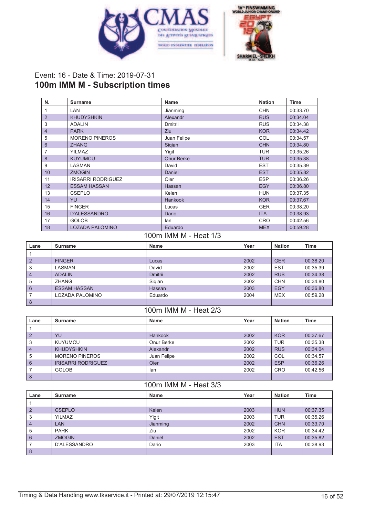



# Event: 16 - Date & Time: 2019-07-31 **100m IMM M - Subscription times**

| N.             | <b>Surname</b>            | <b>Name</b>       | <b>Nation</b> | <b>Time</b> |
|----------------|---------------------------|-------------------|---------------|-------------|
|                | <b>LAN</b>                | Jianming          | <b>CHN</b>    | 00:33.70    |
| $\overline{2}$ | <b>KHUDYSHKIN</b>         | Alexandr          | <b>RUS</b>    | 00:34.04    |
| 3              | <b>ADALIN</b>             | Dmitrii           | <b>RUS</b>    | 00:34.38    |
| $\overline{4}$ | <b>PARK</b>               | Ziu               | <b>KOR</b>    | 00:34.42    |
| 5              | <b>MORENO PINEROS</b>     | Juan Felipe       | COL           | 00:34.57    |
| 6              | <b>ZHANG</b>              | Sigian            | <b>CHN</b>    | 00:34.80    |
| 7              | <b>YILMAZ</b>             | Yigit             | <b>TUR</b>    | 00:35.26    |
| 8              | <b>KUYUMCU</b>            | <b>Onur Berke</b> | <b>TUR</b>    | 00:35.38    |
| 9              | <b>LASMAN</b>             | David             | <b>EST</b>    | 00:35.39    |
| 10             | <b>ZMOGIN</b>             | Daniel            | <b>EST</b>    | 00:35.82    |
| 11             | <b>IRISARRI RODRIGUEZ</b> | Oier              | <b>ESP</b>    | 00:36.26    |
| 12             | <b>ESSAM HASSAN</b>       | Hassan            | <b>EGY</b>    | 00:36.80    |
| 13             | <b>CSEPLO</b>             | Kelen             | <b>HUN</b>    | 00:37.35    |
| 14             | YU                        | <b>Hankook</b>    | <b>KOR</b>    | 00:37.67    |
| 15             | <b>FINGER</b>             | Lucas             | <b>GER</b>    | 00:38.20    |
| 16             | <b>D'ALESSANDRO</b>       | Dario             | <b>ITA</b>    | 00:38.93    |
| 17             | <b>GOLOB</b>              | lan               | <b>CRO</b>    | 00:42.56    |
| 18             | <b>LOZADA PALOMINO</b>    | Eduardo           | <b>MEX</b>    | 00:59.28    |

#### 100m IMM M - Heat 1/3

| Lane           | Surname             | <b>Name</b>    | Year | <b>Nation</b> | Time     |
|----------------|---------------------|----------------|------|---------------|----------|
|                |                     |                |      |               |          |
| $\overline{2}$ | <b>FINGER</b>       | Lucas          | 2002 | <b>GER</b>    | 00:38.20 |
| 3              | LASMAN              | David          | 2002 | <b>EST</b>    | 00:35.39 |
| $\overline{4}$ | <b>ADALIN</b>       | <b>Dmitrii</b> | 2002 | <b>RUS</b>    | 00:34.38 |
| 5              | <b>ZHANG</b>        | Sigian         | 2002 | <b>CHN</b>    | 00:34.80 |
| l 6            | <b>ESSAM HASSAN</b> | Hassan         | 2003 | <b>EGY</b>    | 00:36.80 |
|                | LOZADA PALOMINO     | Eduardo        | 2004 | <b>MEX</b>    | 00:59.28 |
| $\mid$ 8       |                     |                |      |               |          |

#### 100m IMM M - Heat 2/3

| Lane           | <b>Surname</b>            | <b>Name</b> | Year | <b>Nation</b> | Time     |
|----------------|---------------------------|-------------|------|---------------|----------|
|                |                           |             |      |               |          |
| $\overline{2}$ | YU                        | Hankook     | 2002 | <b>KOR</b>    | 00:37.67 |
| 3              | <b>KUYUMCU</b>            | Onur Berke  | 2002 | TUR           | 00:35.38 |
| $\overline{4}$ | <b>KHUDYSHKIN</b>         | Alexandr    | 2002 | <b>RUS</b>    | 00:34.04 |
| 5              | <b>MORENO PINEROS</b>     | Juan Felipe | 2002 | COL           | 00:34.57 |
| 6              | <b>IRISARRI RODRIGUEZ</b> | Oier        | 2002 | <b>ESP</b>    | 00:36.26 |
|                | <b>GOLOB</b>              | lan         | 2002 | <b>CRO</b>    | 00:42.56 |
| 8              |                           |             |      |               |          |

#### 100m IMM M - Heat 3/3

| Lane           | Surname       | <b>Name</b> | Year | <b>Nation</b> | Time     |
|----------------|---------------|-------------|------|---------------|----------|
|                |               |             |      |               |          |
| $\overline{2}$ | <b>CSEPLO</b> | Kelen       | 2003 | <b>HUN</b>    | 00:37.35 |
| 3              | <b>YILMAZ</b> | Yigit       | 2003 | <b>TUR</b>    | 00:35.26 |
| $\overline{4}$ | <b>LAN</b>    | Jianming    | 2002 | <b>CHN</b>    | 00:33.70 |
| 5              | <b>PARK</b>   | Ziu         | 2002 | <b>KOR</b>    | 00:34.42 |
| 6              | <b>ZMOGIN</b> | Daniel      | 2002 | <b>EST</b>    | 00:35.82 |
|                | D'ALESSANDRO  | Dario       | 2003 | <b>ITA</b>    | 00:38.93 |
| 8              |               |             |      |               |          |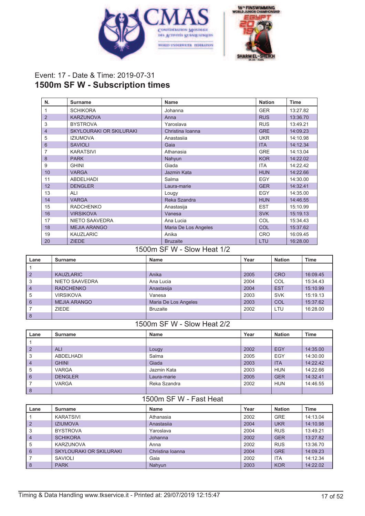



# Event: 17 - Date & Time: 2019-07-31 **1500m SF W - Subscription times**

| N.             | <b>Surname</b>                 | <b>Name</b>          | <b>Nation</b> | <b>Time</b> |
|----------------|--------------------------------|----------------------|---------------|-------------|
| 1              | <b>SCHIKORA</b>                | Johanna              | <b>GER</b>    | 13:27.82    |
| $\overline{2}$ | <b>KARZUNOVA</b>               | Anna                 | <b>RUS</b>    | 13:36.70    |
| 3              | <b>BYSTROVA</b>                | Yaroslava            | <b>RUS</b>    | 13:49.21    |
| $\overline{4}$ | <b>SKYLOURAKI OR SKILURAKI</b> | Christina Ioanna     | <b>GRE</b>    | 14:09.23    |
| 5              | <b>IZIUMOVA</b>                | Anastasija           | <b>UKR</b>    | 14:10.98    |
| 6              | <b>SAVIOLI</b>                 | Gaia                 | <b>ITA</b>    | 14:12.34    |
| 7              | <b>KARATSIVI</b>               | Athanasia            | <b>GRE</b>    | 14:13.04    |
| 8              | <b>PARK</b>                    | Nahyun               | <b>KOR</b>    | 14:22.02    |
| 9              | <b>GHINI</b>                   | Giada                | <b>ITA</b>    | 14:22.42    |
| 10             | <b>VARGA</b>                   | Jazmin Kata          | <b>HUN</b>    | 14:22.66    |
| 11             | <b>ABDELHADI</b>               | Salma                | EGY           | 14:30.00    |
| 12             | <b>DENGLER</b>                 | Laura-marie          | <b>GER</b>    | 14:32.41    |
| 13             | ALI                            | Lougy                | EGY           | 14:35.00    |
| 14             | <b>VARGA</b>                   | Reka Szandra         | <b>HUN</b>    | 14:46.55    |
| 15             | <b>RADCHENKO</b>               | Anastasija           | <b>EST</b>    | 15:10.99    |
| 16             | <b>VIRSIKOVA</b>               | Vanesa               | <b>SVK</b>    | 15:19.13    |
| 17             | <b>NIETO SAAVEDRA</b>          | Ana Lucia            | COL           | 15:34.43    |
| 18             | <b>MEJIA ARANGO</b>            | Maria De Los Angeles | COL           | 15:37.62    |
| 19             | <b>KAUZLARIC</b>               | Anika                | <b>CRO</b>    | 16:09.45    |
| 20             | <b>ZIEDE</b>                   | <b>Bruzaite</b>      | LTU           | 16:28.00    |

1500m SF W - Slow Heat 1/2

| Lane           | Surname             | Name                 | Year | <b>Nation</b> | Time     |
|----------------|---------------------|----------------------|------|---------------|----------|
|                |                     |                      |      |               |          |
| $\overline{2}$ | <b>KAUZLARIC</b>    | Anika                | 2005 | <b>CRO</b>    | 16:09.45 |
| 3              | NIETO SAAVEDRA      | Ana Lucia            | 2004 | COL           | 15:34.43 |
| $\overline{4}$ | <b>RADCHENKO</b>    | Anastasija           | 2004 | <b>EST</b>    | 15:10.99 |
| 5              | <b>VIRSIKOVA</b>    | Vanesa               | 2003 | <b>SVK</b>    | 15:19.13 |
| 6              | <b>MEJIA ARANGO</b> | Maria De Los Angeles | 2003 | COL           | 15:37.62 |
|                | <b>ZIEDE</b>        | <b>Bruzaite</b>      | 2002 | LTU           | 16:28.00 |
| 8              |                     |                      |      |               |          |

# 1500m SF W - Slow Heat 2/2

| Lane           | <b>Surname</b> | Name         | Year | <b>Nation</b> | Time     |
|----------------|----------------|--------------|------|---------------|----------|
| 1              |                |              |      |               |          |
| $\overline{2}$ | <b>ALI</b>     | Lougy        | 2002 | <b>EGY</b>    | 14:35.00 |
| 3              | ABDELHADI      | Salma        | 2005 | EGY           | 14:30.00 |
| $\overline{4}$ | <b>GHINI</b>   | Giada        | 2003 | <b>ITA</b>    | 14:22.42 |
| 5              | <b>VARGA</b>   | Jazmin Kata  | 2003 | <b>HUN</b>    | 14:22.66 |
| 6              | <b>DENGLER</b> | Laura-marie  | 2005 | <b>GER</b>    | 14:32.41 |
|                | <b>VARGA</b>   | Reka Szandra | 2002 | <b>HUN</b>    | 14:46.55 |
| 8              |                |              |      |               |          |

#### 1500m SF W - Fast Heat

| Lane           | <b>Surname</b>          | Name             | Year | <b>Nation</b> | Time     |
|----------------|-------------------------|------------------|------|---------------|----------|
|                | <b>KARATSIVI</b>        | Athanasia        | 2002 | <b>GRE</b>    | 14:13.04 |
| $\overline{2}$ | <b>IZIUMOVA</b>         | Anastasija       | 2004 | <b>UKR</b>    | 14:10.98 |
| 3              | <b>BYSTROVA</b>         | Yaroslava        | 2004 | <b>RUS</b>    | 13:49.21 |
| $\overline{4}$ | <b>SCHIKORA</b>         | Johanna          | 2002 | <b>GER</b>    | 13:27.82 |
| 5              | KARZUNOVA               | Anna             | 2002 | <b>RUS</b>    | 13:36.70 |
| 6              | SKYLOURAKI OR SKILURAKI | Christina Ioanna | 2004 | <b>GRE</b>    | 14:09.23 |
|                | SAVIOLI                 | Gaia             | 2002 | <b>ITA</b>    | 14:12.34 |
| 8              | <b>PARK</b>             | Nahyun           | 2003 | <b>KOR</b>    | 14:22.02 |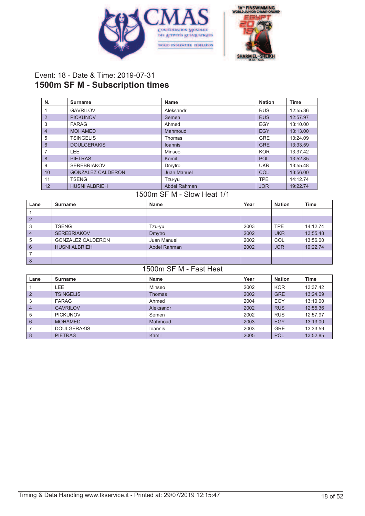



## Event: 18 - Date & Time: 2019-07-31 **1500m SF M - Subscription times**

| N.             | Surname                  | <b>Name</b>    | <b>Nation</b> | <b>Time</b> |
|----------------|--------------------------|----------------|---------------|-------------|
|                | <b>GAVRILOV</b>          | Aleksandr      | <b>RUS</b>    | 12:55.36    |
| 2              | <b>PICKUNOV</b>          | Semen          | <b>RUS</b>    | 12:57.97    |
| 3              | <b>FARAG</b>             | Ahmed          | EGY           | 13:10.00    |
| $\overline{4}$ | <b>MOHAMED</b>           | Mahmoud        | <b>EGY</b>    | 13:13.00    |
| 5              | <b>TSINGELIS</b>         | <b>Thomas</b>  | <b>GRE</b>    | 13:24.09    |
| 6              | <b>DOULGERAKIS</b>       | <b>loannis</b> | <b>GRE</b>    | 13:33.59    |
|                | <b>LEE</b>               | Minseo         | <b>KOR</b>    | 13:37.42    |
| 8              | <b>PIETRAS</b>           | Kamil          | POL           | 13:52.85    |
| 9              | <b>SEREBRIAKOV</b>       | Dmytro         | <b>UKR</b>    | 13:55.48    |
| 10             | <b>GONZALEZ CALDERON</b> | Juan Manuel    | COL           | 13:56.00    |
| 11             | <b>TSENG</b>             | Tzu-yu         | <b>TPE</b>    | 14:12.74    |
| 12             | <b>HUSNI ALBRIEH</b>     | Abdel Rahman   | <b>JOR</b>    | 19:22.74    |

### 1500m SF M - Slow Heat 1/1

| Lane            | Surname                  | Name         | Year | <b>Nation</b> | <b>Time</b> |
|-----------------|--------------------------|--------------|------|---------------|-------------|
|                 |                          |              |      |               |             |
| $\overline{2}$  |                          |              |      |               |             |
| 3               | <b>TSENG</b>             | Tzu-yu       | 2003 | <b>TPE</b>    | 14:12.74    |
| $\overline{4}$  | <b>SEREBRIAKOV</b>       | Dmytro       | 2002 | <b>UKR</b>    | 13:55.48    |
| 5               | <b>GONZALEZ CALDERON</b> | Juan Manuel  | 2002 | COL           | 13:56.00    |
| $6\phantom{1}6$ | <b>HUSNI ALBRIEH</b>     | Abdel Rahman | 2002 | <b>JOR</b>    | 19:22.74    |
| 7               |                          |              |      |               |             |
| 8               |                          |              |      |               |             |

### 1500m SF M - Fast Heat

| Lane           | Surname            | Name      | Year | <b>Nation</b> | <b>Time</b> |
|----------------|--------------------|-----------|------|---------------|-------------|
|                | LEE                | Minseo    | 2002 | <b>KOR</b>    | 13:37.42    |
| $\overline{2}$ | <b>TSINGELIS</b>   | Thomas    | 2002 | <b>GRE</b>    | 13:24.09    |
| 3              | <b>FARAG</b>       | Ahmed     | 2004 | EGY           | 13:10.00    |
| $\overline{4}$ | <b>GAVRILOV</b>    | Aleksandr | 2002 | <b>RUS</b>    | 12:55.36    |
| 5              | <b>PICKUNOV</b>    | Semen     | 2002 | <b>RUS</b>    | 12:57.97    |
| 6              | <b>MOHAMED</b>     | Mahmoud   | 2003 | EGY           | 13:13.00    |
|                | <b>DOULGERAKIS</b> | Ioannis   | 2003 | <b>GRE</b>    | 13:33.59    |
| $\delta$       | <b>PIETRAS</b>     | Kamil     | 2005 | <b>POL</b>    | 13:52.85    |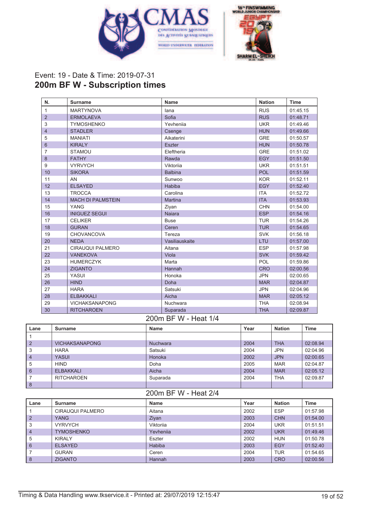



## Event: 19 - Date & Time: 2019-07-31 **200m BF W - Subscription times**

| N.             | <b>Surname</b>           | <b>Name</b>    | <b>Nation</b> | <b>Time</b> |
|----------------|--------------------------|----------------|---------------|-------------|
| $\mathbf{1}$   | <b>MARTYNOVA</b>         | lana           | <b>RUS</b>    | 01:45.15    |
| 2              | <b>ERMOLAEVA</b>         | Sofia          | <b>RUS</b>    | 01:48.71    |
| 3              | <b>TYMOSHENKO</b>        | Yevhenija      | <b>UKR</b>    | 01:49.46    |
| $\overline{4}$ | <b>STADLER</b>           | Csenge         | <b>HUN</b>    | 01:49.66    |
| 5              | <b>MANIATI</b>           | Aikaterini     | <b>GRE</b>    | 01:50.57    |
| $6\phantom{1}$ | <b>KIRALY</b>            | <b>Eszter</b>  | <b>HUN</b>    | 01:50.78    |
| 7              | <b>STAMOU</b>            | Eleftheria     | <b>GRE</b>    | 01:51.02    |
| 8              | <b>FATHY</b>             | Rawda          | <b>EGY</b>    | 01:51.50    |
| 9              | <b>VYRVYCH</b>           | Viktorija      | <b>UKR</b>    | 01:51.51    |
| 10             | <b>SIKORA</b>            | <b>Balbina</b> | <b>POL</b>    | 01:51.59    |
| 11             | AN                       | Sunwoo         | <b>KOR</b>    | 01:52.11    |
| 12             | <b>ELSAYED</b>           | Habiba         | <b>EGY</b>    | 01:52.40    |
| 13             | <b>TROCCA</b>            | Carolina       | <b>ITA</b>    | 01:52.72    |
| 14             | <b>MACH DI PALMSTEIN</b> | <b>Martina</b> | <b>ITA</b>    | 01:53.93    |
| 15             | <b>YANG</b>              | Ziyan          | <b>CHN</b>    | 01:54.00    |
| 16             | <b>INIGUEZ SEGUI</b>     | <b>Najara</b>  | <b>ESP</b>    | 01:54.16    |
| 17             | <b>CELIKER</b>           | <b>Buse</b>    | <b>TUR</b>    | 01:54.26    |
| 18             | <b>GURAN</b>             | Ceren          | <b>TUR</b>    | 01:54.65    |
| 19             | <b>CHOVANCOVA</b>        | Tereza         | <b>SVK</b>    | 01:56.18    |
| 20             | <b>NEDA</b>              | Vasiliauskaite | LTU           | 01:57.00    |
| 21             | <b>CIRAUQUI PALMERO</b>  | Aitana         | <b>ESP</b>    | 01:57.98    |
| 22             | <b>VANEKOVA</b>          | Viola          | <b>SVK</b>    | 01:59.42    |
| 23             | <b>HUMERCZYK</b>         | Marta          | POL           | 01:59.86    |
| 24             | <b>ZIGANTO</b>           | Hannah         | <b>CRO</b>    | 02:00.56    |
| 25             | YASUI                    | Honoka         | <b>JPN</b>    | 02:00.65    |
| 26             | <b>HIND</b>              | Doha           | <b>MAR</b>    | 02:04.87    |
| 27             | <b>HARA</b>              | Satsuki        | <b>JPN</b>    | 02:04.96    |
| 28             | <b>ELBAKKALI</b>         | Aicha          | <b>MAR</b>    | 02:05.12    |
| 29             | <b>VICHAKSANAPONG</b>    | Nuchwara       | <b>THA</b>    | 02:08.94    |
| 30             | <b>RITCHAROEN</b>        | Suparada       | <b>THA</b>    | 02:09.87    |

#### 200m BF W - Heat 1/4

| Lane           | Surname               | <b>Name</b>     | Year | <b>Nation</b> | <b>Time</b> |
|----------------|-----------------------|-----------------|------|---------------|-------------|
|                |                       |                 |      |               |             |
| $\overline{2}$ | <b>VICHAKSANAPONG</b> | <b>Nuchwara</b> | 2004 | <b>THA</b>    | 02:08.94    |
| 3              | <b>HARA</b>           | Satsuki         | 2004 | <b>JPN</b>    | 02:04.96    |
| $\overline{4}$ | <b>YASUI</b>          | Honoka          | 2002 | <b>JPN</b>    | 02:00.65    |
| 5              | <b>HIND</b>           | Doha            | 2005 | <b>MAR</b>    | 02:04.87    |
| 6              | <b>ELBAKKALI</b>      | Aicha           | 2004 | <b>MAR</b>    | 02:05.12    |
|                | <b>RITCHAROEN</b>     | Suparada        | 2004 | <b>THA</b>    | 02:09.87    |
| 8              |                       |                 |      |               |             |

#### 200m BF W - Heat 2/4

| Lane           | Surname           | <b>Name</b>   | Year | <b>Nation</b> | Time     |
|----------------|-------------------|---------------|------|---------------|----------|
|                | CIRAUQUI PALMERO  | Aitana        | 2002 | <b>ESP</b>    | 01:57.98 |
| $\overline{2}$ | <b>YANG</b>       | Ziyan         | 2003 | <b>CHN</b>    | 01:54.00 |
| 3              | <b>VYRVYCH</b>    | Viktorija     | 2004 | UKR           | 01:51.51 |
| $\overline{4}$ | <b>TYMOSHENKO</b> | Yevhenija     | 2002 | <b>UKR</b>    | 01:49.46 |
| 5              | <b>KIRALY</b>     | Eszter        | 2002 | <b>HUN</b>    | 01:50.78 |
| 6              | <b>ELSAYED</b>    | <b>Habiba</b> | 2003 | EGY           | 01:52.40 |
|                | <b>GURAN</b>      | Ceren         | 2004 | TUR           | 01:54.65 |
| 8              | <b>ZIGANTO</b>    | Hannah        | 2003 | <b>CRO</b>    | 02:00.56 |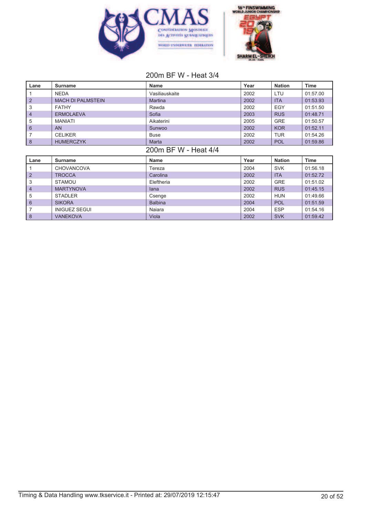



### 200m BF W - Heat 3/4

| Lane            | <b>Surname</b>           | <b>Name</b>          | Year | <b>Nation</b> | <b>Time</b> |
|-----------------|--------------------------|----------------------|------|---------------|-------------|
|                 | <b>NEDA</b>              | Vasiliauskaite       | 2002 | LTU           | 01:57.00    |
| $\overline{2}$  | <b>MACH DI PALMSTEIN</b> | <b>Martina</b>       | 2002 | <b>ITA</b>    | 01:53.93    |
| 3               | <b>FATHY</b>             | Rawda                | 2002 | EGY           | 01:51.50    |
| 4               | <b>ERMOLAEVA</b>         | Sofia                | 2003 | <b>RUS</b>    | 01:48.71    |
| 5               | <b>MANIATI</b>           | Aikaterini           | 2005 | <b>GRE</b>    | 01:50.57    |
| $6\phantom{1}6$ | <b>AN</b>                | Sunwoo               | 2002 | <b>KOR</b>    | 01:52.11    |
| 7               | <b>CELIKER</b>           | <b>Buse</b>          | 2002 | <b>TUR</b>    | 01:54.26    |
| 8               | <b>HUMERCZYK</b>         | Marta                | 2002 | <b>POL</b>    | 01:59.86    |
|                 |                          | 200m BF W - Heat 4/4 |      |               |             |
| Lane            | <b>Surname</b>           | <b>Name</b>          | Year | <b>Nation</b> | <b>Time</b> |
|                 | <b>CHOVANCOVA</b>        | Tereza               | 2004 | <b>SVK</b>    | 01:56.18    |
| $\overline{2}$  | <b>TROCCA</b>            | Carolina             | 2002 | <b>ITA</b>    | 01:52.72    |
| 3               | <b>STAMOU</b>            | Eleftheria           | 2002 | <b>GRE</b>    | 01:51.02    |
| 4               | <b>MARTYNOVA</b>         | lana                 | 2002 | <b>RUS</b>    | 01:45.15    |
| 5               | <b>STADLER</b>           | Csenge               | 2002 | <b>HUN</b>    | 01:49.66    |
| $6\phantom{1}$  | <b>SIKORA</b>            | <b>Balbina</b>       | 2004 | <b>POL</b>    | 01:51.59    |
| 7               | <b>INIGUEZ SEGUI</b>     | Naiara               | 2004 | <b>ESP</b>    | 01:54.16    |
| $\delta$        | <b>VANEKOVA</b>          | Viola                | 2002 | <b>SVK</b>    | 01:59.42    |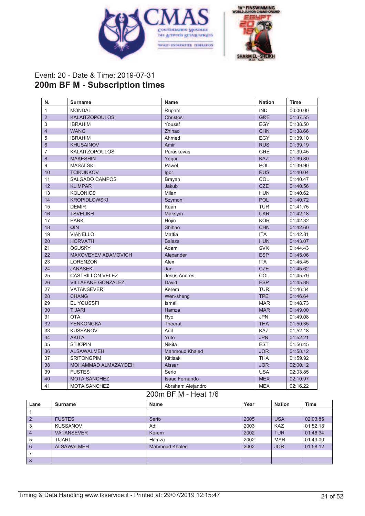



## Event: 20 - Date & Time: 2019-07-31 **200m BF M - Subscription times**

| N.             | <b>Surname</b>            | <b>Name</b>           | <b>Nation</b> | <b>Time</b> |
|----------------|---------------------------|-----------------------|---------------|-------------|
| 1              | <b>MONDAL</b>             | Rupam                 | <b>IND</b>    | 00:00.00    |
| $\overline{2}$ | <b>KALAITZOPOULOS</b>     | <b>Christos</b>       | <b>GRE</b>    | 01:37.55    |
| 3              | <b>IBRAHIM</b>            | Yousef                | EGY           | 01:38.50    |
| $\overline{4}$ | <b>WANG</b>               | Zhihao                | <b>CHN</b>    | 01:38.66    |
| 5              | <b>IBRAHIM</b>            | Ahmed                 | EGY           | 01:39.10    |
| 6              | <b>KHUSAINOV</b>          | Amir                  | <b>RUS</b>    | 01:39.19    |
| 7              | <b>KALAITZOPOULOS</b>     | Paraskevas            | <b>GRE</b>    | 01:39.45    |
| 8              | <b>MAKESHIN</b>           | Yegor                 | <b>KAZ</b>    | 01:39.80    |
| 9              | <b>MASALSKI</b>           | Pawel                 | POL           | 01:39.90    |
| 10             | <b>TCIKUNKOV</b>          | Igor                  | <b>RUS</b>    | 01:40.04    |
| 11             | <b>SALGADO CAMPOS</b>     | Brayan                | COL           | 01:40.47    |
| 12             | <b>KLIMPAR</b>            | Jakub                 | <b>CZE</b>    | 01:40.56    |
| 13             | <b>KOLONICS</b>           | Milan                 | <b>HUN</b>    | 01:40.62    |
| 14             | <b>KROPIDLOWSKI</b>       | Szymon                | <b>POL</b>    | 01:40.72    |
| 15             | <b>DEMIR</b>              | Kaan                  | <b>TUR</b>    | 01:41.75    |
| 16             | <b>TSVELIKH</b>           | Maksym                | <b>UKR</b>    | 01:42.18    |
| 17             | <b>PARK</b>               | Hojin                 | <b>KOR</b>    | 01:42.32    |
| 18             | QIN                       | Shihao                | <b>CHN</b>    | 01:42.60    |
| 19             | <b>VIANELLO</b>           | Mattia                | <b>ITA</b>    | 01:42.81    |
| 20             | <b>HORVATH</b>            | <b>Balazs</b>         | <b>HUN</b>    | 01:43.07    |
| 21             | <b>OSUSKY</b>             | Adam                  | <b>SVK</b>    | 01:44.43    |
| 22             | MAKOVEYEV ADAMOVICH       | Alexander             | <b>ESP</b>    | 01:45.06    |
| 23             | <b>LORENZON</b>           | Alex                  | <b>ITA</b>    | 01:45.45    |
| 24             | <b>JANASEK</b>            | Jan                   | <b>CZE</b>    | 01:45.62    |
| 25             | <b>CASTRILLON VELEZ</b>   | <b>Jesus Andres</b>   | COL           | 01:45.79    |
| 26             | <b>VILLAFANE GONZALEZ</b> | David                 | <b>ESP</b>    | 01:45.88    |
| 27             | <b>VATANSEVER</b>         | Kerem                 | <b>TUR</b>    | 01:46.34    |
| 28             | <b>CHANG</b>              | Wen-sheng             | <b>TPE</b>    | 01:46.64    |
| 29             | <b>EL YOUSSFI</b>         | Ismail                | <b>MAR</b>    | 01:48.73    |
| 30             | <b>TIJARI</b>             | Hamza                 | <b>MAR</b>    | 01:49.00    |
| 31             | <b>OTA</b>                | Ryo                   | <b>JPN</b>    | 01:49.08    |
| 32             | <b>YENKONGKA</b>          | <b>Theerut</b>        | <b>THA</b>    | 01:50.35    |
| 33             | <b>KUSSANOV</b>           | Adil                  | <b>KAZ</b>    | 01:52.18    |
| 34             | <b>AKITA</b>              | Yuto                  | <b>JPN</b>    | 01:52.21    |
| 35             | <b>STJOPIN</b>            | Nikita                | <b>EST</b>    | 01:56.45    |
| 36             | <b>ALSAWALMEH</b>         | <b>Mahmoud Khaled</b> | <b>JOR</b>    | 01:58.12    |
| 37             | <b>SRITONGPIM</b>         | Kittisak              | <b>THA</b>    | 01:59.92    |
| 38             | MOHAMMAD ALMAZAYDEH       | Aissar                | <b>JOR</b>    | 02:00.12    |
| 39             | <b>FUSTES</b>             | Serio                 | <b>USA</b>    | 02:03.85    |
| 40             | <b>MOTA SANCHEZ</b>       | <b>Isaac Fernando</b> | <b>MEX</b>    | 02:10.97    |
| 41             | <b>MOTA SANCHEZ</b>       | Abraham Alejandro     | <b>MEX</b>    | 02:16.22    |

#### 200m BF M - Heat 1/6

| Lane            | Surname           | Name                  | Year | <b>Nation</b> | <b>Time</b> |
|-----------------|-------------------|-----------------------|------|---------------|-------------|
|                 |                   |                       |      |               |             |
| $\overline{2}$  | <b>FUSTES</b>     | Serio                 | 2005 | <b>USA</b>    | 02:03.85    |
| 3               | <b>KUSSANOV</b>   | Adil                  | 2003 | <b>KAZ</b>    | 01:52.18    |
| $\overline{4}$  | <b>VATANSEVER</b> | Kerem                 | 2002 | <b>TUR</b>    | 01:46.34    |
| 5               | <b>TIJARI</b>     | Hamza                 | 2002 | <b>MAR</b>    | 01:49.00    |
| $6\phantom{1}6$ | <b>ALSAWALMEH</b> | <b>Mahmoud Khaled</b> | 2002 | <b>JOR</b>    | 01:58.12    |
|                 |                   |                       |      |               |             |
| 8               |                   |                       |      |               |             |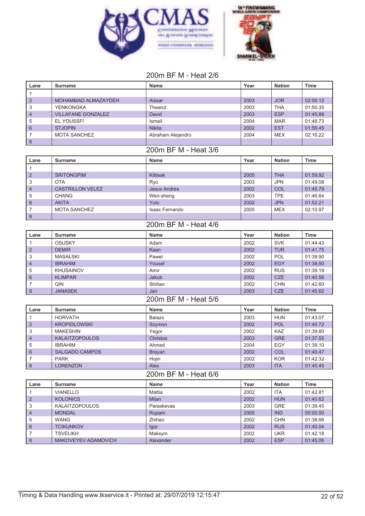



## 200m BF M - Heat 2/6

| $\mathbf{1}$<br>$\overline{2}$<br>2003<br><b>JOR</b><br>MOHAMMAD ALMAZAYDEH<br>Aissar<br>02:00.12<br>3<br><b>YENKONGKA</b><br>Theerut<br>2003<br><b>THA</b><br>01:50.35<br><b>ESP</b><br><b>VILLAFANE GONZALEZ</b><br>2003<br>01:45.88<br>$\overline{4}$<br>David<br>5<br><b>EL YOUSSFI</b><br>Ismail<br>2004<br><b>MAR</b><br>01:48.73<br><b>EST</b><br>6<br><b>STJOPIN</b><br><b>Nikita</b><br>2002<br>01:56.45<br>7<br><b>MOTA SANCHEZ</b><br>Abraham Alejandro<br>2004<br><b>MEX</b><br>02:16.22<br>$\delta$<br>200m BF M - Heat 3/6<br>Year<br><b>Nation</b><br><b>Time</b><br>Lane<br><b>Surname</b><br><b>Name</b><br>1<br>2005<br><b>THA</b><br>$\overline{2}$<br><b>SRITONGPIM</b><br>Kittisak<br>01:59.92<br><b>JPN</b><br>3<br><b>OTA</b><br>2003<br>01:49.08<br>Ryo<br>$\overline{4}$<br><b>CASTRILLON VELEZ</b><br>2002<br>COL<br>01:45.79<br><b>Jesus Andres</b><br>2003<br><b>TPE</b><br>01:46.64<br>5<br><b>CHANG</b><br>Wen-sheng<br>2002<br><b>JPN</b><br>01:52.21<br>6<br><b>AKITA</b><br>Yuto<br>7<br><b>MOTA SANCHEZ</b><br>Isaac Fernando<br>2005<br><b>MEX</b><br>02:10.97<br>8<br>200m BF M - Heat 4/6<br>Year<br><b>Nation</b><br><b>Time</b><br>Lane<br><b>Surname</b><br><b>Name</b><br>$\mathbf{1}$<br>2002<br><b>SVK</b><br>01:44.43<br><b>OSUSKY</b><br>Adam<br><b>DEMIR</b><br>2002<br><b>TUR</b><br>01:41.75<br>2<br>Kaan<br>3<br>2002<br>POL<br>01:39.90<br><b>MASALSKI</b><br>Pawel<br>2002<br><b>EGY</b><br>01:38.50<br>$\overline{4}$<br><b>IBRAHIM</b><br>Yousef<br>5<br>2002<br><b>RUS</b><br>01:39.19<br><b>KHUSAINOV</b><br>Amir<br><b>CZE</b><br>Jakub<br>2002<br>01:40.56<br>6<br><b>KLIMPAR</b><br>7<br>QIN<br>Shihao<br>2002<br><b>CHN</b><br>01:42.60<br><b>JANASEK</b><br>2003<br><b>CZE</b><br>8<br>01:45.62<br>Jan<br>200m BF M - Heat 5/6<br><b>Nation</b><br><b>Surname</b><br>Year<br><b>Time</b><br>Lane<br><b>Name</b><br><b>HORVATH</b><br>2003<br><b>HUN</b><br>01:43.07<br><b>Balazs</b><br>1<br>$\overline{2}$<br>2002<br><b>POL</b><br>01:40.72<br><b>KROPIDLOWSKI</b><br>Szymon<br>3<br><b>MAKESHIN</b><br>Yegor<br>2002<br>KAZ<br>01:39.80<br><b>KALAITZOPOULOS</b><br>Christos<br>2003<br><b>GRE</b><br>01:37.55<br>$\overline{4}$<br>EGY<br>5<br><b>IBRAHIM</b><br>Ahmed<br>2004<br>01:39.10<br>COL<br>6<br><b>SALGADO CAMPOS</b><br>2002<br>01:40.47<br><b>Brayan</b><br>2002<br><b>KOR</b><br>7<br><b>PARK</b><br>Hojin<br>01:42.32<br>$\,$ 8 $\,$<br>Alex<br><b>LORENZON</b><br>2003<br><b>ITA</b><br>01:45.45<br>200m BF M - Heat 6/6<br>Year<br><b>Nation</b><br><b>Time</b><br>Lane<br>Name<br><b>Surname</b><br><b>VIANELLO</b><br>2002<br><b>ITA</b><br>01:42.81<br>1<br>Mattia<br>2002<br>$\overline{2}$<br><b>KOLONICS</b><br>Milan<br><b>HUN</b><br>01:40.62<br>Paraskevas<br>2003<br><b>GRE</b><br>01:39.45<br>3<br><b>KALAITZOPOULOS</b><br>2005<br>$\overline{4}$<br><b>MONDAL</b><br><b>IND</b><br>00:00.00<br>Rupam<br>5<br><b>WANG</b><br>Zhihao<br>2002<br><b>CHN</b><br>01:38.66<br>$\,$ 6 $\,$<br>2002<br><b>RUS</b><br><b>TCIKUNKOV</b><br>Igor<br>01:40.04<br>7<br>Maksym<br>2002<br><b>TSVELIKH</b><br><b>UKR</b><br>01:42.18 | Lane | <b>Surname</b>      | <b>Name</b> | Year | <b>Nation</b> | <b>Time</b> |
|--------------------------------------------------------------------------------------------------------------------------------------------------------------------------------------------------------------------------------------------------------------------------------------------------------------------------------------------------------------------------------------------------------------------------------------------------------------------------------------------------------------------------------------------------------------------------------------------------------------------------------------------------------------------------------------------------------------------------------------------------------------------------------------------------------------------------------------------------------------------------------------------------------------------------------------------------------------------------------------------------------------------------------------------------------------------------------------------------------------------------------------------------------------------------------------------------------------------------------------------------------------------------------------------------------------------------------------------------------------------------------------------------------------------------------------------------------------------------------------------------------------------------------------------------------------------------------------------------------------------------------------------------------------------------------------------------------------------------------------------------------------------------------------------------------------------------------------------------------------------------------------------------------------------------------------------------------------------------------------------------------------------------------------------------------------------------------------------------------------------------------------------------------------------------------------------------------------------------------------------------------------------------------------------------------------------------------------------------------------------------------------------------------------------------------------------------------------------------------------------------------------------------------------------------------------------------------------------------------------------------------------------------------------------------------------------------------------------------------------------------------------------------------------------------------------------------------------------------------------------------------------------------------------------------------------------------------------------------------------------------------------------------------------------------------------------------------------------------------------------|------|---------------------|-------------|------|---------------|-------------|
|                                                                                                                                                                                                                                                                                                                                                                                                                                                                                                                                                                                                                                                                                                                                                                                                                                                                                                                                                                                                                                                                                                                                                                                                                                                                                                                                                                                                                                                                                                                                                                                                                                                                                                                                                                                                                                                                                                                                                                                                                                                                                                                                                                                                                                                                                                                                                                                                                                                                                                                                                                                                                                                                                                                                                                                                                                                                                                                                                                                                                                                                                                                    |      |                     |             |      |               |             |
|                                                                                                                                                                                                                                                                                                                                                                                                                                                                                                                                                                                                                                                                                                                                                                                                                                                                                                                                                                                                                                                                                                                                                                                                                                                                                                                                                                                                                                                                                                                                                                                                                                                                                                                                                                                                                                                                                                                                                                                                                                                                                                                                                                                                                                                                                                                                                                                                                                                                                                                                                                                                                                                                                                                                                                                                                                                                                                                                                                                                                                                                                                                    |      |                     |             |      |               |             |
|                                                                                                                                                                                                                                                                                                                                                                                                                                                                                                                                                                                                                                                                                                                                                                                                                                                                                                                                                                                                                                                                                                                                                                                                                                                                                                                                                                                                                                                                                                                                                                                                                                                                                                                                                                                                                                                                                                                                                                                                                                                                                                                                                                                                                                                                                                                                                                                                                                                                                                                                                                                                                                                                                                                                                                                                                                                                                                                                                                                                                                                                                                                    |      |                     |             |      |               |             |
|                                                                                                                                                                                                                                                                                                                                                                                                                                                                                                                                                                                                                                                                                                                                                                                                                                                                                                                                                                                                                                                                                                                                                                                                                                                                                                                                                                                                                                                                                                                                                                                                                                                                                                                                                                                                                                                                                                                                                                                                                                                                                                                                                                                                                                                                                                                                                                                                                                                                                                                                                                                                                                                                                                                                                                                                                                                                                                                                                                                                                                                                                                                    |      |                     |             |      |               |             |
|                                                                                                                                                                                                                                                                                                                                                                                                                                                                                                                                                                                                                                                                                                                                                                                                                                                                                                                                                                                                                                                                                                                                                                                                                                                                                                                                                                                                                                                                                                                                                                                                                                                                                                                                                                                                                                                                                                                                                                                                                                                                                                                                                                                                                                                                                                                                                                                                                                                                                                                                                                                                                                                                                                                                                                                                                                                                                                                                                                                                                                                                                                                    |      |                     |             |      |               |             |
|                                                                                                                                                                                                                                                                                                                                                                                                                                                                                                                                                                                                                                                                                                                                                                                                                                                                                                                                                                                                                                                                                                                                                                                                                                                                                                                                                                                                                                                                                                                                                                                                                                                                                                                                                                                                                                                                                                                                                                                                                                                                                                                                                                                                                                                                                                                                                                                                                                                                                                                                                                                                                                                                                                                                                                                                                                                                                                                                                                                                                                                                                                                    |      |                     |             |      |               |             |
|                                                                                                                                                                                                                                                                                                                                                                                                                                                                                                                                                                                                                                                                                                                                                                                                                                                                                                                                                                                                                                                                                                                                                                                                                                                                                                                                                                                                                                                                                                                                                                                                                                                                                                                                                                                                                                                                                                                                                                                                                                                                                                                                                                                                                                                                                                                                                                                                                                                                                                                                                                                                                                                                                                                                                                                                                                                                                                                                                                                                                                                                                                                    |      |                     |             |      |               |             |
|                                                                                                                                                                                                                                                                                                                                                                                                                                                                                                                                                                                                                                                                                                                                                                                                                                                                                                                                                                                                                                                                                                                                                                                                                                                                                                                                                                                                                                                                                                                                                                                                                                                                                                                                                                                                                                                                                                                                                                                                                                                                                                                                                                                                                                                                                                                                                                                                                                                                                                                                                                                                                                                                                                                                                                                                                                                                                                                                                                                                                                                                                                                    |      |                     |             |      |               |             |
|                                                                                                                                                                                                                                                                                                                                                                                                                                                                                                                                                                                                                                                                                                                                                                                                                                                                                                                                                                                                                                                                                                                                                                                                                                                                                                                                                                                                                                                                                                                                                                                                                                                                                                                                                                                                                                                                                                                                                                                                                                                                                                                                                                                                                                                                                                                                                                                                                                                                                                                                                                                                                                                                                                                                                                                                                                                                                                                                                                                                                                                                                                                    |      |                     |             |      |               |             |
|                                                                                                                                                                                                                                                                                                                                                                                                                                                                                                                                                                                                                                                                                                                                                                                                                                                                                                                                                                                                                                                                                                                                                                                                                                                                                                                                                                                                                                                                                                                                                                                                                                                                                                                                                                                                                                                                                                                                                                                                                                                                                                                                                                                                                                                                                                                                                                                                                                                                                                                                                                                                                                                                                                                                                                                                                                                                                                                                                                                                                                                                                                                    |      |                     |             |      |               |             |
|                                                                                                                                                                                                                                                                                                                                                                                                                                                                                                                                                                                                                                                                                                                                                                                                                                                                                                                                                                                                                                                                                                                                                                                                                                                                                                                                                                                                                                                                                                                                                                                                                                                                                                                                                                                                                                                                                                                                                                                                                                                                                                                                                                                                                                                                                                                                                                                                                                                                                                                                                                                                                                                                                                                                                                                                                                                                                                                                                                                                                                                                                                                    |      |                     |             |      |               |             |
|                                                                                                                                                                                                                                                                                                                                                                                                                                                                                                                                                                                                                                                                                                                                                                                                                                                                                                                                                                                                                                                                                                                                                                                                                                                                                                                                                                                                                                                                                                                                                                                                                                                                                                                                                                                                                                                                                                                                                                                                                                                                                                                                                                                                                                                                                                                                                                                                                                                                                                                                                                                                                                                                                                                                                                                                                                                                                                                                                                                                                                                                                                                    |      |                     |             |      |               |             |
|                                                                                                                                                                                                                                                                                                                                                                                                                                                                                                                                                                                                                                                                                                                                                                                                                                                                                                                                                                                                                                                                                                                                                                                                                                                                                                                                                                                                                                                                                                                                                                                                                                                                                                                                                                                                                                                                                                                                                                                                                                                                                                                                                                                                                                                                                                                                                                                                                                                                                                                                                                                                                                                                                                                                                                                                                                                                                                                                                                                                                                                                                                                    |      |                     |             |      |               |             |
|                                                                                                                                                                                                                                                                                                                                                                                                                                                                                                                                                                                                                                                                                                                                                                                                                                                                                                                                                                                                                                                                                                                                                                                                                                                                                                                                                                                                                                                                                                                                                                                                                                                                                                                                                                                                                                                                                                                                                                                                                                                                                                                                                                                                                                                                                                                                                                                                                                                                                                                                                                                                                                                                                                                                                                                                                                                                                                                                                                                                                                                                                                                    |      |                     |             |      |               |             |
|                                                                                                                                                                                                                                                                                                                                                                                                                                                                                                                                                                                                                                                                                                                                                                                                                                                                                                                                                                                                                                                                                                                                                                                                                                                                                                                                                                                                                                                                                                                                                                                                                                                                                                                                                                                                                                                                                                                                                                                                                                                                                                                                                                                                                                                                                                                                                                                                                                                                                                                                                                                                                                                                                                                                                                                                                                                                                                                                                                                                                                                                                                                    |      |                     |             |      |               |             |
|                                                                                                                                                                                                                                                                                                                                                                                                                                                                                                                                                                                                                                                                                                                                                                                                                                                                                                                                                                                                                                                                                                                                                                                                                                                                                                                                                                                                                                                                                                                                                                                                                                                                                                                                                                                                                                                                                                                                                                                                                                                                                                                                                                                                                                                                                                                                                                                                                                                                                                                                                                                                                                                                                                                                                                                                                                                                                                                                                                                                                                                                                                                    |      |                     |             |      |               |             |
|                                                                                                                                                                                                                                                                                                                                                                                                                                                                                                                                                                                                                                                                                                                                                                                                                                                                                                                                                                                                                                                                                                                                                                                                                                                                                                                                                                                                                                                                                                                                                                                                                                                                                                                                                                                                                                                                                                                                                                                                                                                                                                                                                                                                                                                                                                                                                                                                                                                                                                                                                                                                                                                                                                                                                                                                                                                                                                                                                                                                                                                                                                                    |      |                     |             |      |               |             |
|                                                                                                                                                                                                                                                                                                                                                                                                                                                                                                                                                                                                                                                                                                                                                                                                                                                                                                                                                                                                                                                                                                                                                                                                                                                                                                                                                                                                                                                                                                                                                                                                                                                                                                                                                                                                                                                                                                                                                                                                                                                                                                                                                                                                                                                                                                                                                                                                                                                                                                                                                                                                                                                                                                                                                                                                                                                                                                                                                                                                                                                                                                                    |      |                     |             |      |               |             |
|                                                                                                                                                                                                                                                                                                                                                                                                                                                                                                                                                                                                                                                                                                                                                                                                                                                                                                                                                                                                                                                                                                                                                                                                                                                                                                                                                                                                                                                                                                                                                                                                                                                                                                                                                                                                                                                                                                                                                                                                                                                                                                                                                                                                                                                                                                                                                                                                                                                                                                                                                                                                                                                                                                                                                                                                                                                                                                                                                                                                                                                                                                                    |      |                     |             |      |               |             |
|                                                                                                                                                                                                                                                                                                                                                                                                                                                                                                                                                                                                                                                                                                                                                                                                                                                                                                                                                                                                                                                                                                                                                                                                                                                                                                                                                                                                                                                                                                                                                                                                                                                                                                                                                                                                                                                                                                                                                                                                                                                                                                                                                                                                                                                                                                                                                                                                                                                                                                                                                                                                                                                                                                                                                                                                                                                                                                                                                                                                                                                                                                                    |      |                     |             |      |               |             |
|                                                                                                                                                                                                                                                                                                                                                                                                                                                                                                                                                                                                                                                                                                                                                                                                                                                                                                                                                                                                                                                                                                                                                                                                                                                                                                                                                                                                                                                                                                                                                                                                                                                                                                                                                                                                                                                                                                                                                                                                                                                                                                                                                                                                                                                                                                                                                                                                                                                                                                                                                                                                                                                                                                                                                                                                                                                                                                                                                                                                                                                                                                                    |      |                     |             |      |               |             |
|                                                                                                                                                                                                                                                                                                                                                                                                                                                                                                                                                                                                                                                                                                                                                                                                                                                                                                                                                                                                                                                                                                                                                                                                                                                                                                                                                                                                                                                                                                                                                                                                                                                                                                                                                                                                                                                                                                                                                                                                                                                                                                                                                                                                                                                                                                                                                                                                                                                                                                                                                                                                                                                                                                                                                                                                                                                                                                                                                                                                                                                                                                                    |      |                     |             |      |               |             |
|                                                                                                                                                                                                                                                                                                                                                                                                                                                                                                                                                                                                                                                                                                                                                                                                                                                                                                                                                                                                                                                                                                                                                                                                                                                                                                                                                                                                                                                                                                                                                                                                                                                                                                                                                                                                                                                                                                                                                                                                                                                                                                                                                                                                                                                                                                                                                                                                                                                                                                                                                                                                                                                                                                                                                                                                                                                                                                                                                                                                                                                                                                                    |      |                     |             |      |               |             |
|                                                                                                                                                                                                                                                                                                                                                                                                                                                                                                                                                                                                                                                                                                                                                                                                                                                                                                                                                                                                                                                                                                                                                                                                                                                                                                                                                                                                                                                                                                                                                                                                                                                                                                                                                                                                                                                                                                                                                                                                                                                                                                                                                                                                                                                                                                                                                                                                                                                                                                                                                                                                                                                                                                                                                                                                                                                                                                                                                                                                                                                                                                                    |      |                     |             |      |               |             |
|                                                                                                                                                                                                                                                                                                                                                                                                                                                                                                                                                                                                                                                                                                                                                                                                                                                                                                                                                                                                                                                                                                                                                                                                                                                                                                                                                                                                                                                                                                                                                                                                                                                                                                                                                                                                                                                                                                                                                                                                                                                                                                                                                                                                                                                                                                                                                                                                                                                                                                                                                                                                                                                                                                                                                                                                                                                                                                                                                                                                                                                                                                                    |      |                     |             |      |               |             |
|                                                                                                                                                                                                                                                                                                                                                                                                                                                                                                                                                                                                                                                                                                                                                                                                                                                                                                                                                                                                                                                                                                                                                                                                                                                                                                                                                                                                                                                                                                                                                                                                                                                                                                                                                                                                                                                                                                                                                                                                                                                                                                                                                                                                                                                                                                                                                                                                                                                                                                                                                                                                                                                                                                                                                                                                                                                                                                                                                                                                                                                                                                                    |      |                     |             |      |               |             |
|                                                                                                                                                                                                                                                                                                                                                                                                                                                                                                                                                                                                                                                                                                                                                                                                                                                                                                                                                                                                                                                                                                                                                                                                                                                                                                                                                                                                                                                                                                                                                                                                                                                                                                                                                                                                                                                                                                                                                                                                                                                                                                                                                                                                                                                                                                                                                                                                                                                                                                                                                                                                                                                                                                                                                                                                                                                                                                                                                                                                                                                                                                                    |      |                     |             |      |               |             |
|                                                                                                                                                                                                                                                                                                                                                                                                                                                                                                                                                                                                                                                                                                                                                                                                                                                                                                                                                                                                                                                                                                                                                                                                                                                                                                                                                                                                                                                                                                                                                                                                                                                                                                                                                                                                                                                                                                                                                                                                                                                                                                                                                                                                                                                                                                                                                                                                                                                                                                                                                                                                                                                                                                                                                                                                                                                                                                                                                                                                                                                                                                                    |      |                     |             |      |               |             |
|                                                                                                                                                                                                                                                                                                                                                                                                                                                                                                                                                                                                                                                                                                                                                                                                                                                                                                                                                                                                                                                                                                                                                                                                                                                                                                                                                                                                                                                                                                                                                                                                                                                                                                                                                                                                                                                                                                                                                                                                                                                                                                                                                                                                                                                                                                                                                                                                                                                                                                                                                                                                                                                                                                                                                                                                                                                                                                                                                                                                                                                                                                                    |      |                     |             |      |               |             |
|                                                                                                                                                                                                                                                                                                                                                                                                                                                                                                                                                                                                                                                                                                                                                                                                                                                                                                                                                                                                                                                                                                                                                                                                                                                                                                                                                                                                                                                                                                                                                                                                                                                                                                                                                                                                                                                                                                                                                                                                                                                                                                                                                                                                                                                                                                                                                                                                                                                                                                                                                                                                                                                                                                                                                                                                                                                                                                                                                                                                                                                                                                                    |      |                     |             |      |               |             |
|                                                                                                                                                                                                                                                                                                                                                                                                                                                                                                                                                                                                                                                                                                                                                                                                                                                                                                                                                                                                                                                                                                                                                                                                                                                                                                                                                                                                                                                                                                                                                                                                                                                                                                                                                                                                                                                                                                                                                                                                                                                                                                                                                                                                                                                                                                                                                                                                                                                                                                                                                                                                                                                                                                                                                                                                                                                                                                                                                                                                                                                                                                                    |      |                     |             |      |               |             |
|                                                                                                                                                                                                                                                                                                                                                                                                                                                                                                                                                                                                                                                                                                                                                                                                                                                                                                                                                                                                                                                                                                                                                                                                                                                                                                                                                                                                                                                                                                                                                                                                                                                                                                                                                                                                                                                                                                                                                                                                                                                                                                                                                                                                                                                                                                                                                                                                                                                                                                                                                                                                                                                                                                                                                                                                                                                                                                                                                                                                                                                                                                                    |      |                     |             |      |               |             |
|                                                                                                                                                                                                                                                                                                                                                                                                                                                                                                                                                                                                                                                                                                                                                                                                                                                                                                                                                                                                                                                                                                                                                                                                                                                                                                                                                                                                                                                                                                                                                                                                                                                                                                                                                                                                                                                                                                                                                                                                                                                                                                                                                                                                                                                                                                                                                                                                                                                                                                                                                                                                                                                                                                                                                                                                                                                                                                                                                                                                                                                                                                                    |      |                     |             |      |               |             |
|                                                                                                                                                                                                                                                                                                                                                                                                                                                                                                                                                                                                                                                                                                                                                                                                                                                                                                                                                                                                                                                                                                                                                                                                                                                                                                                                                                                                                                                                                                                                                                                                                                                                                                                                                                                                                                                                                                                                                                                                                                                                                                                                                                                                                                                                                                                                                                                                                                                                                                                                                                                                                                                                                                                                                                                                                                                                                                                                                                                                                                                                                                                    |      |                     |             |      |               |             |
|                                                                                                                                                                                                                                                                                                                                                                                                                                                                                                                                                                                                                                                                                                                                                                                                                                                                                                                                                                                                                                                                                                                                                                                                                                                                                                                                                                                                                                                                                                                                                                                                                                                                                                                                                                                                                                                                                                                                                                                                                                                                                                                                                                                                                                                                                                                                                                                                                                                                                                                                                                                                                                                                                                                                                                                                                                                                                                                                                                                                                                                                                                                    |      |                     |             |      |               |             |
|                                                                                                                                                                                                                                                                                                                                                                                                                                                                                                                                                                                                                                                                                                                                                                                                                                                                                                                                                                                                                                                                                                                                                                                                                                                                                                                                                                                                                                                                                                                                                                                                                                                                                                                                                                                                                                                                                                                                                                                                                                                                                                                                                                                                                                                                                                                                                                                                                                                                                                                                                                                                                                                                                                                                                                                                                                                                                                                                                                                                                                                                                                                    |      |                     |             |      |               |             |
|                                                                                                                                                                                                                                                                                                                                                                                                                                                                                                                                                                                                                                                                                                                                                                                                                                                                                                                                                                                                                                                                                                                                                                                                                                                                                                                                                                                                                                                                                                                                                                                                                                                                                                                                                                                                                                                                                                                                                                                                                                                                                                                                                                                                                                                                                                                                                                                                                                                                                                                                                                                                                                                                                                                                                                                                                                                                                                                                                                                                                                                                                                                    |      |                     |             |      |               |             |
|                                                                                                                                                                                                                                                                                                                                                                                                                                                                                                                                                                                                                                                                                                                                                                                                                                                                                                                                                                                                                                                                                                                                                                                                                                                                                                                                                                                                                                                                                                                                                                                                                                                                                                                                                                                                                                                                                                                                                                                                                                                                                                                                                                                                                                                                                                                                                                                                                                                                                                                                                                                                                                                                                                                                                                                                                                                                                                                                                                                                                                                                                                                    |      |                     |             |      |               |             |
|                                                                                                                                                                                                                                                                                                                                                                                                                                                                                                                                                                                                                                                                                                                                                                                                                                                                                                                                                                                                                                                                                                                                                                                                                                                                                                                                                                                                                                                                                                                                                                                                                                                                                                                                                                                                                                                                                                                                                                                                                                                                                                                                                                                                                                                                                                                                                                                                                                                                                                                                                                                                                                                                                                                                                                                                                                                                                                                                                                                                                                                                                                                    |      |                     |             |      |               |             |
|                                                                                                                                                                                                                                                                                                                                                                                                                                                                                                                                                                                                                                                                                                                                                                                                                                                                                                                                                                                                                                                                                                                                                                                                                                                                                                                                                                                                                                                                                                                                                                                                                                                                                                                                                                                                                                                                                                                                                                                                                                                                                                                                                                                                                                                                                                                                                                                                                                                                                                                                                                                                                                                                                                                                                                                                                                                                                                                                                                                                                                                                                                                    |      |                     |             |      |               |             |
|                                                                                                                                                                                                                                                                                                                                                                                                                                                                                                                                                                                                                                                                                                                                                                                                                                                                                                                                                                                                                                                                                                                                                                                                                                                                                                                                                                                                                                                                                                                                                                                                                                                                                                                                                                                                                                                                                                                                                                                                                                                                                                                                                                                                                                                                                                                                                                                                                                                                                                                                                                                                                                                                                                                                                                                                                                                                                                                                                                                                                                                                                                                    |      |                     |             |      |               |             |
|                                                                                                                                                                                                                                                                                                                                                                                                                                                                                                                                                                                                                                                                                                                                                                                                                                                                                                                                                                                                                                                                                                                                                                                                                                                                                                                                                                                                                                                                                                                                                                                                                                                                                                                                                                                                                                                                                                                                                                                                                                                                                                                                                                                                                                                                                                                                                                                                                                                                                                                                                                                                                                                                                                                                                                                                                                                                                                                                                                                                                                                                                                                    |      |                     |             |      |               |             |
|                                                                                                                                                                                                                                                                                                                                                                                                                                                                                                                                                                                                                                                                                                                                                                                                                                                                                                                                                                                                                                                                                                                                                                                                                                                                                                                                                                                                                                                                                                                                                                                                                                                                                                                                                                                                                                                                                                                                                                                                                                                                                                                                                                                                                                                                                                                                                                                                                                                                                                                                                                                                                                                                                                                                                                                                                                                                                                                                                                                                                                                                                                                    |      |                     |             |      |               |             |
|                                                                                                                                                                                                                                                                                                                                                                                                                                                                                                                                                                                                                                                                                                                                                                                                                                                                                                                                                                                                                                                                                                                                                                                                                                                                                                                                                                                                                                                                                                                                                                                                                                                                                                                                                                                                                                                                                                                                                                                                                                                                                                                                                                                                                                                                                                                                                                                                                                                                                                                                                                                                                                                                                                                                                                                                                                                                                                                                                                                                                                                                                                                    |      |                     |             |      |               |             |
|                                                                                                                                                                                                                                                                                                                                                                                                                                                                                                                                                                                                                                                                                                                                                                                                                                                                                                                                                                                                                                                                                                                                                                                                                                                                                                                                                                                                                                                                                                                                                                                                                                                                                                                                                                                                                                                                                                                                                                                                                                                                                                                                                                                                                                                                                                                                                                                                                                                                                                                                                                                                                                                                                                                                                                                                                                                                                                                                                                                                                                                                                                                    |      |                     |             |      |               |             |
|                                                                                                                                                                                                                                                                                                                                                                                                                                                                                                                                                                                                                                                                                                                                                                                                                                                                                                                                                                                                                                                                                                                                                                                                                                                                                                                                                                                                                                                                                                                                                                                                                                                                                                                                                                                                                                                                                                                                                                                                                                                                                                                                                                                                                                                                                                                                                                                                                                                                                                                                                                                                                                                                                                                                                                                                                                                                                                                                                                                                                                                                                                                    |      |                     |             |      |               |             |
|                                                                                                                                                                                                                                                                                                                                                                                                                                                                                                                                                                                                                                                                                                                                                                                                                                                                                                                                                                                                                                                                                                                                                                                                                                                                                                                                                                                                                                                                                                                                                                                                                                                                                                                                                                                                                                                                                                                                                                                                                                                                                                                                                                                                                                                                                                                                                                                                                                                                                                                                                                                                                                                                                                                                                                                                                                                                                                                                                                                                                                                                                                                    |      |                     |             |      |               |             |
|                                                                                                                                                                                                                                                                                                                                                                                                                                                                                                                                                                                                                                                                                                                                                                                                                                                                                                                                                                                                                                                                                                                                                                                                                                                                                                                                                                                                                                                                                                                                                                                                                                                                                                                                                                                                                                                                                                                                                                                                                                                                                                                                                                                                                                                                                                                                                                                                                                                                                                                                                                                                                                                                                                                                                                                                                                                                                                                                                                                                                                                                                                                    | 8    | MAKOVEYEV ADAMOVICH | Alexander   | 2002 | <b>ESP</b>    | 01:45.06    |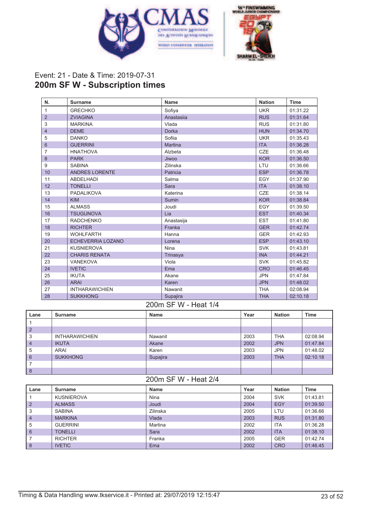



### Event: 21 - Date & Time: 2019-07-31 **200m SF W - Subscription times**

| N.             | <b>Surname</b>        | Name           | <b>Nation</b> | <b>Time</b> |
|----------------|-----------------------|----------------|---------------|-------------|
| 1              | <b>GRECHKO</b>        | Sofiya         | <b>UKR</b>    | 01:31.22    |
| $\overline{2}$ | <b>ZVIAGINA</b>       | Anastasiia     | <b>RUS</b>    | 01:31.64    |
| 3              | <b>MARKINA</b>        | Vlada          | <b>RUS</b>    | 01:31.80    |
| $\overline{4}$ | <b>DEME</b>           | <b>Dorka</b>   | <b>HUN</b>    | 01:34.70    |
| 5              | <b>DANKO</b>          | Sofiia         | <b>UKR</b>    | 01:35.43    |
| $6\phantom{1}$ | <b>GUERRINI</b>       | <b>Martina</b> | <b>ITA</b>    | 01:36.28    |
| 7              | <b>HNATHOVA</b>       | Alzbeta        | <b>CZE</b>    | 01:36.48    |
| 8              | <b>PARK</b>           | Jiwoo          | <b>KOR</b>    | 01:36.50    |
| 9              | <b>SABINA</b>         | Zilinska       | LTU           | 01:36.66    |
| 10             | <b>ANDRES LORENTE</b> | Patricia       | <b>ESP</b>    | 01:36.78    |
| 11             | <b>ABDELHADI</b>      | Salma          | EGY           | 01:37.90    |
| 12             | <b>TONELLI</b>        | Sara           | <b>ITA</b>    | 01:38.10    |
| 13             | PADALIKOVA            | Katerina       | <b>CZE</b>    | 01:38.14    |
| 14             | <b>KIM</b>            | Sumin          | <b>KOR</b>    | 01:38.84    |
| 15             | <b>ALMASS</b>         | Joudi          | EGY           | 01:39.50    |
| 16             | <b>TSUGUNOVA</b>      | Lia            | <b>EST</b>    | 01:40.34    |
| 17             | <b>RADCHENKO</b>      | Anastasija     | <b>EST</b>    | 01:41.80    |
| 18             | <b>RICHTER</b>        | Franka         | <b>GER</b>    | 01:42.74    |
| 19             | <b>WOHLFARTH</b>      | Hanna          | <b>GER</b>    | 01:42.93    |
| 20             | ECHEVERRIA LOZANO     | Lorena         | <b>ESP</b>    | 01:43.10    |
| 21             | <b>KUSNIEROVA</b>     | Nina           | <b>SVK</b>    | 01:43.81    |
| 22             | <b>CHARIS RENATA</b>  | Trinasya       | <b>INA</b>    | 01:44.21    |
| 23             | <b>VANEKOVA</b>       | Viola          | <b>SVK</b>    | 01:45.82    |
| 24             | <b>IVETIC</b>         | Ema            | <b>CRO</b>    | 01:46.45    |
| 25             | <b>IKUTA</b>          | Akane          | <b>JPN</b>    | 01:47.84    |
| 26             | <b>ARAI</b>           | Karen          | <b>JPN</b>    | 01:48.02    |
| 27             | <b>INTHARAWICHIEN</b> | Nawanit        | <b>THA</b>    | 02:08.94    |
| 28             | <b>SUKKHONG</b>       | Supajira       | <b>THA</b>    | 02:10.18    |

#### 200m SF W - Heat 1/4

| Lane      | <b>Surname</b>        | Name     | Year | <b>Nation</b> | <b>Time</b> |
|-----------|-----------------------|----------|------|---------------|-------------|
|           |                       |          |      |               |             |
| l 2       |                       |          |      |               |             |
| 3         | <b>INTHARAWICHIEN</b> | Nawanit  | 2003 | <b>THA</b>    | 02:08.94    |
| $\vert 4$ | <b>IKUTA</b>          | Akane    | 2002 | <b>JPN</b>    | 01:47.84    |
| 5         | ARAI                  | Karen    | 2003 | <b>JPN</b>    | 01:48.02    |
| 6         | <b>SUKKHONG</b>       | Supajira | 2003 | <b>THA</b>    | 02:10.18    |
|           |                       |          |      |               |             |
| 8         |                       |          |      |               |             |

# 200m SF W - Heat 2/4

| Lane            | Surname           | Name     | Year | <b>Nation</b> | Time     |
|-----------------|-------------------|----------|------|---------------|----------|
|                 | <b>KUSNIEROVA</b> | Nina     | 2004 | <b>SVK</b>    | 01:43.81 |
| $\overline{2}$  | <b>ALMASS</b>     | Joudi    | 2004 | EGY           | 01:39.50 |
| 3               | <b>SABINA</b>     | Zilinska | 2005 | LTU           | 01:36.66 |
| $\overline{4}$  | <b>MARKINA</b>    | Vlada    | 2003 | <b>RUS</b>    | 01:31.80 |
| 5               | <b>GUERRINI</b>   | Martina  | 2002 | <b>ITA</b>    | 01:36.28 |
| $6\phantom{1}6$ | <b>TONELLI</b>    | Sara     | 2002 | <b>ITA</b>    | 01:38.10 |
|                 | <b>RICHTER</b>    | Franka   | 2005 | <b>GER</b>    | 01:42.74 |
| 8               | <b>IVETIC</b>     | Ema      | 2002 | <b>CRO</b>    | 01:46.45 |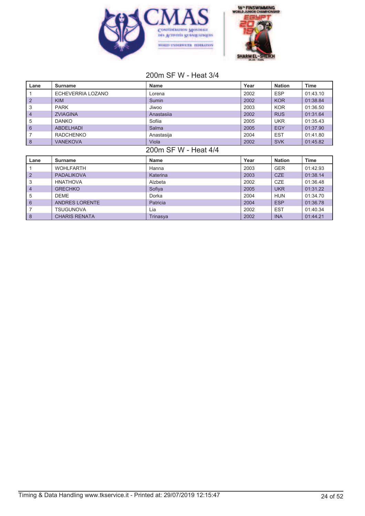



# 200m SF W - Heat 3/4

| Lane                 | <b>Surname</b>        | Name        | Year | <b>Nation</b> | Time        |  |
|----------------------|-----------------------|-------------|------|---------------|-------------|--|
|                      | ECHEVERRIA LOZANO     | Lorena      | 2002 | <b>ESP</b>    | 01:43.10    |  |
| $\overline{2}$       | <b>KIM</b>            | Sumin       | 2002 | <b>KOR</b>    | 01:38.84    |  |
| 3                    | <b>PARK</b>           | Jiwoo       | 2003 | <b>KOR</b>    | 01:36.50    |  |
| 4                    | <b>ZVIAGINA</b>       | Anastasiia  | 2002 | <b>RUS</b>    | 01:31.64    |  |
| 5                    | <b>DANKO</b>          | Sofiia      | 2005 | <b>UKR</b>    | 01:35.43    |  |
| $6\phantom{1}$       | <b>ABDELHADI</b>      | Salma       | 2005 | <b>EGY</b>    | 01:37.90    |  |
| $\overline{7}$       | <b>RADCHENKO</b>      | Anastasija  | 2004 | <b>EST</b>    | 01:41.80    |  |
| $\boldsymbol{8}$     | <b>VANEKOVA</b>       | Viola       | 2002 | <b>SVK</b>    | 01:45.82    |  |
| 200m SF W - Heat 4/4 |                       |             |      |               |             |  |
|                      |                       |             |      |               |             |  |
| Lane                 | <b>Surname</b>        | <b>Name</b> | Year | <b>Nation</b> | <b>Time</b> |  |
|                      | <b>WOHLFARTH</b>      | Hanna       | 2003 | <b>GER</b>    | 01:42.93    |  |
| $\overline{2}$       | <b>PADALIKOVA</b>     | Katerina    | 2003 | <b>CZE</b>    | 01:38.14    |  |
| 3                    | <b>HNATHOVA</b>       | Alzbeta     | 2002 | <b>CZE</b>    | 01:36.48    |  |
| 4                    | <b>GRECHKO</b>        | Sofiya      | 2005 | <b>UKR</b>    | 01:31.22    |  |
| 5                    | <b>DEME</b>           | Dorka       | 2004 | <b>HUN</b>    | 01:34.70    |  |
| 6                    | <b>ANDRES LORENTE</b> | Patricia    | 2004 | <b>ESP</b>    | 01:36.78    |  |
| 7                    | <b>TSUGUNOVA</b>      | Lia         | 2002 | <b>EST</b>    | 01:40.34    |  |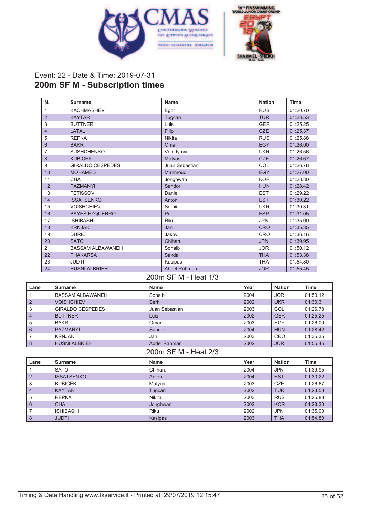



## Event: 22 - Date & Time: 2019-07-31 **200m SF M - Subscription times**

| N.             | <b>Surname</b>          | <b>Name</b>         | <b>Nation</b> | <b>Time</b> |
|----------------|-------------------------|---------------------|---------------|-------------|
| 1              | <b>KACHMASHEV</b>       | Egor                | <b>RUS</b>    | 01:20.70    |
| $\overline{2}$ | <b>KAYTAR</b>           | Tugcan              | <b>TUR</b>    | 01:23.53    |
| 3              | <b>BUTTNER</b>          | Luis                | <b>GER</b>    | 01:25.25    |
| 4              | LATAL                   | Filip               | <b>CZE</b>    | 01:25.37    |
| 5              | <b>REPKA</b>            | <b>Nikita</b>       | <b>RUS</b>    | 01:25.88    |
| $6\phantom{1}$ | <b>BAKR</b>             | Omar                | <b>EGY</b>    | 01:26.00    |
| 7              | <b>SUSHCHENKO</b>       | Volodymyr           | <b>UKR</b>    | 01:26.56    |
| 8              | <b>KUBICEK</b>          | Matyas              | <b>CZE</b>    | 01:26.67    |
| 9              | <b>GIRALDO CESPEDES</b> | Juan Sebastian      | COL           | 01:26.78    |
| 10             | <b>MOHAMED</b>          | Mahmoud             | <b>EGY</b>    | 01:27.00    |
| 11             | <b>CHA</b>              | Jonghwan            | <b>KOR</b>    | 01:28.30    |
| 12             | <b>PAZMANYI</b>         | Sandor              | <b>HUN</b>    | 01:28.42    |
| 13             | <b>FETISSOV</b>         | Daniel              | <b>EST</b>    | 01:29.22    |
| 14             | <b>ISSATSENKO</b>       | Anton               | <b>EST</b>    | 01:30.22    |
| 15             | <b>VOISHCHIEV</b>       | Serhii              | <b>UKR</b>    | 01:30.31    |
| 16             | <b>BAYES EZQUERRO</b>   | Pol                 | <b>ESP</b>    | 01:31.05    |
| 17             | <b>ISHIBASHI</b>        | <b>Riku</b>         | <b>JPN</b>    | 01:35.00    |
| 18             | <b>KRNJAK</b>           | Jan                 | <b>CRO</b>    | 01:35.35    |
| 19             | <b>DURIC</b>            | Jakov               | <b>CRO</b>    | 01:36.16    |
| 20             | <b>SATO</b>             | Chiharu             | <b>JPN</b>    | 01:39.95    |
| 21             | <b>BASSAM ALBAWANEH</b> | Sohaib              | <b>JOR</b>    | 01:50.12    |
| 22             | <b>PHAKARSA</b>         | Sakda               | <b>THA</b>    | 01:53.38    |
| 23             | <b>JUDTI</b>            | Kasipas             | <b>THA</b>    | 01:54.80    |
| 24             | <b>HUSNI ALBRIEH</b>    | <b>Abdel Rahman</b> | <b>JOR</b>    | 01:55.45    |

#### 200m SF M - Heat 1/3

| Lane           | Surname                 | Name           | Year | <b>Nation</b> | Time     |
|----------------|-------------------------|----------------|------|---------------|----------|
|                | <b>BASSAM ALBAWANEH</b> | Sohaib         | 2004 | <b>JOR</b>    | 01:50.12 |
| $\overline{2}$ | <b>VOISHCHIEV</b>       | Serhii         | 2002 | <b>UKR</b>    | 01:30.31 |
| 3              | GIRALDO CESPEDES        | Juan Sebastian | 2003 | COL           | 01:26.78 |
| $\overline{4}$ | <b>BUTTNER</b>          | Luis           | 2002 | <b>GER</b>    | 01:25.25 |
| 5              | <b>BAKR</b>             | Omar           | 2003 | EGY           | 01:26.00 |
| 6              | <b>PAZMANYI</b>         | Sandor         | 2004 | <b>HUN</b>    | 01:28.42 |
|                | KRNJAK                  | Jan            | 2003 | CRO           | 01:35.35 |
| 8              | <b>HUSNI ALBRIEH</b>    | Abdel Rahman   | 2002 | <b>JOR</b>    | 01:55.45 |

#### 200m SF M - Heat 2/3

| Lane           | <b>Surname</b>    | <b>Name</b> | Year | <b>Nation</b> | Time     |
|----------------|-------------------|-------------|------|---------------|----------|
|                | <b>SATO</b>       | Chiharu     | 2004 | <b>JPN</b>    | 01:39.95 |
| $\overline{2}$ | <b>ISSATSENKO</b> | Anton       | 2004 | <b>EST</b>    | 01:30.22 |
| 3              | <b>KUBICEK</b>    | Matyas      | 2003 | <b>CZE</b>    | 01:26.67 |
| $\overline{4}$ | <b>KAYTAR</b>     | Tugcan      | 2002 | <b>TUR</b>    | 01:23.53 |
| 5              | <b>REPKA</b>      | Nikita      | 2003 | <b>RUS</b>    | 01:25.88 |
| 6              | <b>CHA</b>        | Jonghwan    | 2002 | <b>KOR</b>    | 01:28.30 |
|                | <b>ISHIBASHI</b>  | <b>Riku</b> | 2002 | <b>JPN</b>    | 01:35.00 |
| 8              | <b>JUDTI</b>      | Kasipas     | 2003 | <b>THA</b>    | 01:54.80 |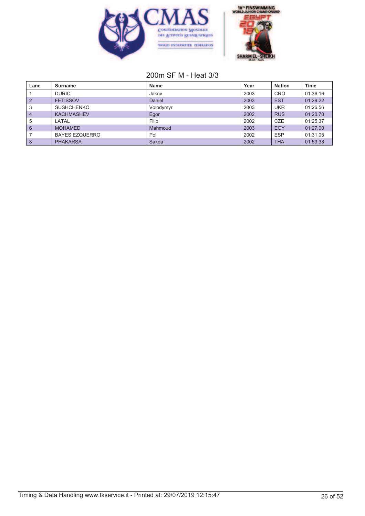



# 200m SF M - Heat 3/3

| Lane           | Surname               | Name      | Year | <b>Nation</b> | <b>Time</b> |
|----------------|-----------------------|-----------|------|---------------|-------------|
|                | <b>DURIC</b>          | Jakov     | 2003 | <b>CRO</b>    | 01:36.16    |
|                | <b>FETISSOV</b>       | Daniel    | 2003 | <b>EST</b>    | 01:29.22    |
| 3              | <b>SUSHCHENKO</b>     | Volodymyr | 2003 | <b>UKR</b>    | 01:26.56    |
| $\overline{4}$ | <b>KACHMASHEV</b>     | Egor      | 2002 | <b>RUS</b>    | 01:20.70    |
| 5              | LATAL                 | Filip     | 2002 | <b>CZE</b>    | 01:25.37    |
| 6              | <b>MOHAMED</b>        | Mahmoud   | 2003 | <b>EGY</b>    | 01:27.00    |
|                | <b>BAYES EZQUERRO</b> | Pol       | 2002 | <b>ESP</b>    | 01:31.05    |
| 8              | <b>PHAKARSA</b>       | Sakda     | 2002 | <b>THA</b>    | 01:53.38    |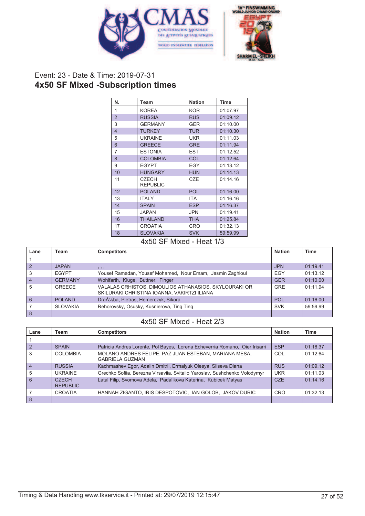



# Event: 23 - Date & Time: 2019-07-31 **4x50 SF Mixed -Subscription times**

| N.             | Team                            | <b>Nation</b> | <b>Time</b> |
|----------------|---------------------------------|---------------|-------------|
| 1              | <b>KOREA</b>                    | <b>KOR</b>    | 01:07.97    |
| $\overline{2}$ | <b>RUSSIA</b>                   | <b>RUS</b>    | 01:09.12    |
| 3              | <b>GERMANY</b>                  | <b>GER</b>    | 01:10.00    |
| $\overline{4}$ | <b>TURKEY</b>                   | <b>TUR</b>    | 01:10.30    |
| 5              | <b>UKRAINE</b>                  | <b>UKR</b>    | 01:11.03    |
| 6              | <b>GREECE</b>                   | <b>GRE</b>    | 01:11.94    |
| 7              | <b>ESTONIA</b>                  | EST           | 01:12.52    |
| 8              | <b>COLOMBIA</b>                 | COL           | 01:12.64    |
| 9              | <b>EGYPT</b>                    | <b>EGY</b>    | 01:13.12    |
| 10             | <b>HUNGARY</b>                  | <b>HUN</b>    | 01:14.13    |
| 11             | <b>CZECH</b><br><b>REPUBLIC</b> | CZE           | 01:14.16    |
| 12             | <b>POLAND</b>                   | <b>POL</b>    | 01:16.00    |
| 13             | <b>ITALY</b>                    | ITA           | 01:16.16    |
| 14             | <b>SPAIN</b>                    | <b>ESP</b>    | 01:16.37    |
| 15             | <b>JAPAN</b>                    | JPN           | 01:19.41    |
| 16             | <b>THAILAND</b>                 | <b>THA</b>    | 01:25.84    |
| 17             | <b>CROATIA</b>                  | CRO           | 01:32.13    |
| 18             | <b>SLOVAKIA</b>                 | <b>SVK</b>    | 59:59.99    |

#### 4x50 SF Mixed - Heat 1/3

| Lane           | Team            | <b>Competitors</b>                                                                                   | <b>Nation</b> | <b>Time</b> |
|----------------|-----------------|------------------------------------------------------------------------------------------------------|---------------|-------------|
|                |                 |                                                                                                      |               |             |
| $\overline{2}$ | <b>JAPAN</b>    | , , ,                                                                                                | <b>JPN</b>    | 01:19.41    |
| 3              | <b>EGYPT</b>    | Yousef Ramadan, Yousef Mohamed, Nour Emam, Jasmin Zaghloul                                           | EGY           | 01:13.12    |
| $\overline{4}$ | <b>GERMANY</b>  | Wohlfarth, Kluge, Buttner, Finger                                                                    | <b>GER</b>    | 01:10.00    |
| 5              | <b>GREECE</b>   | VALALAS CRHISTOS, DIMOULIOS ATHANASIOS, SKYLOURAKI OR<br>SKILURAKI CHRISTINA IOANNA, VAKIRTZI ILIANA | <b>GRE</b>    | 01:11.94    |
| 6              | <b>POLAND</b>   | Drażba, Pietras, Hemerczyk, Sikora                                                                   | <b>POL</b>    | 01:16.00    |
|                | <b>SLOVAKIA</b> | Rehorovsky, Osusky, Kusnierova, Ting Ting                                                            | <b>SVK</b>    | 59:59.99    |
| 8              |                 |                                                                                                      |               |             |

# 4x50 SF Mixed - Heat 2/3

| Lane           | Team                                  | <b>Competitors</b>                                                              | <b>Nation</b> | <b>Time</b> |
|----------------|---------------------------------------|---------------------------------------------------------------------------------|---------------|-------------|
|                |                                       |                                                                                 |               |             |
| $\overline{2}$ | <b>SPAIN</b>                          | Patricia Andres Lorente, Pol Bayes, Lorena Echeverria Romano, Oier Irisarri     | <b>ESP</b>    | 01:16.37    |
| 3              | <b>COLOMBIA</b>                       | MOLANO ANDRES FELIPE, PAZ JUAN ESTEBAN, MARIANA MESA,<br><b>GABRIELA GUZMAN</b> | COL           | 01:12.64    |
| $\overline{4}$ | <b>RUSSIA</b>                         | Kachmashev Egor, Adalin Dmitrii, Ermalyuk Olesya, Sliseva Diana                 | <b>RUS</b>    | 01:09.12    |
| 5              | <b>UKRAINE</b>                        | Grechko Sofiia, Berezna Virsaviia, Svitailo Yaroslav, Sushchenko Volodymyr      | <b>UKR</b>    | 01:11.03    |
| 6              | C <sub>7</sub> FCH<br><b>REPUBLIC</b> | Latal Filip, Svomova Adela, Padalikova Katerina, Kubicek Matyas                 | <b>CZE</b>    | 01:14.16    |
|                | <b>CROATIA</b>                        | HANNAH ZIGANTO, IRIS DESPOTOVIC, IAN GOLOB, JAKOV DURIC                         | <b>CRO</b>    | 01:32.13    |
| 8              |                                       |                                                                                 |               |             |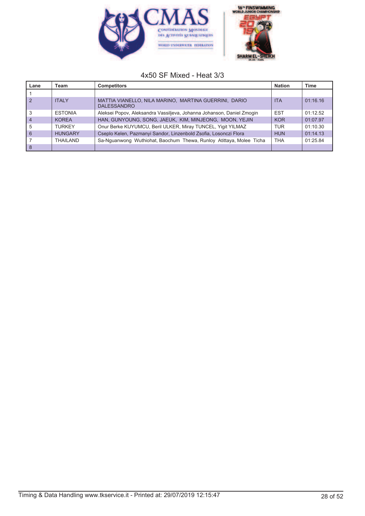



#### 4x50 SF Mixed - Heat 3/3

| Lane          | Team           | <b>Competitors</b>                                                          | <b>Nation</b> | <b>Time</b> |
|---------------|----------------|-----------------------------------------------------------------------------|---------------|-------------|
|               |                |                                                                             |               |             |
| $\sqrt{2}$    | <b>ITALY</b>   | MATTIA VIANELLO, NILA MARINO, MARTINA GUERRINI, DARIO<br><b>DALESSANDRO</b> | <b>ITA</b>    | 01:16.16    |
| 3             | <b>ESTONIA</b> | Aleksei Popov, Aleksandra Vassiljeva, Johanna Johanson, Daniel Zmogin       | <b>EST</b>    | 01:12.52    |
| $^{\prime}$ 4 | <b>KOREA</b>   | HAN, GUNYOUNG, SONG, JAEUK, KIM, MINJEONG, MOON, YEJIN                      | <b>KOR</b>    | 01:07.97    |
| 5             | <b>TURKEY</b>  | Onur Berke KUYUMCU, Beril ULKER, Miray TUNCEL, Yigit YILMAZ                 | <b>TUR</b>    | 01:10.30    |
| l 6           | <b>HUNGARY</b> | Cseplo Kelen, Pazmanyi Sandor, Linzenbold Zsofia, Losonczi Flora            | <b>HUN</b>    | 01:14.13    |
|               | THAILAND       | Sa-Nguanwong Wuthiohat, Baochum Thewa, Runloy Atittaya, Molee Ticha         | <b>THA</b>    | 01:25.84    |
| l 8           |                |                                                                             |               |             |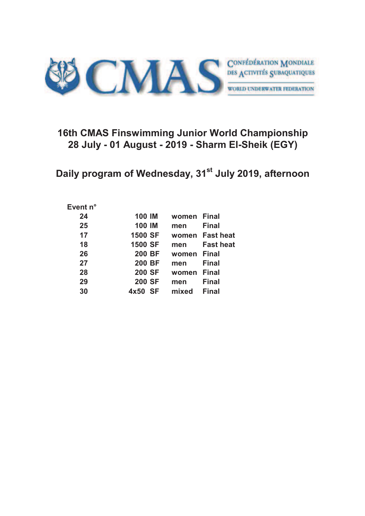

# **16th CMAS Finswimming Junior World Championship 28 July - 01 August - 2019 - Sharm El-Sheik (EGY)**

**Daily program of Wednesday, 31st July 2019, afternoon**

#### **Event n°**

| 24 | <b>100 IM</b>  | women | <b>Final</b>     |
|----|----------------|-------|------------------|
| 25 | <b>100 IM</b>  | men   | <b>Final</b>     |
| 17 | <b>1500 SF</b> | women | <b>Fast heat</b> |
| 18 | <b>1500 SF</b> | men   | <b>Fast heat</b> |
| 26 | <b>200 BF</b>  | women | <b>Final</b>     |
| 27 | <b>200 BF</b>  | men   | <b>Final</b>     |
| 28 | <b>200 SF</b>  | women | <b>Final</b>     |
| 29 | <b>200 SF</b>  | men   | <b>Final</b>     |
| 30 | - SF<br>4x50   | mixed | <b>Final</b>     |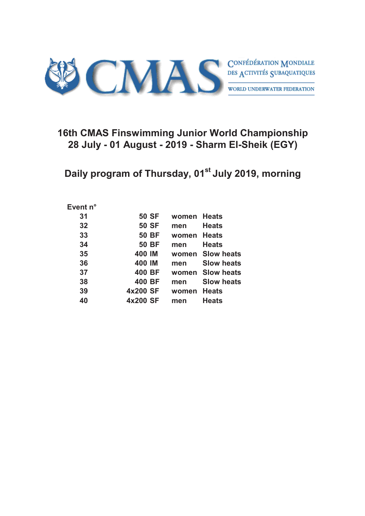

# **16th CMAS Finswimming Junior World Championship 28 July - 01 August - 2019 - Sharm El-Sheik (EGY)**

**Daily program of Thursday, 01st July 2019, morning**

#### **Event n°**

| 31 | <b>50 SF</b> | women | <b>Heats</b>      |
|----|--------------|-------|-------------------|
| 32 | <b>50 SF</b> | men   | <b>Heats</b>      |
| 33 | <b>50 BF</b> | women | <b>Heats</b>      |
| 34 | <b>50 BF</b> | men   | <b>Heats</b>      |
| 35 | 400 IM       | women | <b>Slow heats</b> |
| 36 | 400 IM       | men   | <b>Slow heats</b> |
| 37 | 400 BF       | women | <b>Slow heats</b> |
| 38 | 400 BF       | men   | <b>Slow heats</b> |
| 39 | 4x200 SF     | women | <b>Heats</b>      |
| 40 | 4x200 SF     | men   | <b>Heats</b>      |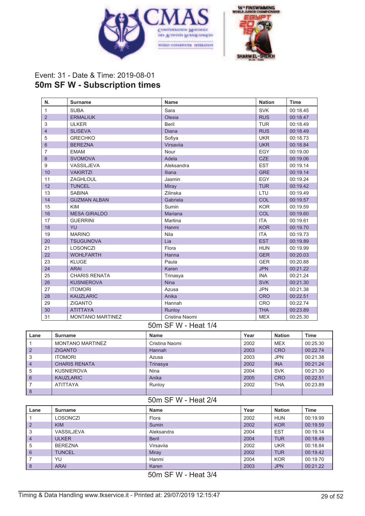



## Event: 31 - Date & Time: 2019-08-01 **50m SF W - Subscription times**

| N.             | <b>Surname</b>          | Name           | <b>Nation</b> | <b>Time</b> |
|----------------|-------------------------|----------------|---------------|-------------|
| $\mathbf{1}$   | <b>SUBA</b>             | Sara           | <b>SVK</b>    | 00:18.45    |
| $\overline{2}$ | <b>ERMALIUK</b>         | Olesia         | <b>RUS</b>    | 00:18.47    |
| 3              | <b>ULKER</b>            | <b>Beril</b>   | <b>TUR</b>    | 00:18.49    |
| $\overline{4}$ | <b>SLISEVA</b>          | Diana          | <b>RUS</b>    | 00:18.49    |
| 5              | <b>GRECHKO</b>          | Sofiya         | <b>UKR</b>    | 00:18.73    |
| 6              | <b>BEREZNA</b>          | Virsavija      | <b>UKR</b>    | 00:18.84    |
| 7              | <b>EMAM</b>             | Nour           | EGY           | 00:19.00    |
| 8              | <b>SVOMOVA</b>          | Adela          | <b>CZE</b>    | 00:19.06    |
| 9              | VASSILJEVA              | Aleksandra     | <b>EST</b>    | 00:19.14    |
| 10             | <b>VAKIRTZI</b>         | <b>Iliana</b>  | <b>GRE</b>    | 00:19.14    |
| 11             | ZAGHLOUL                | Jasmin         | EGY           | 00:19.24    |
| 12             | <b>TUNCEL</b>           | Miray          | <b>TUR</b>    | 00:19.42    |
| 13             | <b>SABINA</b>           | Zilinska       | LTU           | 00:19.49    |
| 14             | <b>GUZMAN ALBAN</b>     | Gabriela       | COL           | 00:19.57    |
| 15             | <b>KIM</b>              | Sumin          | <b>KOR</b>    | 00:19.59    |
| 16             | <b>MESA GIRALDO</b>     | Mariana        | COL           | 00:19.60    |
| 17             | <b>GUERRINI</b>         | Martina        | <b>ITA</b>    | 00:19.61    |
| 18             | YU                      | Hanmi          | <b>KOR</b>    | 00:19.70    |
| 19             | <b>MARINO</b>           | Nila           | <b>ITA</b>    | 00:19.73    |
| 20             | <b>TSUGUNOVA</b>        | Lia            | <b>EST</b>    | 00:19.89    |
| 21             | <b>LOSONCZI</b>         | Flora          | <b>HUN</b>    | 00:19.99    |
| 22             | <b>WOHLFARTH</b>        | Hanna          | <b>GER</b>    | 00:20.03    |
| 23             | <b>KLUGE</b>            | Paula          | <b>GER</b>    | 00:20.88    |
| 24             | <b>ARAI</b>             | Karen          | <b>JPN</b>    | 00:21.22    |
| 25             | <b>CHARIS RENATA</b>    | Trinasya       | <b>INA</b>    | 00:21.24    |
| 26             | <b>KUSNIEROVA</b>       | <b>Nina</b>    | <b>SVK</b>    | 00:21.30    |
| 27             | <b>ITOMORI</b>          | Azusa          | <b>JPN</b>    | 00:21.38    |
| 28             | <b>KAUZLARIC</b>        | Anika          | <b>CRO</b>    | 00:22.51    |
| 29             | <b>ZIGANTO</b>          | Hannah         | <b>CRO</b>    | 00:22.74    |
| 30             | <b>ATITTAYA</b>         | Runloy         | <b>THA</b>    | 00:23.89    |
| 31             | <b>MONTANO MARTINEZ</b> | Cristina Naomi | <b>MEX</b>    | 00:25.30    |

#### 50m SF W - Heat 1/4

| Lane           | <b>Surname</b>          | <b>Name</b>    | Year | <b>Nation</b> | <b>Time</b> |
|----------------|-------------------------|----------------|------|---------------|-------------|
|                | <b>MONTANO MARTINEZ</b> | Cristina Naomi | 2002 | <b>MEX</b>    | 00:25.30    |
| $\overline{2}$ | <b>ZIGANTO</b>          | Hannah         | 2003 | <b>CRO</b>    | 00:22.74    |
| 3              | <b>ITOMORI</b>          | Azusa          | 2003 | <b>JPN</b>    | 00:21.38    |
| $\overline{4}$ | <b>CHARIS RENATA</b>    | Trinasya       | 2002 | <b>INA</b>    | 00:21.24    |
| 5              | <b>KUSNIEROVA</b>       | Nina           | 2004 | <b>SVK</b>    | 00:21.30    |
| 6              | <b>KAUZLARIC</b>        | Anika          | 2005 | <b>CRO</b>    | 00:22.51    |
|                | <b>ATITTAYA</b>         | Runloy         | 2002 | <b>THA</b>    | 00:23.89    |
| 8              |                         |                |      |               |             |

#### 50m SF W - Heat 2/4

| Lane           | Surname        | Name         | Year | <b>Nation</b> | Time     |
|----------------|----------------|--------------|------|---------------|----------|
|                | LOSONCZI       | Flora        | 2002 | <b>HUN</b>    | 00:19.99 |
| $\overline{2}$ | <b>KIM</b>     | Sumin        | 2002 | <b>KOR</b>    | 00:19.59 |
| 3              | VASSILJEVA     | Aleksandra   | 2004 | <b>EST</b>    | 00:19.14 |
| $\overline{4}$ | <b>ULKER</b>   | <b>Beril</b> | 2004 | <b>TUR</b>    | 00:18.49 |
| 5              | <b>BEREZNA</b> | Virsavija    | 2002 | <b>UKR</b>    | 00:18.84 |
| 6              | <b>TUNCEL</b>  | Miray        | 2002 | <b>TUR</b>    | 00:19.42 |
|                | YU             | Hanmi        | 2004 | <b>KOR</b>    | 00:19.70 |
| 8              | <b>ARAI</b>    | Karen        | 2003 | <b>JPN</b>    | 00:21.22 |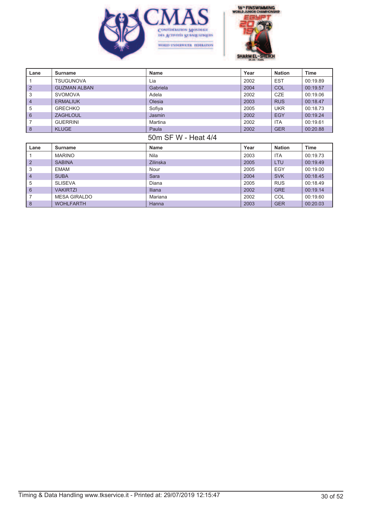



| Lane                | <b>Surname</b>      | <b>Name</b>     | Year | <b>Nation</b> | Time     |
|---------------------|---------------------|-----------------|------|---------------|----------|
|                     | <b>TSUGUNOVA</b>    | Lia             | 2002 | <b>EST</b>    | 00:19.89 |
| $\overline{2}$      | <b>GUZMAN ALBAN</b> | Gabriela        | 2004 | COL           | 00:19.57 |
| 3                   | <b>SVOMOVA</b>      | Adela           | 2002 | <b>CZE</b>    | 00:19.06 |
| 4                   | <b>ERMALIUK</b>     | Olesia          | 2003 | <b>RUS</b>    | 00:18.47 |
| 5                   | <b>GRECHKO</b>      | Sofiya          | 2005 | <b>UKR</b>    | 00:18.73 |
| $6\phantom{1}$      | <b>ZAGHLOUL</b>     | Jasmin          | 2002 | <b>EGY</b>    | 00:19.24 |
| 7                   | <b>GUERRINI</b>     | Martina         | 2002 | <b>ITA</b>    | 00:19.61 |
| 8                   | <b>KLUGE</b>        | Paula           | 2002 | <b>GER</b>    | 00:20.88 |
| 50m SF W - Heat 4/4 |                     |                 |      |               |          |
|                     |                     |                 |      |               |          |
| Lane                | <b>Surname</b>      | Name            | Year | <b>Nation</b> | Time     |
|                     | <b>MARINO</b>       | Nila            | 2003 | <b>ITA</b>    | 00:19.73 |
| $\overline{2}$      | <b>SABINA</b>       | <b>Zilinska</b> | 2005 | <b>LTU</b>    | 00:19.49 |
| 3                   | <b>EMAM</b>         | Nour            | 2005 | <b>EGY</b>    | 00:19.00 |
| 4                   | <b>SUBA</b>         | Sara            | 2004 | <b>SVK</b>    | 00:18.45 |
| 5                   | <b>SLISEVA</b>      | Diana           | 2005 | <b>RUS</b>    | 00:18.49 |
| $6\phantom{1}$      | <b>VAKIRTZI</b>     | <b>Iliana</b>   | 2002 | <b>GRE</b>    | 00:19.14 |
| 7                   | <b>MESA GIRALDO</b> | Mariana         | 2002 | COL           | 00:19.60 |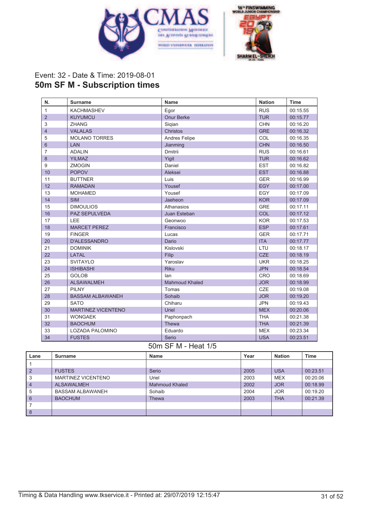



# Event: 32 - Date & Time: 2019-08-01 **50m SF M - Subscription times**

| N.             | Surname                   | Name                  | <b>Nation</b> | <b>Time</b> |
|----------------|---------------------------|-----------------------|---------------|-------------|
| $\mathbf{1}$   | <b>KACHMASHEV</b>         | Egor                  | <b>RUS</b>    | 00:15.55    |
| 2              | <b>KUYUMCU</b>            | <b>Onur Berke</b>     | <b>TUR</b>    | 00:15.77    |
| 3              | <b>ZHANG</b>              | Sigian                | <b>CHN</b>    | 00:16.20    |
| $\overline{4}$ | <b>VALALAS</b>            | Christos              | <b>GRE</b>    | 00:16.32    |
| 5              | <b>MOLANO TORRES</b>      | Andres Felipe         | COL           | 00:16.35    |
| $6\phantom{1}$ | <b>LAN</b>                | Jianming              | <b>CHN</b>    | 00:16.50    |
| 7              | <b>ADALIN</b>             | Dmitrii               | <b>RUS</b>    | 00:16.61    |
| 8              | <b>YILMAZ</b>             | Yigit                 | <b>TUR</b>    | 00:16.62    |
| 9              | <b>ZMOGIN</b>             | Daniel                | <b>EST</b>    | 00:16.82    |
| 10             | <b>POPOV</b>              | Aleksei               | <b>EST</b>    | 00:16.88    |
| 11             | <b>BUTTNER</b>            | Luis                  | <b>GER</b>    | 00:16.99    |
| 12             | <b>RAMADAN</b>            | Yousef                | <b>EGY</b>    | 00:17.00    |
| 13             | <b>MOHAMED</b>            | Yousef                | EGY           | 00:17.09    |
| 14             | <b>SIM</b>                | Jaeheon               | <b>KOR</b>    | 00:17.09    |
| 15             | <b>DIMOULIOS</b>          | Athanasios            | <b>GRE</b>    | 00:17.11    |
| 16             | PAZ SEPULVEDA             | Juan Esteban          | COL           | 00:17.12    |
| 17             | LEE                       | Geonwoo               | <b>KOR</b>    | 00:17.53    |
| 18             | <b>MARCET PEREZ</b>       | Francisco             | <b>ESP</b>    | 00:17.61    |
| 19             | <b>FINGER</b>             | Lucas                 | <b>GER</b>    | 00:17.71    |
| 20             | <b>D'ALESSANDRO</b>       | Dario                 | <b>ITA</b>    | 00:17.77    |
| 21             | <b>DOMINIK</b>            | Kislovski             | LTU           | 00:18.17    |
| 22             | <b>LATAL</b>              | Filip                 | <b>CZE</b>    | 00:18.19    |
| 23             | <b>SVITAYLO</b>           | Yaroslav              | <b>UKR</b>    | 00:18.25    |
| 24             | <b>ISHIBASHI</b>          | <b>Riku</b>           | <b>JPN</b>    | 00:18.54    |
| 25             | <b>GOLOB</b>              | lan                   | <b>CRO</b>    | 00:18.69    |
| 26             | <b>ALSAWALMEH</b>         | <b>Mahmoud Khaled</b> | <b>JOR</b>    | 00:18.99    |
| 27             | <b>PILNY</b>              | Tomas                 | CZE           | 00:19.08    |
| 28             | <b>BASSAM ALBAWANEH</b>   | Sohaib                | <b>JOR</b>    | 00:19.20    |
| 29             | <b>SATO</b>               | Chiharu               | <b>JPN</b>    | 00:19.43    |
| 30             | <b>MARTINEZ VICENTENO</b> | Uriel                 | <b>MEX</b>    | 00:20.06    |
| 31             | <b>WONGAEK</b>            | Paphonpach            | <b>THA</b>    | 00:21.38    |
| 32             | <b>BAOCHUM</b>            | Thewa                 | <b>THA</b>    | 00:21.39    |
| 33             | <b>LOZADA PALOMINO</b>    | Eduardo               | <b>MEX</b>    | 00:23.34    |
| 34             | <b>FUSTES</b>             | Serio                 | <b>USA</b>    | 00:23.51    |

#### 50m SF M - Heat 1/5

| Lane           | Surname                   | <b>Name</b>    | Year | <b>Nation</b> | Time     |
|----------------|---------------------------|----------------|------|---------------|----------|
|                |                           |                |      |               |          |
| $\overline{2}$ | <b>FUSTES</b>             | Serio          | 2005 | <b>USA</b>    | 00:23.51 |
| 3              | <b>MARTINEZ VICENTENO</b> | Uriel          | 2003 | <b>MEX</b>    | 00:20.06 |
| $\overline{4}$ | <b>ALSAWALMEH</b>         | Mahmoud Khaled | 2002 | <b>JOR</b>    | 00:18.99 |
| 5              | BASSAM ALBAWANEH          | Sohaib         | 2004 | <b>JOR</b>    | 00:19.20 |
| 6              | <b>BAOCHUM</b>            | Thewa          | 2003 | <b>THA</b>    | 00:21.39 |
|                |                           |                |      |               |          |
| 8              |                           |                |      |               |          |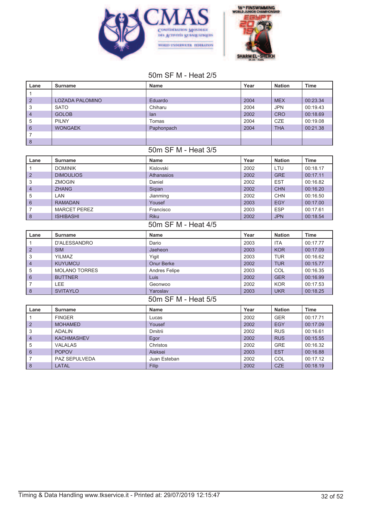



### 50m SF M - Heat 2/5

| Lane                | <b>Surname</b>                       | Name                  | Year         | <b>Nation</b>     | <b>Time</b>          |
|---------------------|--------------------------------------|-----------------------|--------------|-------------------|----------------------|
| $\mathbf{1}$        |                                      |                       |              |                   |                      |
| $\overline{2}$      | <b>LOZADA PALOMINO</b>               | Eduardo               | 2004         | <b>MEX</b>        | 00:23.34             |
| 3                   | <b>SATO</b>                          | Chiharu               | 2004         | <b>JPN</b>        | 00:19.43             |
| $\overline{4}$      | <b>GOLOB</b>                         | lan                   | 2002         | <b>CRO</b>        | 00:18.69             |
| 5                   | <b>PILNY</b>                         | Tomas                 | 2004         | CZE               | 00:19.08             |
| 6                   | <b>WONGAEK</b>                       | Paphonpach            | 2004         | <b>THA</b>        | 00:21.38             |
| $\overline{7}$      |                                      |                       |              |                   |                      |
| $\delta$            |                                      |                       |              |                   |                      |
|                     |                                      | 50m SF M - Heat 3/5   |              |                   |                      |
| Lane                | <b>Surname</b>                       | <b>Name</b>           | Year         | <b>Nation</b>     | <b>Time</b>          |
| $\mathbf{1}$        | <b>DOMINIK</b>                       | Kislovski             | 2002         | LTU               | 00:18.17             |
| $\overline{2}$      | <b>DIMOULIOS</b>                     | <b>Athanasios</b>     | 2002         | <b>GRE</b>        | 00:17.11             |
| 3                   | <b>ZMOGIN</b>                        | Daniel                | 2002         | <b>EST</b>        | 00:16.82             |
| $\overline{4}$      | <b>ZHANG</b>                         | Sigian                | 2002         | <b>CHN</b>        | 00:16.20             |
| 5                   | LAN                                  | Jianming              | 2002         | <b>CHN</b>        | 00:16.50             |
| 6                   | <b>RAMADAN</b>                       | Yousef                | 2003         | <b>EGY</b>        | 00:17.00             |
| 7                   | <b>MARCET PEREZ</b>                  | Francisco             | 2003         | <b>ESP</b>        | 00:17.61             |
| $\delta$            | <b>ISHIBASHI</b>                     | <b>Riku</b>           | 2002         | <b>JPN</b>        | 00:18.54             |
|                     |                                      | 50m SF M - Heat 4/5   |              |                   |                      |
|                     |                                      |                       |              |                   |                      |
| Lane                | <b>Surname</b>                       | Name                  | Year         | <b>Nation</b>     | Time                 |
| $\mathbf{1}$        | <b>D'ALESSANDRO</b>                  | Dario                 | 2003         | <b>ITA</b>        | 00:17.77             |
| $\overline{2}$      | <b>SIM</b>                           | Jaeheon               | 2003         | <b>KOR</b>        | 00:17.09             |
| 3                   | <b>YILMAZ</b>                        | Yigit                 | 2003         | <b>TUR</b>        | 00:16.62             |
| $\overline{4}$      | <b>KUYUMCU</b>                       | Onur Berke            | 2002         | <b>TUR</b>        | 00:15.77             |
| 5                   | <b>MOLANO TORRES</b>                 | Andres Felipe         | 2003         | COL               | 00:16.35             |
| 6                   | <b>BUTTNER</b>                       | Luis                  | 2002         | <b>GER</b>        | 00:16.99             |
| $\overline{7}$      | LEE                                  | Geonwoo               | 2002         | <b>KOR</b>        | 00:17.53             |
| $\delta$            | <b>SVITAYLO</b>                      | Yaroslav              | 2003         | <b>UKR</b>        | 00:18.25             |
|                     |                                      | 50m SF M - Heat 5/5   |              |                   |                      |
| Lane                | <b>Surname</b>                       | <b>Name</b>           | Year         | <b>Nation</b>     | <b>Time</b>          |
| $\mathbf{1}$        | <b>FINGER</b>                        | Lucas                 | 2002         | <b>GER</b>        | 00:17.71             |
| 2                   | <b>MOHAMED</b>                       | Yousef                | 2002         | <b>EGY</b>        | 00:17.09             |
| 3                   | <b>ADALIN</b>                        | Dmitrii               | 2002         | <b>RUS</b>        | 00:16.61             |
| $\overline{4}$      | <b>KACHMASHEV</b>                    | Egor                  | 2002         | <b>RUS</b>        | 00:15.55             |
| 5                   | <b>VALALAS</b>                       | Christos              | 2002         | <b>GRE</b>        | 00:16.32             |
| 6                   | <b>POPOV</b>                         | Aleksei               | 2003         | <b>EST</b>        | 00:16.88             |
| $\overline{7}$<br>8 | <b>PAZ SEPULVEDA</b><br><b>LATAL</b> | Juan Esteban<br>Filip | 2002<br>2002 | COL<br><b>CZE</b> | 00:17.12<br>00:18.19 |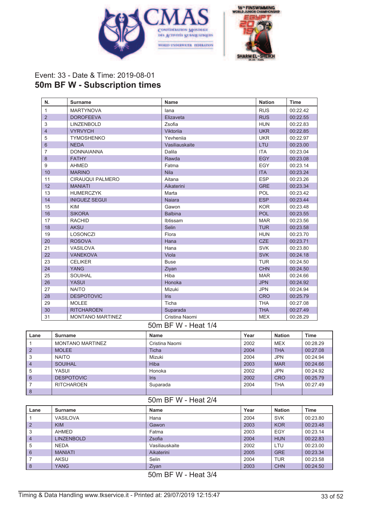



## Event: 33 - Date & Time: 2019-08-01 **50m BF W - Subscription times**

| N.             | <b>Surname</b>          | <b>Name</b>    | <b>Nation</b> | Time     |
|----------------|-------------------------|----------------|---------------|----------|
| $\mathbf{1}$   | <b>MARTYNOVA</b>        | lana           | <b>RUS</b>    | 00:22.42 |
| $\overline{2}$ | <b>DOROFEEVA</b>        | Elizaveta      | <b>RUS</b>    | 00:22.55 |
| 3              | <b>LINZENBOLD</b>       | Zsofia         | <b>HUN</b>    | 00:22.83 |
| $\overline{4}$ | <b>VYRVYCH</b>          | Viktorija      | <b>UKR</b>    | 00:22.85 |
| 5              | <b>TYMOSHENKO</b>       | Yevhenija      | <b>UKR</b>    | 00:22.97 |
| 6              | <b>NEDA</b>             | Vasiliauskaite | LTU           | 00:23.00 |
| 7              | <b>DONNAIANNA</b>       | Dalila         | <b>ITA</b>    | 00:23.04 |
| 8              | <b>FATHY</b>            | Rawda          | <b>EGY</b>    | 00:23.08 |
| 9              | <b>AHMED</b>            | Fatma          | <b>EGY</b>    | 00:23.14 |
| 10             | <b>MARINO</b>           | <b>Nila</b>    | <b>ITA</b>    | 00:23.24 |
| 11             | CIRAUQUI PALMERO        | Aitana         | <b>ESP</b>    | 00:23.26 |
| 12             | <b>MANIATI</b>          | Aikaterini     | <b>GRE</b>    | 00:23.34 |
| 13             | <b>HUMERCZYK</b>        | Marta          | POL           | 00:23.42 |
| 14             | <b>INIGUEZ SEGUI</b>    | Naiara         | <b>ESP</b>    | 00:23.44 |
| 15             | <b>KIM</b>              | Gawon          | <b>KOR</b>    | 00:23.48 |
| 16             | <b>SIKORA</b>           | <b>Balbina</b> | <b>POL</b>    | 00:23.55 |
| 17             | <b>RACHID</b>           | Ibtissam       | <b>MAR</b>    | 00:23.56 |
| 18             | <b>AKSU</b>             | Selin          | <b>TUR</b>    | 00:23.58 |
| 19             | <b>LOSONCZI</b>         | Flora          | <b>HUN</b>    | 00:23.70 |
| 20             | <b>ROSOVA</b>           | Hana           | <b>CZE</b>    | 00:23.71 |
| 21             | VASILOVA                | Hana           | <b>SVK</b>    | 00:23.80 |
| 22             | <b>VANEKOVA</b>         | Viola          | <b>SVK</b>    | 00:24.18 |
| 23             | <b>CELIKER</b>          | <b>Buse</b>    | <b>TUR</b>    | 00:24.50 |
| 24             | <b>YANG</b>             | Ziyan          | <b>CHN</b>    | 00:24.50 |
| 25             | SOUIHAL                 | Hiba           | <b>MAR</b>    | 00:24.66 |
| 26             | <b>YASUI</b>            | Honoka         | <b>JPN</b>    | 00:24.92 |
| 27             | <b>NAITO</b>            | Mizuki         | <b>JPN</b>    | 00:24.94 |
| 28             | <b>DESPOTOVIC</b>       | <b>Iris</b>    | <b>CRO</b>    | 00:25.79 |
| 29             | <b>MOLEE</b>            | Ticha          | <b>THA</b>    | 00:27.08 |
| 30             | <b>RITCHAROEN</b>       | Suparada       | <b>THA</b>    | 00:27.49 |
| 31             | <b>MONTANO MARTINEZ</b> | Cristina Naomi | <b>MEX</b>    | 00:28.29 |

#### 50m BF W - Heat 1/4

| Lane           | Surname                 | <b>Name</b>    | Year | <b>Nation</b> | <b>Time</b> |
|----------------|-------------------------|----------------|------|---------------|-------------|
|                | <b>MONTANO MARTINEZ</b> | Cristina Naomi | 2002 | <b>MEX</b>    | 00:28.29    |
| $\overline{2}$ | <b>MOLEE</b>            | Ticha          | 2004 | <b>THA</b>    | 00:27.08    |
| 3              | <b>NAITO</b>            | Mizuki         | 2004 | <b>JPN</b>    | 00:24.94    |
| $\overline{4}$ | <b>SOUIHAL</b>          | Hiba           | 2003 | <b>MAR</b>    | 00:24.66    |
| 5              | YASUI                   | Honoka         | 2002 | <b>JPN</b>    | 00:24.92    |
| 6              | <b>DESPOTOVIC</b>       | <b>Iris</b>    | 2002 | <b>CRO</b>    | 00:25.79    |
|                | <b>RITCHAROEN</b>       | Suparada       | 2004 | <b>THA</b>    | 00:27.49    |
| 8              |                         |                |      |               |             |

#### 50m BF W - Heat 2/4

| <b>Surname</b>    | <b>Name</b>    | Year | <b>Nation</b> | <b>Time</b> |
|-------------------|----------------|------|---------------|-------------|
| <b>VASILOVA</b>   | Hana           | 2004 | <b>SVK</b>    | 00:23.80    |
| <b>KIM</b>        | Gawon          | 2003 | <b>KOR</b>    | 00:23.48    |
| AHMED             | Fatma          | 2003 | EGY           | 00:23.14    |
| <b>LINZENBOLD</b> | Zsofia         | 2004 | <b>HUN</b>    | 00:22.83    |
| <b>NEDA</b>       | Vasiliauskaite | 2002 | LTU           | 00:23.00    |
| <b>MANIATI</b>    | Aikaterini     | 2005 | <b>GRE</b>    | 00:23.34    |
| AKSU              | Selin          | 2004 | TUR           | 00:23.58    |
| <b>YANG</b>       | Ziyan          | 2003 | <b>CHN</b>    | 00:24.50    |
|                   |                |      |               |             |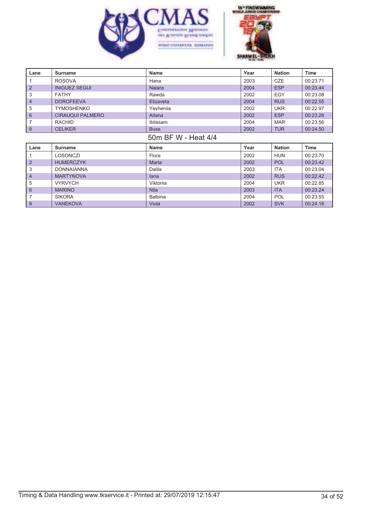



| Lane           | <b>Surname</b>          | <b>Name</b>         | Year | <b>Nation</b> | <b>Time</b> |
|----------------|-------------------------|---------------------|------|---------------|-------------|
|                | <b>ROSOVA</b>           | Hana                | 2003 | <b>CZE</b>    | 00:23.71    |
| $\overline{2}$ | <b>INIGUEZ SEGUI</b>    | <b>Najara</b>       | 2004 | <b>ESP</b>    | 00:23.44    |
| 3              | <b>FATHY</b>            | Rawda               | 2002 | <b>EGY</b>    | 00:23.08    |
| 4              | <b>DOROFEEVA</b>        | Elizaveta           | 2004 | <b>RUS</b>    | 00:22.55    |
| 5              | <b>TYMOSHENKO</b>       | Yevhenija           | 2002 | <b>UKR</b>    | 00:22.97    |
| $6\phantom{1}$ | <b>CIRAUQUI PALMERO</b> | Aitana              | 2002 | <b>ESP</b>    | 00:23.26    |
| 7              | <b>RACHID</b>           | Ibtissam            | 2004 | <b>MAR</b>    | 00:23.56    |
| 8              | <b>CELIKER</b>          | <b>Buse</b>         | 2002 | <b>TUR</b>    | 00:24.50    |
|                |                         | 50m BF W - Heat 4/4 |      |               |             |
| Lane           | <b>Surname</b>          | <b>Name</b>         | Year | <b>Nation</b> | <b>Time</b> |
|                |                         |                     |      |               |             |
|                | <b>LOSONCZI</b>         | Flora               | 2002 | <b>HUN</b>    | 00:23.70    |
| $\overline{2}$ | <b>HUMERCZYK</b>        | Marta               | 2002 | <b>POL</b>    | 00:23.42    |
| 3              | <b>DONNAIANNA</b>       | Dalila              | 2003 | <b>ITA</b>    | 00:23.04    |
| 4              | <b>MARTYNOVA</b>        | lana                | 2002 | <b>RUS</b>    | 00:22.42    |
| 5              | <b>VYRVYCH</b>          | Viktorija           | 2004 | <b>UKR</b>    | 00:22.85    |
| 6              | <b>MARINO</b>           | <b>Nila</b>         | 2003 | <b>ITA</b>    | 00:23.24    |
|                | <b>SIKORA</b>           | <b>Balbina</b>      | 2004 | <b>POL</b>    | 00:23.55    |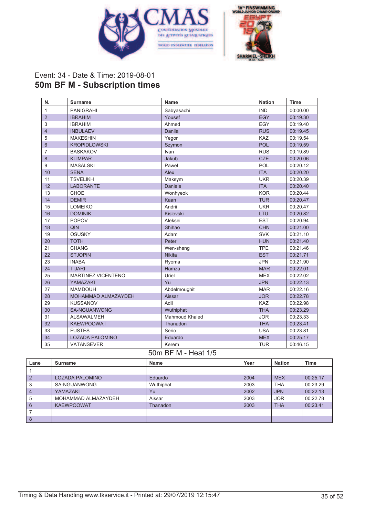



# Event: 34 - Date & Time: 2019-08-01 **50m BF M - Subscription times**

| N.             | <b>Surname</b>            | <b>Name</b>    | <b>Nation</b> | <b>Time</b> |
|----------------|---------------------------|----------------|---------------|-------------|
| 1              | <b>PANIGRAHI</b>          | Sabyasachi     | <b>IND</b>    | 00:00.00    |
| $\overline{2}$ | <b>IBRAHIM</b>            | Yousef         | <b>EGY</b>    | 00:19.30    |
| 3              | <b>IBRAHIM</b>            | Ahmed          | EGY           | 00:19.40    |
| $\overline{4}$ | <b>INBULAEV</b>           | Danila         | <b>RUS</b>    | 00:19.45    |
| 5              | <b>MAKESHIN</b>           | Yegor          | <b>KAZ</b>    | 00:19.54    |
| 6              | <b>KROPIDLOWSKI</b>       | Szymon         | <b>POL</b>    | 00:19.59    |
| 7              | <b>BASKAKOV</b>           | Ivan           | <b>RUS</b>    | 00:19.89    |
| 8              | <b>KLIMPAR</b>            | Jakub          | <b>CZE</b>    | 00:20.06    |
| 9              | <b>MASALSKI</b>           | Pawel          | POL           | 00:20.12    |
| 10             | <b>SENA</b>               | Alex           | <b>ITA</b>    | 00:20.20    |
| 11             | <b>TSVELIKH</b>           | Maksym         | <b>UKR</b>    | 00:20.39    |
| 12             | <b>LABORANTE</b>          | Daniele        | <b>ITA</b>    | 00:20.40    |
| 13             | <b>CHOE</b>               | Wonhyeok       | <b>KOR</b>    | 00:20.44    |
| 14             | <b>DEMIR</b>              | Kaan           | <b>TUR</b>    | 00:20.47    |
| 15             | <b>LOMEIKO</b>            | Andrii         | <b>UKR</b>    | 00:20.47    |
| 16             | <b>DOMINIK</b>            | Kislovski      | LTU           | 00:20.82    |
| 17             | <b>POPOV</b>              | Aleksei        | <b>EST</b>    | 00:20.94    |
| 18             | QIN                       | Shihao         | <b>CHN</b>    | 00:21.00    |
| 19             | <b>OSUSKY</b>             | Adam           | <b>SVK</b>    | 00:21.10    |
| 20             | <b>TOTH</b>               | Peter          | <b>HUN</b>    | 00:21.40    |
| 21             | <b>CHANG</b>              | Wen-sheng      | <b>TPE</b>    | 00:21.46    |
| 22             | <b>STJOPIN</b>            | <b>Nikita</b>  | <b>EST</b>    | 00:21.71    |
| 23             | <b>INABA</b>              | Ryoma          | <b>JPN</b>    | 00:21.90    |
| 24             | <b>TIJARI</b>             | Hamza          | <b>MAR</b>    | 00:22.01    |
| 25             | <b>MARTINEZ VICENTENO</b> | Uriel          | <b>MEX</b>    | 00:22.02    |
| 26             | YAMAZAKI                  | Yu             | <b>JPN</b>    | 00:22.13    |
| 27             | <b>MAMDOUH</b>            | Abdelmoughit   | <b>MAR</b>    | 00:22.16    |
| 28             | MOHAMMAD ALMAZAYDEH       | Aissar         | <b>JOR</b>    | 00:22.78    |
| 29             | <b>KUSSANOV</b>           | Adil           | <b>KAZ</b>    | 00:22.98    |
| 30             | <b>SA-NGUANWONG</b>       | Wuthiphat      | <b>THA</b>    | 00:23.29    |
| 31             | <b>ALSAWALMEH</b>         | Mahmoud Khaled | <b>JOR</b>    | 00:23.33    |
| 32             | <b>KAEWPOOWAT</b>         | Thanadon       | <b>THA</b>    | 00:23.41    |
| 33             | <b>FUSTES</b>             | Serio          | <b>USA</b>    | 00:23.81    |
| 34             | <b>LOZADA PALOMINO</b>    | Eduardo        | <b>MEX</b>    | 00:25.17    |
| 35             | VATANSEVER                | Kerem          | <b>TUR</b>    | 00:46.15    |

## 50m BF M - Heat 1/5

| Lane           | Surname                | Name      | Year | <b>Nation</b> | <b>Time</b> |
|----------------|------------------------|-----------|------|---------------|-------------|
|                |                        |           |      |               |             |
| $\overline{2}$ | <b>LOZADA PALOMINO</b> | Eduardo   | 2004 | <b>MEX</b>    | 00:25.17    |
| 3              | SA-NGUANWONG           | Wuthiphat | 2003 | <b>THA</b>    | 00:23.29    |
| 4              | YAMAZAKI               | Yu.       | 2002 | <b>JPN</b>    | 00:22.13    |
| 5              | MOHAMMAD ALMAZAYDEH    | Aissar    | 2003 | <b>JOR</b>    | 00:22.78    |
| 6              | <b>KAEWPOOWAT</b>      | Thanadon  | 2003 | <b>THA</b>    | 00:23.41    |
|                |                        |           |      |               |             |
| 8              |                        |           |      |               |             |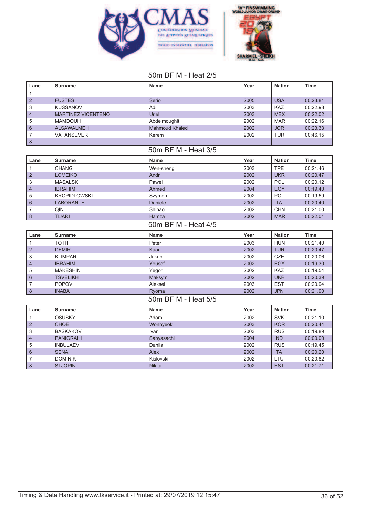



# 50m BF M - Heat 2/5

| Lane                    | <b>Surname</b>            | <b>Name</b>           | Year | <b>Nation</b> | <b>Time</b> |  |
|-------------------------|---------------------------|-----------------------|------|---------------|-------------|--|
| $\mathbf{1}$            |                           |                       |      |               |             |  |
| $\overline{2}$          | <b>FUSTES</b>             | Serio                 | 2005 | <b>USA</b>    | 00:23.81    |  |
| 3                       | <b>KUSSANOV</b>           | Adil                  | 2003 | KAZ           | 00:22.98    |  |
| $\overline{4}$          | <b>MARTINEZ VICENTENO</b> | Uriel                 | 2003 | <b>MEX</b>    | 00:22.02    |  |
| 5                       | <b>MAMDOUH</b>            | Abdelmoughit          | 2002 | <b>MAR</b>    | 00:22.16    |  |
| $6\phantom{1}$          | <b>ALSAWALMEH</b>         | <b>Mahmoud Khaled</b> | 2002 | <b>JOR</b>    | 00:23.33    |  |
| $\overline{7}$          | <b>VATANSEVER</b>         | Kerem                 | 2002 | <b>TUR</b>    | 00:46.15    |  |
| $\bf 8$                 |                           |                       |      |               |             |  |
|                         |                           | 50m BF M - Heat 3/5   |      |               |             |  |
| Lane                    | <b>Surname</b>            | <b>Name</b>           | Year | <b>Nation</b> | <b>Time</b> |  |
| $\mathbf{1}$            | <b>CHANG</b>              | Wen-sheng             | 2003 | <b>TPE</b>    | 00:21.46    |  |
| $\overline{2}$          | <b>LOMEIKO</b>            | Andrii                | 2002 | <b>UKR</b>    | 00:20.47    |  |
| 3                       | <b>MASALSKI</b>           | Pawel                 | 2002 | <b>POL</b>    | 00:20.12    |  |
| $\overline{4}$          | <b>IBRAHIM</b>            | Ahmed                 | 2004 | <b>EGY</b>    | 00:19.40    |  |
| 5                       | <b>KROPIDLOWSKI</b>       | Szymon                | 2002 | POL           | 00:19.59    |  |
| $6\phantom{a}$          | <b>LABORANTE</b>          | Daniele               | 2002 | <b>ITA</b>    | 00:20.40    |  |
| 7                       | QIN                       | Shihao                | 2002 | <b>CHN</b>    | 00:21.00    |  |
| $\delta$                | <b>TIJARI</b>             | Hamza                 | 2002 | <b>MAR</b>    | 00:22.01    |  |
| 50m BF M - Heat 4/5     |                           |                       |      |               |             |  |
|                         |                           |                       |      |               |             |  |
| Lane                    | <b>Surname</b>            | <b>Name</b>           | Year | <b>Nation</b> | <b>Time</b> |  |
| $\mathbf{1}$            | <b>TOTH</b>               | Peter                 | 2003 | <b>HUN</b>    | 00:21.40    |  |
| $\overline{2}$          | <b>DEMIR</b>              | Kaan                  | 2002 | <b>TUR</b>    | 00:20.47    |  |
| 3                       | <b>KLIMPAR</b>            | Jakub                 | 2002 | CZE           | 00:20.06    |  |
| $\overline{\mathbf{4}}$ | <b>IBRAHIM</b>            | Yousef                | 2002 | <b>EGY</b>    | 00:19.30    |  |
| 5                       | <b>MAKESHIN</b>           | Yegor                 | 2002 | KAZ           | 00:19.54    |  |
| $6\phantom{1}$          | <b>TSVELIKH</b>           | Maksym                | 2002 | <b>UKR</b>    | 00:20.39    |  |
| 7                       | <b>POPOV</b>              | Aleksei               | 2003 | <b>EST</b>    | 00:20.94    |  |
| $\boldsymbol{8}$        | <b>INABA</b>              | Ryoma                 | 2002 | <b>JPN</b>    | 00:21.90    |  |
|                         |                           | 50m BF M - Heat 5/5   |      |               |             |  |
| Lane                    | <b>Surname</b>            | <b>Name</b>           | Year | <b>Nation</b> | <b>Time</b> |  |
| $\mathbf{1}$            | <b>OSUSKY</b>             | Adam                  | 2002 | <b>SVK</b>    | 00:21.10    |  |
| $\overline{2}$          | <b>CHOE</b>               | Wonhyeok              | 2003 | <b>KOR</b>    | 00:20.44    |  |
| 3                       | <b>BASKAKOV</b>           | Ivan                  | 2003 | <b>RUS</b>    | 00:19.89    |  |
| $\overline{4}$          | <b>PANIGRAHI</b>          | Sabyasachi            | 2004 | <b>IND</b>    | 00:00.00    |  |
| 5                       | <b>INBULAEV</b>           | Danila                | 2002 | <b>RUS</b>    | 00:19.45    |  |
| 6                       | <b>SENA</b>               | Alex                  | 2002 | <b>ITA</b>    | 00:20.20    |  |
| 7                       | <b>DOMINIK</b>            | Kislovski             | 2002 | LTU           | 00:20.82    |  |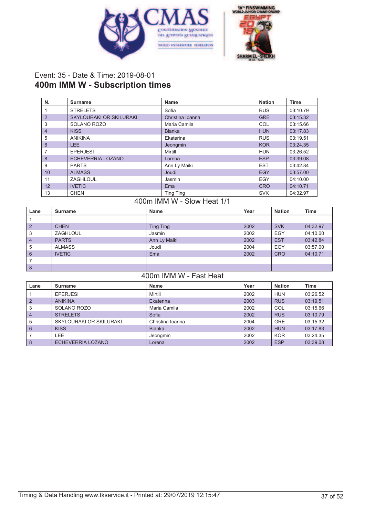



## Event: 35 - Date & Time: 2019-08-01 **400m IMM W - Subscription times**

| N.             | Surname                        | Name             | <b>Nation</b> | <b>Time</b> |
|----------------|--------------------------------|------------------|---------------|-------------|
|                | <b>STRELETS</b>                | Sofia            | <b>RUS</b>    | 03:10.79    |
| $\overline{2}$ | <b>SKYLOURAKI OR SKILURAKI</b> | Christina Ioanna | <b>GRE</b>    | 03:15.32    |
| 3              | SOLANO ROZO                    | Maria Camila     | COL           | 03:15.66    |
| $\overline{4}$ | <b>KISS</b>                    | <b>Blanka</b>    | <b>HUN</b>    | 03:17.83    |
| 5              | <b>ANIKINA</b>                 | Ekaterina        | <b>RUS</b>    | 03:19.51    |
| 6              | LEE.                           | Jeongmin         | <b>KOR</b>    | 03:24.35    |
| 7              | <b>EPERJESI</b>                | Mirtill          | <b>HUN</b>    | 03:26.52    |
| 8              | <b>ECHEVERRIA LOZANO</b>       | Lorena           | <b>ESP</b>    | 03:39.08    |
| 9              | <b>PARTS</b>                   | Ann Ly Maiki     | <b>EST</b>    | 03:42.84    |
| 10             | <b>ALMASS</b>                  | Joudi            | EGY           | 03:57.00    |
| 11             | ZAGHLOUL                       | Jasmin           | EGY           | 04:10.00    |
| 12             | <b>IVETIC</b>                  | Ema              | <b>CRO</b>    | 04:10.71    |
| 13             | <b>CHEN</b>                    | <b>Ting Ting</b> | <b>SVK</b>    | 04:32.97    |

# 400m IMM W - Slow Heat 1/1

| Lane           | Surname       | <b>Name</b>      | Year | <b>Nation</b> | <b>Time</b> |
|----------------|---------------|------------------|------|---------------|-------------|
|                |               |                  |      |               |             |
| $\overline{2}$ | <b>CHEN</b>   | <b>Ting Ting</b> | 2002 | <b>SVK</b>    | 04:32.97    |
| 3              | ZAGHLOUL      | Jasmin           | 2002 | <b>EGY</b>    | 04:10.00    |
| $\overline{4}$ | <b>PARTS</b>  | Ann Ly Maiki     | 2002 | <b>EST</b>    | 03:42.84    |
| 5              | <b>ALMASS</b> | Joudi            | 2004 | <b>EGY</b>    | 03:57.00    |
| 6              | <b>IVETIC</b> | Ema              | 2002 | <b>CRO</b>    | 04:10.71    |
|                |               |                  |      |               |             |
| 8              |               |                  |      |               |             |

# 400m IMM W - Fast Heat

| Lane           | Surname                 | Name             | Year | <b>Nation</b> | <b>Time</b> |
|----------------|-------------------------|------------------|------|---------------|-------------|
|                | <b>EPERJESI</b>         | Mirtill          | 2002 | <b>HUN</b>    | 03:26.52    |
| $\overline{2}$ | <b>ANIKINA</b>          | Ekaterina        | 2003 | <b>RUS</b>    | 03:19.51    |
| 3              | SOLANO ROZO             | Maria Camila     | 2002 | COL           | 03:15.66    |
| $\overline{4}$ | <b>STRELETS</b>         | Sofia            | 2002 | <b>RUS</b>    | 03:10.79    |
| 5              | SKYLOURAKI OR SKILURAKI | Christina Ioanna | 2004 | <b>GRE</b>    | 03:15.32    |
| 6              | <b>KISS</b>             | <b>Blanka</b>    | 2002 | <b>HUN</b>    | 03:17.83    |
|                | LEE.                    | Jeongmin         | 2002 | <b>KOR</b>    | 03:24.35    |
| 8              | ECHEVERRIA LOZANO       | Lorena           | 2002 | <b>ESP</b>    | 03:39.08    |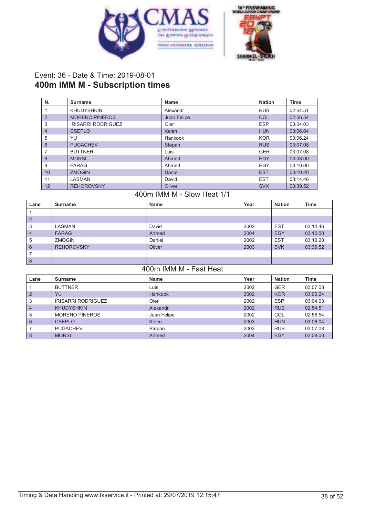



## Event: 36 - Date & Time: 2019-08-01 **400m IMM M - Subscription times**

| N.             | Surname                   | Name        | <b>Nation</b> | Time     |
|----------------|---------------------------|-------------|---------------|----------|
|                | <b>KHUDYSHKIN</b>         | Alexandr    | <b>RUS</b>    | 02:54.51 |
| $\overline{2}$ | <b>MORENO PINEROS</b>     | Juan Felipe | COL           | 02:56.54 |
| 3              | <b>IRISARRI RODRIGUEZ</b> | Oier        | <b>ESP</b>    | 03:04.03 |
| $\overline{4}$ | <b>CSEPLO</b>             | Kelen       | <b>HUN</b>    | 03:06.04 |
| 5              | YU                        | Hankook     | <b>KOR</b>    | 03:06.24 |
| 6              | <b>PUGACHEV</b>           | Stepan      | <b>RUS</b>    | 03:07.08 |
|                | <b>BUTTNER</b>            | Luis        | <b>GER</b>    | 03:07.08 |
| 8              | <b>MORSI</b>              | Ahmed       | EGY           | 03:08.00 |
| 9              | <b>FARAG</b>              | Ahmed       | EGY           | 03:10.00 |
| 10             | <b>ZMOGIN</b>             | Daniel      | <b>EST</b>    | 03:10.20 |
| 11             | <b>LASMAN</b>             | David       | <b>EST</b>    | 03:14.46 |
| 12             | <b>REHOROVSKY</b>         | Oliver      | <b>SVK</b>    | 03:39.52 |

#### 400m IMM M - Slow Heat 1/1

| Lane           | Surname           | Name   | Year | <b>Nation</b> | <b>Time</b> |
|----------------|-------------------|--------|------|---------------|-------------|
|                |                   |        |      |               |             |
| $\overline{2}$ |                   |        |      |               |             |
| 3              | LASMAN            | David  | 2002 | <b>EST</b>    | 03:14.46    |
| $\overline{4}$ | <b>FARAG</b>      | Ahmed  | 2004 | EGY           | 03:10.00    |
| 5              | <b>ZMOGIN</b>     | Daniel | 2002 | <b>EST</b>    | 03:10.20    |
| 6              | <b>REHOROVSKY</b> | Oliver | 2003 | <b>SVK</b>    | 03:39.52    |
| 7              |                   |        |      |               |             |
| 8              |                   |        |      |               |             |

### 400m IMM M - Fast Heat

| Lane           | Surname                   | Name        | Year | <b>Nation</b> | <b>Time</b> |
|----------------|---------------------------|-------------|------|---------------|-------------|
|                | <b>BUTTNER</b>            | Luis        | 2002 | <b>GER</b>    | 03:07.08    |
| $\overline{2}$ | YU                        | Hankook     | 2002 | <b>KOR</b>    | 03:06.24    |
| 3              | <b>IRISARRI RODRIGUEZ</b> | Oier        | 2002 | <b>ESP</b>    | 03:04.03    |
| $\overline{4}$ | <b>KHUDYSHKIN</b>         | Alexandr    | 2002 | <b>RUS</b>    | 02:54.51    |
| 5              | <b>MORENO PINEROS</b>     | Juan Felipe | 2002 | COL           | 02:56.54    |
| 6              | <b>CSEPLO</b>             | Kelen       | 2003 | <b>HUN</b>    | 03:06.04    |
|                | <b>PUGACHEV</b>           | Stepan      | 2003 | <b>RUS</b>    | 03:07.08    |
| 8              | <b>MORSI</b>              | Ahmed       | 2004 | EGY           | 03:08.00    |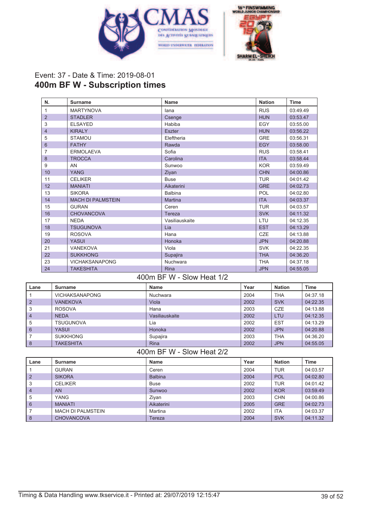



## Event: 37 - Date & Time: 2019-08-01 **400m BF W - Subscription times**

| N.             | <b>Surname</b>           | Name           | <b>Nation</b> | <b>Time</b> |
|----------------|--------------------------|----------------|---------------|-------------|
| 1              | <b>MARTYNOVA</b>         | lana           | <b>RUS</b>    | 03:49.49    |
| $\overline{2}$ | <b>STADLER</b>           | Csenge         | <b>HUN</b>    | 03:53.47    |
| 3              | <b>ELSAYED</b>           | Habiba         | <b>EGY</b>    | 03:55.00    |
| 4              | <b>KIRALY</b>            | <b>Eszter</b>  | <b>HUN</b>    | 03:56.22    |
| 5              | <b>STAMOU</b>            | Eleftheria     | <b>GRE</b>    | 03:56.31    |
| 6              | <b>FATHY</b>             | Rawda          | <b>EGY</b>    | 03:58.00    |
| 7              | <b>ERMOLAEVA</b>         | Sofia          | <b>RUS</b>    | 03:58.41    |
| 8              | <b>TROCCA</b>            | Carolina       | <b>ITA</b>    | 03:58.44    |
| 9              | AN                       | Sunwoo         | <b>KOR</b>    | 03:59.49    |
| 10             | <b>YANG</b>              | Ziyan          | <b>CHN</b>    | 04:00.86    |
| 11             | <b>CELIKER</b>           | <b>Buse</b>    | <b>TUR</b>    | 04:01.42    |
| 12             | <b>MANIATI</b>           | Aikaterini     | <b>GRE</b>    | 04:02.73    |
| 13             | <b>SIKORA</b>            | <b>Balbina</b> | POL           | 04:02.80    |
| 14             | <b>MACH DI PALMSTEIN</b> | <b>Martina</b> | <b>ITA</b>    | 04:03.37    |
| 15             | <b>GURAN</b>             | Ceren          | <b>TUR</b>    | 04:03.57    |
| 16             | <b>CHOVANCOVA</b>        | Tereza         | <b>SVK</b>    | 04:11.32    |
| 17             | <b>NEDA</b>              | Vasiliauskaite | LTU           | 04:12.35    |
| 18             | <b>TSUGUNOVA</b>         | Lia            | <b>EST</b>    | 04:13.29    |
| 19             | <b>ROSOVA</b>            | Hana           | <b>CZE</b>    | 04:13.88    |
| 20             | <b>YASUI</b>             | Honoka         | <b>JPN</b>    | 04:20.88    |
| 21             | <b>VANEKOVA</b>          | Viola          | <b>SVK</b>    | 04:22.35    |
| 22             | <b>SUKKHONG</b>          | Supajira       | <b>THA</b>    | 04:36.20    |
| 23             | <b>VICHAKSANAPONG</b>    | Nuchwara       | <b>THA</b>    | 04:37.18    |
| 24             | <b>TAKESHITA</b>         | <b>Rina</b>    | <b>JPN</b>    | 04:55.05    |

#### 400m BF W - Slow Heat 1/2

| Lane           | Surname               | <b>Name</b>    | Year | <b>Nation</b> | <b>Time</b> |
|----------------|-----------------------|----------------|------|---------------|-------------|
|                | <b>VICHAKSANAPONG</b> | Nuchwara       | 2004 | <b>THA</b>    | 04:37.18    |
| $\overline{2}$ | <b>VANEKOVA</b>       | Viola          | 2002 | <b>SVK</b>    | 04:22.35    |
| 3              | <b>ROSOVA</b>         | Hana           | 2003 | <b>CZE</b>    | 04:13.88    |
| $\overline{4}$ | <b>NEDA</b>           | Vasiliauskaite | 2002 | LTU           | 04:12.35    |
| 5              | <b>TSUGUNOVA</b>      | Lia            | 2002 | <b>EST</b>    | 04:13.29    |
| 6              | YASUI                 | Honoka         | 2002 | <b>JPN</b>    | 04:20.88    |
|                | <b>SUKKHONG</b>       | Supajira       | 2003 | <b>THA</b>    | 04:36.20    |
| 8              | <b>TAKESHITA</b>      | Rina           | 2002 | <b>JPN</b>    | 04:55.05    |

#### 400m BF W - Slow Heat 2/2

| Lane           | Surname                  | <b>Name</b>    | Year | <b>Nation</b> | Time     |
|----------------|--------------------------|----------------|------|---------------|----------|
|                | <b>GURAN</b>             | Ceren          | 2004 | <b>TUR</b>    | 04:03.57 |
| $\overline{2}$ | <b>SIKORA</b>            | <b>Balbina</b> | 2004 | <b>POL</b>    | 04:02.80 |
| 3              | <b>CELIKER</b>           | <b>Buse</b>    | 2002 | <b>TUR</b>    | 04:01.42 |
| 4              | <b>AN</b>                | Sunwoo         | 2002 | <b>KOR</b>    | 03:59.49 |
| 5              | <b>YANG</b>              | Ziyan          | 2003 | <b>CHN</b>    | 04:00.86 |
| 6              | <b>MANIATI</b>           | Aikaterini     | 2005 | <b>GRE</b>    | 04:02.73 |
|                | <b>MACH DI PALMSTEIN</b> | Martina        | 2002 | <b>ITA</b>    | 04:03.37 |
| 8              | <b>CHOVANCOVA</b>        | Tereza         | 2004 | <b>SVK</b>    | 04:11.32 |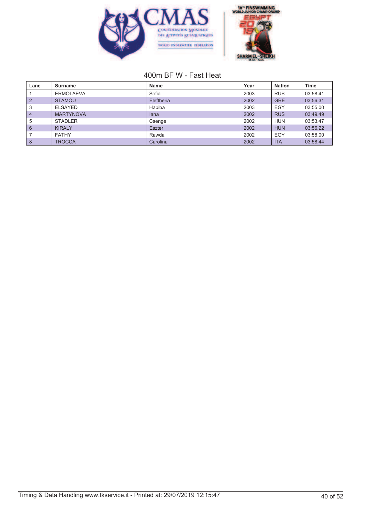



# 400m BF W - Fast Heat

| Lane | Surname          | <b>Name</b>   | Year | <b>Nation</b> | <b>Time</b> |
|------|------------------|---------------|------|---------------|-------------|
|      | <b>ERMOLAEVA</b> | Sofia         | 2003 | <b>RUS</b>    | 03:58.41    |
|      | <b>STAMOU</b>    | Eleftheria    | 2002 | <b>GRE</b>    | 03:56.31    |
| 3    | <b>ELSAYED</b>   | Habiba        | 2003 | <b>EGY</b>    | 03:55.00    |
| 4    | <b>MARTYNOVA</b> | lana          | 2002 | <b>RUS</b>    | 03:49.49    |
| 5    | <b>STADLER</b>   | Csenge        | 2002 | <b>HUN</b>    | 03:53.47    |
| 6    | <b>KIRALY</b>    | <b>Eszter</b> | 2002 | <b>HUN</b>    | 03:56.22    |
|      | <b>FATHY</b>     | Rawda         | 2002 | EGY           | 03:58.00    |
| 8    | <b>TROCCA</b>    | Carolina      | 2002 | <b>ITA</b>    | 03:58.44    |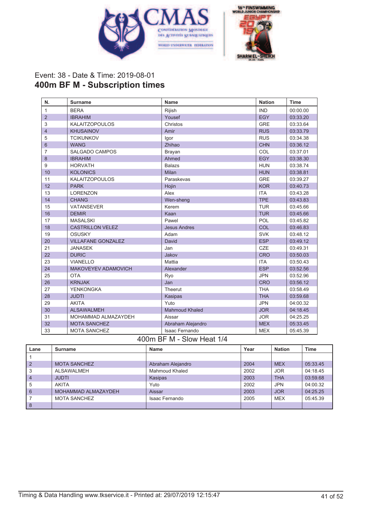



## Event: 38 - Date & Time: 2019-08-01 **400m BF M - Subscription times**

| N.             | <b>Surname</b>             | <b>Name</b>           | <b>Nation</b> | <b>Time</b> |
|----------------|----------------------------|-----------------------|---------------|-------------|
| $\mathbf{1}$   | <b>BERA</b>                | Rijish                | <b>IND</b>    | 00:00.00    |
| $\overline{2}$ | <b>IBRAHIM</b>             | Yousef                | <b>EGY</b>    | 03:33.20    |
| 3              | <b>KALAITZOPOULOS</b>      | Christos              | <b>GRE</b>    | 03:33.64    |
| $\overline{4}$ | <b>KHUSAINOV</b>           | Amir                  | <b>RUS</b>    | 03:33.79    |
| 5              | <b>TCIKUNKOV</b>           | Igor                  | <b>RUS</b>    | 03:34.38    |
| 6              | <b>WANG</b>                | Zhihao                | <b>CHN</b>    | 03:36.12    |
| 7              | <b>SALGADO CAMPOS</b>      | Brayan                | COL           | 03:37.01    |
| 8              | <b>IBRAHIM</b>             | Ahmed                 | <b>EGY</b>    | 03:38.30    |
| 9              | <b>HORVATH</b>             | <b>Balazs</b>         | <b>HUN</b>    | 03:38.74    |
| 10             | <b>KOLONICS</b>            | Milan                 | <b>HUN</b>    | 03:38.81    |
| 11             | <b>KALAITZOPOULOS</b>      | Paraskevas            | <b>GRE</b>    | 03:39.27    |
| 12             | <b>PARK</b>                | Hojin                 | <b>KOR</b>    | 03:40.73    |
| 13             | <b>LORENZON</b>            | Alex                  | <b>ITA</b>    | 03:43.28    |
| 14             | <b>CHANG</b>               | Wen-sheng             | <b>TPE</b>    | 03:43.83    |
| 15             | <b>VATANSEVER</b>          | Kerem                 | <b>TUR</b>    | 03:45.66    |
| 16             | <b>DEMIR</b>               | Kaan                  | <b>TUR</b>    | 03:45.66    |
| 17             | <b>MASALSKI</b>            | Pawel                 | POL           | 03:45.82    |
| 18             | <b>CASTRILLON VELEZ</b>    | <b>Jesus Andres</b>   | COL           | 03:46.83    |
| 19             | <b>OSUSKY</b>              | Adam                  | <b>SVK</b>    | 03:48.12    |
| 20             | <b>VILLAFANE GONZALEZ</b>  | David                 | <b>ESP</b>    | 03:49.12    |
| 21             | <b>JANASEK</b>             | Jan                   | <b>CZE</b>    | 03:49.31    |
| 22             | <b>DURIC</b>               | Jakov                 | <b>CRO</b>    | 03:50.03    |
| 23             | <b>VIANELLO</b>            | Mattia                | <b>ITA</b>    | 03:50.43    |
| 24             | <b>MAKOVEYEV ADAMOVICH</b> | Alexander             | <b>ESP</b>    | 03:52.56    |
| 25             | <b>OTA</b>                 | Ryo                   | <b>JPN</b>    | 03:52.96    |
| 26             | <b>KRNJAK</b>              | Jan                   | <b>CRO</b>    | 03:56.12    |
| 27             | <b>YENKONGKA</b>           | Theerut               | <b>THA</b>    | 03:58.49    |
| 28             | <b>JUDTI</b>               | Kasipas               | <b>THA</b>    | 03:59.68    |
| 29             | <b>AKITA</b>               | Yuto                  | <b>JPN</b>    | 04:00.32    |
| 30             | <b>ALSAWALMEH</b>          | <b>Mahmoud Khaled</b> | <b>JOR</b>    | 04:18.45    |
| 31             | MOHAMMAD ALMAZAYDEH        | Aissar                | <b>JOR</b>    | 04:25.25    |
| 32             | <b>MOTA SANCHEZ</b>        | Abraham Alejandro     | <b>MEX</b>    | 05:33.45    |
| 33             | <b>MOTA SANCHEZ</b>        | <b>Isaac Fernando</b> | <b>MEX</b>    | 05:45.39    |

#### 400m BF M - Slow Heat 1/4

| Lane           | <b>Surname</b>      | <b>Name</b>       | Year | <b>Nation</b> | Time     |
|----------------|---------------------|-------------------|------|---------------|----------|
|                |                     |                   |      |               |          |
| $\overline{2}$ | <b>MOTA SANCHEZ</b> | Abraham Alejandro | 2004 | <b>MEX</b>    | 05:33.45 |
| 3              | ALSAWALMEH          | Mahmoud Khaled    | 2002 | <b>JOR</b>    | 04:18.45 |
| $\overline{4}$ | <b>JUDTI</b>        | Kasipas           | 2003 | <b>THA</b>    | 03:59.68 |
| 5              | AKITA               | Yuto              | 2002 | <b>JPN</b>    | 04:00.32 |
| 6              | MOHAMMAD ALMAZAYDEH | Aissar            | 2003 | <b>JOR</b>    | 04:25.25 |
|                | <b>MOTA SANCHEZ</b> | Isaac Fernando    | 2005 | <b>MEX</b>    | 05:45.39 |
| 8              |                     |                   |      |               |          |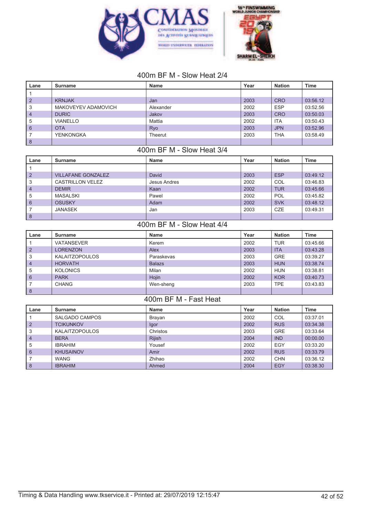



# 400m BF M - Slow Heat 2/4

| Lane           | Surname             | Name      | Year | <b>Nation</b> | <b>Time</b> |
|----------------|---------------------|-----------|------|---------------|-------------|
|                |                     |           |      |               |             |
| 2              | <b>KRNJAK</b>       | Jan       | 2003 | <b>CRO</b>    | 03:56.12    |
| 3              | MAKOVEYEV ADAMOVICH | Alexander | 2002 | <b>ESP</b>    | 03:52.56    |
| $\overline{4}$ | <b>DURIC</b>        | Jakov     | 2003 | <b>CRO</b>    | 03:50.03    |
| 5              | <b>VIANELLO</b>     | Mattia    | 2002 | <b>ITA</b>    | 03:50.43    |
| l 6            | <b>OTA</b>          | Ryo       | 2003 | <b>JPN</b>    | 03:52.96    |
|                | YENKONGKA           | Theerut   | 2003 | <b>THA</b>    | 03:58.49    |
| 8              |                     |           |      |               |             |

# 400m BF M - Slow Heat 3/4

| Lane           | Surname                   | <b>Name</b>  | Year | <b>Nation</b> | <b>Time</b> |
|----------------|---------------------------|--------------|------|---------------|-------------|
|                |                           |              |      |               |             |
| $\overline{2}$ | <b>VILLAFANE GONZALEZ</b> | David        | 2003 | <b>ESP</b>    | 03:49.12    |
| 3              | CASTRILLON VELEZ          | Jesus Andres | 2002 | COL           | 03:46.83    |
| $\overline{4}$ | <b>DEMIR</b>              | Kaan         | 2002 | <b>TUR</b>    | 03:45.66    |
| 5              | MASALSKI                  | Pawel        | 2002 | POL           | 03:45.82    |
| 6              | <b>OSUSKY</b>             | Adam         | 2002 | <b>SVK</b>    | 03:48.12    |
|                | JANASEK                   | Jan          | 2003 | <b>CZE</b>    | 03:49.31    |
| 8              |                           |              |      |               |             |

### 400m BF M - Slow Heat 4/4

| Lane           | Surname               | <b>Name</b>   | Year | <b>Nation</b> | <b>Time</b> |
|----------------|-----------------------|---------------|------|---------------|-------------|
|                | <b>VATANSEVER</b>     | Kerem         | 2002 | <b>TUR</b>    | 03:45.66    |
| $\overline{2}$ | <b>LORENZON</b>       | Alex          | 2003 | <b>ITA</b>    | 03:43.28    |
| 3              | <b>KALAITZOPOULOS</b> | Paraskevas    | 2003 | <b>GRE</b>    | 03:39.27    |
| $\overline{4}$ | <b>HORVATH</b>        | <b>Balazs</b> | 2003 | <b>HUN</b>    | 03:38.74    |
| 5              | <b>KOLONICS</b>       | Milan         | 2002 | <b>HUN</b>    | 03:38.81    |
| 6              | <b>PARK</b>           | Hojin         | 2002 | <b>KOR</b>    | 03:40.73    |
|                | <b>CHANG</b>          | Wen-sheng     | 2003 | <b>TPE</b>    | 03:43.83    |
| 8              |                       |               |      |               |             |

#### 400m BF M - Fast Heat

| Lane           | Surname               | <b>Name</b>   | Year | <b>Nation</b> | <b>Time</b> |
|----------------|-----------------------|---------------|------|---------------|-------------|
|                | SALGADO CAMPOS        | Brayan        | 2002 | COL           | 03:37.01    |
| $\overline{2}$ | <b>TCIKUNKOV</b>      | lgor          | 2002 | <b>RUS</b>    | 03:34.38    |
| 3              | <b>KALAITZOPOULOS</b> | Christos      | 2003 | <b>GRE</b>    | 03:33.64    |
| $\overline{4}$ | <b>BERA</b>           | <b>Rijish</b> | 2004 | <b>IND</b>    | 00:00.00    |
| 5              | <b>IBRAHIM</b>        | Yousef        | 2002 | EGY           | 03:33.20    |
| 6              | <b>KHUSAINOV</b>      | Amir          | 2002 | <b>RUS</b>    | 03:33.79    |
|                | <b>WANG</b>           | Zhihao        | 2002 | <b>CHN</b>    | 03:36.12    |
| 8              | <b>IBRAHIM</b>        | Ahmed         | 2004 | EGY           | 03:38.30    |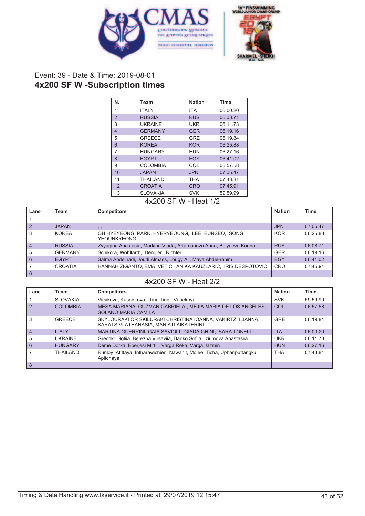



### Event: 39 - Date & Time: 2019-08-01 **4x200 SF W -Subscription times**

| N.             | Team            | <b>Nation</b> | <b>Time</b> |
|----------------|-----------------|---------------|-------------|
| $\mathbf{1}$   | <b>ITALY</b>    | <b>ITA</b>    | 06:00.20    |
| $\overline{2}$ | <b>RUSSIA</b>   | <b>RUS</b>    | 06:08.71    |
| 3              | <b>UKRAINE</b>  | <b>UKR</b>    | 06:11.73    |
| $\overline{4}$ | <b>GERMANY</b>  | <b>GER</b>    | 06:19.16    |
| 5              | <b>GREECE</b>   | <b>GRE</b>    | 06:19.84    |
| 6              | <b>KOREA</b>    | <b>KOR</b>    | 06:25.88    |
| 7              | <b>HUNGARY</b>  | HUN           | 06:27.16    |
| 8              | <b>EGYPT</b>    | <b>EGY</b>    | 06:41.02    |
| 9              | <b>COLOMBIA</b> | COL           | 06:57.58    |
| 10             | <b>JAPAN</b>    | <b>JPN</b>    | 07:05.47    |
| 11             | <b>THAILAND</b> | THA           | 07:43.81    |
| 12             | <b>CROATIA</b>  | <b>CRO</b>    | 07:45.91    |
| 13             | <b>SLOVAKIA</b> | <b>SVK</b>    | 59:59.99    |

4x200 SF W - Heat 1/2

| Lane           | Team           | <b>Competitors</b>                                                      | <b>Nation</b> | Time     |
|----------------|----------------|-------------------------------------------------------------------------|---------------|----------|
|                |                |                                                                         |               |          |
| $\mathcal{P}$  | <b>JAPAN</b>   | , , ,                                                                   | <b>JPN</b>    | 07:05.47 |
| 3              | KOREA          | OH HYEYEONG, PARK, HYERYEOUNG, LEE, EUNSEO, SONG,<br><b>YEOUNKYEONG</b> | <b>KOR</b>    | 06:25.88 |
| $\overline{4}$ | <b>RUSSIA</b>  | Zvyagina Anastasia, Markina Vlada, Artamonova Anna, Belyaeva Karina     | <b>RUS</b>    | 06:08.71 |
| 5              | <b>GERMANY</b> | Schikora, Wohlfarth, Dengler, Richter                                   | <b>GER</b>    | 06:19.16 |
| 6              | <b>EGYPT</b>   | Salma Abdelhadi, Joudi Almass, Lougy Ali, Maya Abdel-rahim              | EGY           | 06:41.02 |
|                | CROATIA        | HANNAH ZIGANTO, EMA IVETIC, ANIKA KAUZLARIC, IRIS DESPOTOVIC            | CRO           | 07:45.91 |
| 8              |                |                                                                         |               |          |

# 4x200 SF W - Heat 2/2

| Lane           | Team             | <b>Competitors</b>                                                                                     | <b>Nation</b> | <b>Time</b> |
|----------------|------------------|--------------------------------------------------------------------------------------------------------|---------------|-------------|
|                | <b>SLOVAKIA</b>  | Virsikova, Kusnierova, Ting Ting, Vanekova                                                             | <b>SVK</b>    | 59:59.99    |
| $\mathcal{P}$  | COI OMBIA        | MESA MARIANA, GUZMAN GABRIELA, MEJIA MARIA DE LOS ANGELES,<br><b>SOLANO MARIA CAMILA</b>               | COL           | 06:57.58    |
| 3              | GREECE           | SKYLOURAKI OR SKILURAKI CHRISTINA IOANNA, VAKIRTZI ILIANNA,<br>KARATSIVI ATHANASIA, MANIATI AIKATERINI | <b>GRE</b>    | 06:19.84    |
| $\overline{4}$ | <b>ITALY</b>     | MARTINA GUERRINI, GAIA SAVIOLI, GIADA GHINI, SARA TONELLI                                              | <b>ITA</b>    | 06:00.20    |
| 5              | <b>UKRAINE</b>   | Grechko Sofiia, Berezna Virsaviia, Danko Sofiia, Iziumova Anastasiia                                   | <b>UKR</b>    | 06:11.73    |
| 6              | <b>HUNGARY</b>   | Deme Dorka, Eperjesi Mirtill, Varga Reka, Varga Jazmin                                                 | <b>HUN</b>    | 06:27.16    |
|                | <b>THAII AND</b> | Runloy Atittaya, Intharawichien Nawanit, Molee Ticha, Uphariputtangkul<br>Apitchaya                    | <b>THA</b>    | 07:43.81    |
| 8              |                  |                                                                                                        |               |             |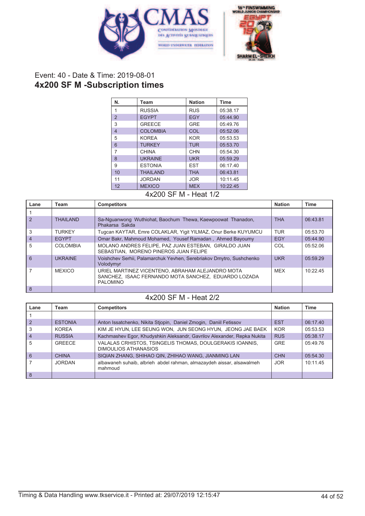



# Event: 40 - Date & Time: 2019-08-01 **4x200 SF M -Subscription times**

| N.             | Team            | <b>Nation</b> | <b>Time</b> |
|----------------|-----------------|---------------|-------------|
| 1              | <b>RUSSIA</b>   | <b>RUS</b>    | 05:38.17    |
| $\overline{2}$ | <b>EGYPT</b>    | <b>EGY</b>    | 05:44.90    |
| 3              | <b>GREECE</b>   | <b>GRE</b>    | 05:49.76    |
| $\overline{4}$ | <b>COLOMBIA</b> | COL           | 05:52.06    |
| 5              | <b>KOREA</b>    | <b>KOR</b>    | 05:53.53    |
| 6              | <b>TURKEY</b>   | <b>TUR</b>    | 05:53.70    |
| $\overline{7}$ | <b>CHINA</b>    | <b>CHN</b>    | 05:54.30    |
| $\mathsf{8}$   | <b>UKRAINE</b>  | <b>UKR</b>    | 05:59.29    |
| 9              | <b>ESTONIA</b>  | <b>EST</b>    | 06:17.40    |
| 10             | <b>THAILAND</b> | <b>THA</b>    | 06:43.81    |
| 11             | <b>JORDAN</b>   | <b>JOR</b>    | 10:11.45    |
| 12             | <b>MEXICO</b>   | <b>MEX</b>    | 10:22.45    |

4x200 SF M - Heat 1/2

| Lane           | Team            | <b>Competitors</b>                                                                                                          | <b>Nation</b> | Time     |
|----------------|-----------------|-----------------------------------------------------------------------------------------------------------------------------|---------------|----------|
|                |                 |                                                                                                                             |               |          |
| $\mathcal{P}$  | <b>THAILAND</b> | Sa-Nguanwong Wuthiohat, Baochum Thewa, Kaewpoowat Thanadon,<br>Phakarsa Sakda                                               | <b>THA</b>    | 06:43.81 |
| 3              | <b>TURKEY</b>   | Tugcan KAYTAR, Emre COLAKLAR, Yigit YILMAZ, Onur Berke KUYUMCU                                                              | <b>TUR</b>    | 05:53.70 |
| $\overline{4}$ | <b>EGYPT</b>    | Omar Bakr, Mahmoud Mohamed, Yousef Ramadan, Ahmed Bayoumy                                                                   | EGY           | 05:44.90 |
| 5              | <b>COLOMBIA</b> | MOLANO ANDRES FELIPE, PAZ JUAN ESTEBAN, GIRALDO JUAN<br>SEBASTIAN. MORENO PINEROS JUAN FELIPE                               | COL           | 05:52.06 |
| 6              | <b>UKRAINE</b>  | Voishchev Serhii, Palamarchuk Yevhen, Serebriakov Dmytro, Sushchenko<br>Volodymyr                                           | <b>UKR</b>    | 05:59.29 |
|                | <b>MEXICO</b>   | URIEL MARTINEZ VICENTENO, ABRAHAM ALEJANDRO MOTA<br>SANCHEZ, ISAAC FERNANDO MOTA SANCHEZ, EDUARDO LOZADA<br><b>PALOMINO</b> | <b>MFX</b>    | 10:2245  |
| 8              |                 |                                                                                                                             |               |          |

#### 4x200 SF M - Heat 2/2

| Lane           | Team           | <b>Competitors</b>                                                               | <b>Nation</b> | <b>Time</b> |
|----------------|----------------|----------------------------------------------------------------------------------|---------------|-------------|
|                |                |                                                                                  |               |             |
| $\overline{2}$ | <b>ESTONIA</b> | Anton Issatchenko, Nikita Stjopin, Daniel Zmogin, Daniil Fetissov                | <b>EST</b>    | 06:17.40    |
|                | <b>KOREA</b>   | KIM JE HYUN, LEE SEUNG WON, JUN SEONG HYUN, JEONG JAE BAEK                       | <b>KOR</b>    | 05:53.53    |
| $\overline{4}$ | <b>RUSSIA</b>  | Kachmashev Egor, Khudyshkin Aleksandr, Gavrilov Alexander, Repka Nukita          | <b>RUS</b>    | 05:38.17    |
| 5              | GREECE         | VALALAS CRHISTOS, TSINGELIS THOMAS, DOULGERAKIS IOANNIS,<br>DIMOULIOS ATHANASIOS | <b>GRE</b>    | 05:49.76    |
| 6              | <b>CHINA</b>   | SIQIAN ZHANG, SHIHAO QIN, ZHIHAO WANG, JIANMING LAN                              | <b>CHN</b>    | 05:54.30    |
|                | JORDAN         | albawaneh suhaib, albrieh abdel rahman, almazaydeh aissar, alsawalmeh<br>mahmoud | <b>JOR</b>    | 10:11.45    |
| 8              |                |                                                                                  |               |             |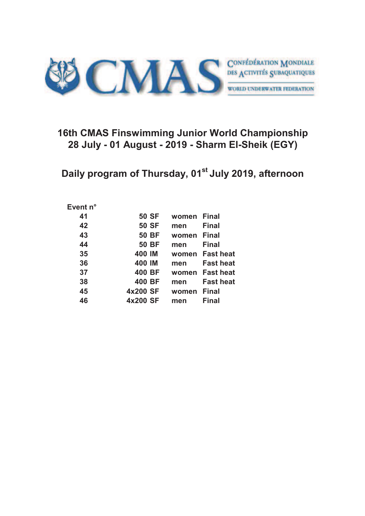

# **16th CMAS Finswimming Junior World Championship 28 July - 01 August - 2019 - Sharm El-Sheik (EGY)**

**Daily program of Thursday, 01st July 2019, afternoon**

#### **Event n°**

| 41 | <b>50 SF</b> | women | <b>Final</b>     |
|----|--------------|-------|------------------|
| 42 | <b>50 SF</b> | men   | <b>Final</b>     |
| 43 | <b>50 BF</b> | women | <b>Final</b>     |
| 44 | <b>50 BF</b> | men   | <b>Final</b>     |
| 35 | 400 IM       | women | <b>Fast heat</b> |
| 36 | 400 IM       | men   | <b>Fast heat</b> |
| 37 | 400 BF       | women | <b>Fast heat</b> |
| 38 | 400 BF       | men   | <b>Fast heat</b> |
| 45 | 4x200 SF     | women | <b>Final</b>     |
| 46 | 4x200 SF     | men   | <b>Final</b>     |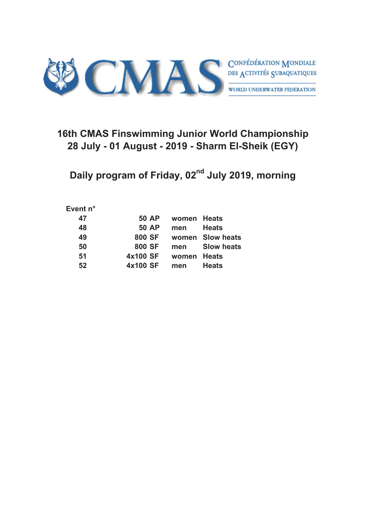

# **16th CMAS Finswimming Junior World Championship 28 July - 01 August - 2019 - Sharm El-Sheik (EGY)**

**Daily program of Friday, 02nd July 2019, morning**

#### **Event n°**

| 47 | <b>50 AP</b> | women Heats |                   |
|----|--------------|-------------|-------------------|
| 48 | <b>50 AP</b> | men         | <b>Heats</b>      |
| 49 | 800 SF       |             | women Slow heats  |
| 50 | 800 SF       | men         | <b>Slow heats</b> |
| 51 | 4x100 SF     | women Heats |                   |
| 52 | 4x100 SF     | men         | <b>Heats</b>      |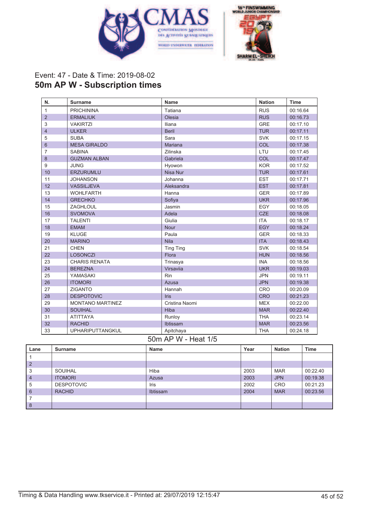



# Event: 47 - Date & Time: 2019-08-02 **50m AP W - Subscription times**

| N.             | <b>Surname</b>          | Name             | <b>Nation</b> | <b>Time</b> |
|----------------|-------------------------|------------------|---------------|-------------|
| $\mathbf{1}$   | <b>PRICHININA</b>       | Tatiana          | <b>RUS</b>    | 00:16.64    |
| $\overline{2}$ | <b>ERMALIUK</b>         | Olesia           | <b>RUS</b>    | 00:16.73    |
| 3              | <b>VAKIRTZI</b>         | Iliana           | <b>GRE</b>    | 00:17.10    |
| $\overline{4}$ | <b>ULKER</b>            | <b>Beril</b>     | <b>TUR</b>    | 00:17.11    |
| 5              | <b>SUBA</b>             | Sara             | <b>SVK</b>    | 00:17.15    |
| $6\phantom{1}$ | <b>MESA GIRALDO</b>     | Mariana          | COL           | 00:17.38    |
| $\overline{7}$ | <b>SABINA</b>           | Zilinska         | LTU           | 00:17.45    |
| 8              | <b>GUZMAN ALBAN</b>     | Gabriela         | COL           | 00:17.47    |
| 9              | <b>JUNG</b>             | Hyowon           | <b>KOR</b>    | 00:17.52    |
| 10             | <b>ERZURUMLU</b>        | Nisa Nur         | <b>TUR</b>    | 00:17.61    |
| 11             | <b>JOHANSON</b>         | Johanna          | <b>EST</b>    | 00:17.71    |
| 12             | <b>VASSILJEVA</b>       | Aleksandra       | <b>EST</b>    | 00:17.81    |
| 13             | <b>WOHLFARTH</b>        | Hanna            | <b>GER</b>    | 00:17.89    |
| 14             | <b>GRECHKO</b>          | Sofiya           | <b>UKR</b>    | 00:17.96    |
| 15             | <b>ZAGHLOUL</b>         | Jasmin           | EGY           | 00:18.05    |
| 16             | <b>SVOMOVA</b>          | Adela            | <b>CZE</b>    | 00:18.08    |
| 17             | <b>TALENTI</b>          | Giulia           | <b>ITA</b>    | 00:18.17    |
| 18             | <b>EMAM</b>             | <b>Nour</b>      | <b>EGY</b>    | 00:18.24    |
| 19             | <b>KLUGE</b>            | Paula            | <b>GER</b>    | 00:18.33    |
| 20             | <b>MARINO</b>           | <b>Nila</b>      | <b>ITA</b>    | 00:18.43    |
| 21             | <b>CHEN</b>             | <b>Ting Ting</b> | <b>SVK</b>    | 00:18.54    |
| 22             | <b>LOSONCZI</b>         | Flora            | <b>HUN</b>    | 00:18.56    |
| 23             | <b>CHARIS RENATA</b>    | Trinasya         | <b>INA</b>    | 00:18.56    |
| 24             | <b>BEREZNA</b>          | Virsaviia        | <b>UKR</b>    | 00:19.03    |
| 25             | YAMASAKI                | Rin              | <b>JPN</b>    | 00:19.11    |
| 26             | <b>ITOMORI</b>          | Azusa            | <b>JPN</b>    | 00:19.38    |
| 27             | <b>ZIGANTO</b>          | Hannah           | <b>CRO</b>    | 00:20.09    |
| 28             | <b>DESPOTOVIC</b>       | <b>Iris</b>      | <b>CRO</b>    | 00:21.23    |
| 29             | <b>MONTANO MARTINEZ</b> | Cristina Naomi   | <b>MEX</b>    | 00:22.00    |
| 30             | <b>SOUIHAL</b>          | Hiba             | <b>MAR</b>    | 00:22.40    |
| 31             | <b>ATITTAYA</b>         | Runloy           | <b>THA</b>    | 00:23.14    |
| 32             | <b>RACHID</b>           | Ibtissam         | <b>MAR</b>    | 00:23.56    |
| 33             | <b>UPHARIPUTTANGKUL</b> | Apitchaya        | <b>THA</b>    | 00:24.18    |

#### 50m AP W - Heat 1/5

| Lane           | Surname           | <b>Name</b> | Year | <b>Nation</b> | Time     |
|----------------|-------------------|-------------|------|---------------|----------|
|                |                   |             |      |               |          |
| $\overline{2}$ |                   |             |      |               |          |
| 3              | SOUIHAL           | Hiba        | 2003 | <b>MAR</b>    | 00:22.40 |
| $\overline{4}$ | <b>ITOMORI</b>    | Azusa       | 2003 | <b>JPN</b>    | 00:19.38 |
| 5              | <b>DESPOTOVIC</b> | Iris        | 2002 | <b>CRO</b>    | 00:21.23 |
| 6              | <b>RACHID</b>     | Ibtissam    | 2004 | <b>MAR</b>    | 00:23.56 |
|                |                   |             |      |               |          |
| 8              |                   |             |      |               |          |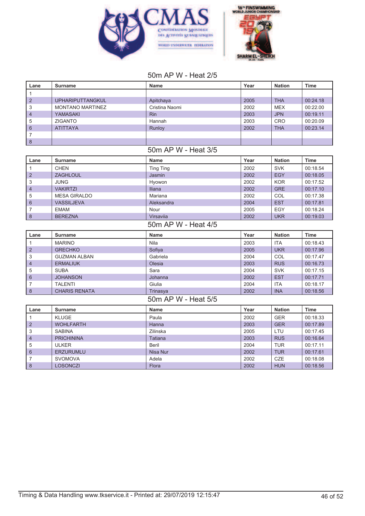



# 50m AP W - Heat 2/5

| Lane                | <b>Surname</b>          | <b>Name</b>         | Year         | <b>Nation</b> | <b>Time</b> |
|---------------------|-------------------------|---------------------|--------------|---------------|-------------|
| $\mathbf{1}$        |                         |                     |              |               |             |
| $\overline{2}$      | UPHARIPUTTANGKUL        | Apitchaya           | 2005         | <b>THA</b>    | 00:24.18    |
| 3                   | <b>MONTANO MARTINEZ</b> | Cristina Naomi      | 2002         | <b>MEX</b>    | 00:22.00    |
| $\overline{4}$      | <b>YAMASAKI</b>         | Rin                 | 2003         | <b>JPN</b>    | 00:19.11    |
| 5                   | <b>ZIGANTO</b>          | Hannah              | 2003         | <b>CRO</b>    | 00:20.09    |
| $6\phantom{1}6$     | <b>ATITTAYA</b>         | Runloy              | 2002         | <b>THA</b>    | 00:23.14    |
| $\overline{7}$      |                         |                     |              |               |             |
| $\delta$            |                         |                     |              |               |             |
|                     |                         | 50m AP W - Heat 3/5 |              |               |             |
| Lane                | <b>Surname</b>          | <b>Name</b>         | Year         | <b>Nation</b> | <b>Time</b> |
| $\mathbf{1}$        | <b>CHEN</b>             | <b>Ting Ting</b>    | 2002         | <b>SVK</b>    | 00:18.54    |
| $\overline{2}$      | <b>ZAGHLOUL</b>         | Jasmin              | 2002         | <b>EGY</b>    | 00:18.05    |
| 3                   | <b>JUNG</b>             | Hyowon              | 2002         | <b>KOR</b>    | 00:17.52    |
| $\overline{4}$      | <b>VAKIRTZI</b>         | Iliana              | 2002         | <b>GRE</b>    | 00:17.10    |
| 5                   | <b>MESA GIRALDO</b>     | Mariana             | 2002         | COL           | 00:17.38    |
| 6                   | <b>VASSILJEVA</b>       | Aleksandra          | 2004         | <b>EST</b>    | 00:17.81    |
| 7                   | <b>EMAM</b>             | Nour                | 2005         | EGY           | 00:18.24    |
| 8                   | <b>BEREZNA</b>          | Virsaviia           | 2002         | <b>UKR</b>    | 00:19.03    |
| 50m AP W - Heat 4/5 |                         |                     |              |               |             |
|                     |                         |                     |              |               |             |
| Lane                | <b>Surname</b>          | <b>Name</b>         | Year         | <b>Nation</b> | <b>Time</b> |
| $\mathbf{1}$        | <b>MARINO</b>           | Nila                | 2003         | <b>ITA</b>    | 00:18.43    |
| $\overline{2}$      | <b>GRECHKO</b>          | Sofiya              | 2005         | <b>UKR</b>    | 00:17.96    |
| 3                   | <b>GUZMAN ALBAN</b>     | Gabriela            | 2004         | COL           | 00:17.47    |
| $\overline{4}$      | <b>ERMALIUK</b>         | Olesia              | 2003         | <b>RUS</b>    | 00:16.73    |
| 5                   | <b>SUBA</b>             | Sara                | 2004         | <b>SVK</b>    | 00:17.15    |
| 6                   | <b>JOHANSON</b>         | Johanna             | 2002         | <b>EST</b>    | 00:17.71    |
| $\overline{7}$      | <b>TALENTI</b>          | Giulia              | 2004         | <b>ITA</b>    | 00:18.17    |
| 8                   | <b>CHARIS RENATA</b>    | Trinasya            | 2002         | <b>INA</b>    | 00:18.56    |
|                     |                         | 50m AP W - Heat 5/5 |              |               |             |
| Lane                | <b>Surname</b>          | <b>Name</b>         | Year         | <b>Nation</b> | <b>Time</b> |
| $\mathbf{1}$        | <b>KLUGE</b>            | Paula               | 2002         | <b>GER</b>    | 00:18.33    |
| $\overline{2}$      | <b>WOHLFARTH</b>        | Hanna               | 2003         | <b>GER</b>    | 00:17.89    |
| 3                   | <b>SABINA</b>           | Zilinska            | 2005         | LTU           | 00:17.45    |
| $\overline{4}$      | <b>PRICHININA</b>       | Tatiana             | 2003         | <b>RUS</b>    | 00:16.64    |
| 5                   | <b>ULKER</b>            | <b>Beril</b>        | 2004         | <b>TUR</b>    | 00:17.11    |
| 6                   | <b>ERZURUMLU</b>        | <b>Nisa Nur</b>     | 2002         | <b>TUR</b>    | 00:17.61    |
| $\overline{7}$      | <b>SVOMOVA</b>          | Adela               | 2002<br>2002 | CZE           | 00:18.08    |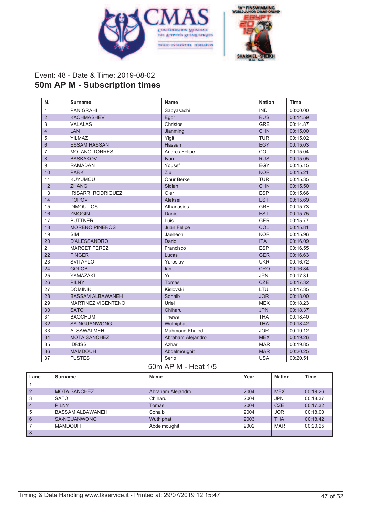



# Event: 48 - Date & Time: 2019-08-02 **50m AP M - Subscription times**

| N.             | <b>Surname</b>            | <b>Name</b>           | <b>Nation</b> | <b>Time</b> |
|----------------|---------------------------|-----------------------|---------------|-------------|
| $\mathbf{1}$   | <b>PANIGRAHI</b>          | Sabyasachi            | <b>IND</b>    | 00:00.00    |
| $\overline{2}$ | <b>KACHMASHEV</b>         | Egor                  | <b>RUS</b>    | 00:14.59    |
| 3              | <b>VALALAS</b>            | Christos              | <b>GRE</b>    | 00:14.87    |
| $\overline{4}$ | LAN                       | Jianming              | <b>CHN</b>    | 00:15.00    |
| 5              | <b>YILMAZ</b>             | Yigit                 | <b>TUR</b>    | 00:15.02    |
| 6              | <b>ESSAM HASSAN</b>       | Hassan                | <b>EGY</b>    | 00:15.03    |
| $\overline{7}$ | <b>MOLANO TORRES</b>      | Andres Felipe         | COL           | 00:15.04    |
| 8              | <b>BASKAKOV</b>           | Ivan                  | <b>RUS</b>    | 00:15.05    |
| 9              | <b>RAMADAN</b>            | Yousef                | EGY           | 00:15.15    |
| 10             | <b>PARK</b>               | Ziu                   | <b>KOR</b>    | 00:15.21    |
| 11             | <b>KUYUMCU</b>            | Onur Berke            | <b>TUR</b>    | 00:15.35    |
| 12             | <b>ZHANG</b>              | Sigian                | <b>CHN</b>    | 00:15.50    |
| 13             | <b>IRISARRI RODRIGUEZ</b> | Oier                  | <b>ESP</b>    | 00:15.66    |
| 14             | <b>POPOV</b>              | Aleksei               | <b>EST</b>    | 00:15.69    |
| 15             | <b>DIMOULIOS</b>          | Athanasios            | <b>GRE</b>    | 00:15.73    |
| 16             | <b>ZMOGIN</b>             | Daniel                | <b>EST</b>    | 00:15.75    |
| 17             | <b>BUTTNER</b>            | Luis                  | <b>GER</b>    | 00:15.77    |
| 18             | <b>MORENO PINEROS</b>     | Juan Felipe           | COL           | 00:15.81    |
| 19             | <b>SIM</b>                | Jaeheon               | <b>KOR</b>    | 00:15.96    |
| 20             | <b>D'ALESSANDRO</b>       | Dario                 | <b>ITA</b>    | 00:16.09    |
| 21             | <b>MARCET PEREZ</b>       | Francisco             | <b>ESP</b>    | 00:16.55    |
| 22             | <b>FINGER</b>             | Lucas                 | <b>GER</b>    | 00:16.63    |
| 23             | <b>SVITAYLO</b>           | Yaroslav              | <b>UKR</b>    | 00:16.72    |
| 24             | <b>GOLOB</b>              | lan                   | <b>CRO</b>    | 00:16.84    |
| 25             | YAMAZAKI                  | Yu                    | <b>JPN</b>    | 00:17.31    |
| 26             | <b>PILNY</b>              | <b>Tomas</b>          | <b>CZE</b>    | 00:17.32    |
| 27             | <b>DOMINIK</b>            | Kislovski             | LTU           | 00:17.35    |
| 28             | <b>BASSAM ALBAWANEH</b>   | Sohaib                | <b>JOR</b>    | 00:18.00    |
| 29             | MARTINEZ VICENTENO        | Uriel                 | <b>MEX</b>    | 00:18.23    |
| 30             | <b>SATO</b>               | Chiharu               | <b>JPN</b>    | 00:18.37    |
| 31             | <b>BAOCHUM</b>            | Thewa                 | <b>THA</b>    | 00:18.40    |
| 32             | SA-NGUANWONG              | Wuthiphat             | <b>THA</b>    | 00:18.42    |
| 33             | <b>ALSAWALMEH</b>         | <b>Mahmoud Khaled</b> | <b>JOR</b>    | 00:19.12    |
| 34             | <b>MOTA SANCHEZ</b>       | Abraham Alejandro     | <b>MEX</b>    | 00:19.26    |
| 35             | <b>IDRISS</b>             | Azhar                 | <b>MAR</b>    | 00:19.85    |
| 36             | <b>MAMDOUH</b>            | Abdelmoughit          | <b>MAR</b>    | 00:20.25    |
| 37             | <b>FUSTES</b>             | Serio                 | <b>USA</b>    | 00:20.51    |

# 50m AP M - Heat 1/5

| Lane           | Surname                 | Name              | Year | <b>Nation</b> | <b>Time</b> |
|----------------|-------------------------|-------------------|------|---------------|-------------|
|                |                         |                   |      |               |             |
| $\overline{2}$ | <b>MOTA SANCHEZ</b>     | Abraham Alejandro | 2004 | <b>MEX</b>    | 00:19.26    |
| 3              | SATO                    | Chiharu           | 2004 | <b>JPN</b>    | 00:18.37    |
| $\overline{4}$ | <b>PILNY</b>            | Tomas             | 2004 | <b>CZE</b>    | 00:17.32    |
| 5              | <b>BASSAM ALBAWANEH</b> | Sohaib            | 2004 | <b>JOR</b>    | 00:18.00    |
| 6              | <b>SA-NGUANWONG</b>     | Wuthiphat         | 2003 | <b>THA</b>    | 00:18.42    |
|                | MAMDOUH                 | Abdelmoughit      | 2002 | <b>MAR</b>    | 00:20.25    |
| 8              |                         |                   |      |               |             |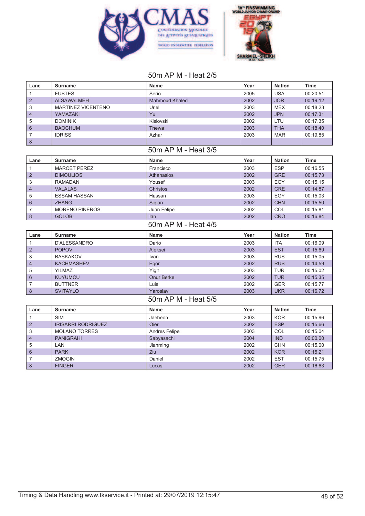



### 50m AP M - Heat 2/5

| Lane           | <b>Surname</b>            | Name                  | Year | <b>Nation</b> | Time        |
|----------------|---------------------------|-----------------------|------|---------------|-------------|
| $\mathbf{1}$   | <b>FUSTES</b>             | Serio                 | 2005 | <b>USA</b>    | 00:20.51    |
| $\overline{2}$ | <b>ALSAWALMEH</b>         | <b>Mahmoud Khaled</b> | 2002 | <b>JOR</b>    | 00:19.12    |
| 3              | <b>MARTINEZ VICENTENO</b> | Uriel                 | 2003 | <b>MEX</b>    | 00:18.23    |
| $\overline{4}$ | YAMAZAKI                  | Yu                    | 2002 | <b>JPN</b>    | 00:17.31    |
| 5              | <b>DOMINIK</b>            | Kislovski             | 2002 | LTU           | 00:17.35    |
| 6              | <b>BAOCHUM</b>            | Thewa                 | 2003 | <b>THA</b>    | 00:18.40    |
| 7              | <b>IDRISS</b>             | Azhar                 | 2003 | <b>MAR</b>    | 00:19.85    |
| $\delta$       |                           |                       |      |               |             |
|                |                           | 50m AP M - Heat 3/5   |      |               |             |
| Lane           | <b>Surname</b>            | <b>Name</b>           | Year | <b>Nation</b> | <b>Time</b> |
| $\mathbf{1}$   | <b>MARCET PEREZ</b>       | Francisco             | 2003 | <b>ESP</b>    | 00:16.55    |
| $\overline{2}$ | <b>DIMOULIOS</b>          | Athanasios            | 2002 | <b>GRE</b>    | 00:15.73    |
| 3              | <b>RAMADAN</b>            | Yousef                | 2003 | EGY           | 00:15.15    |
| $\overline{4}$ | <b>VALALAS</b>            | Christos              | 2002 | <b>GRE</b>    | 00:14.87    |
| 5              | <b>ESSAM HASSAN</b>       | Hassan                | 2003 | <b>EGY</b>    | 00:15.03    |
| 6              | <b>ZHANG</b>              | Sigian                | 2002 | <b>CHN</b>    | 00:15.50    |
| 7              | <b>MORENO PINEROS</b>     | Juan Felipe           | 2002 | COL           | 00:15.81    |
| $\delta$       | <b>GOLOB</b>              | lan                   | 2002 | <b>CRO</b>    | 00:16.84    |
|                |                           | 50m AP M - Heat 4/5   |      |               |             |
| Lane           | <b>Surname</b>            | <b>Name</b>           | Year | <b>Nation</b> | <b>Time</b> |
| $\mathbf{1}$   | <b>D'ALESSANDRO</b>       | Dario                 | 2003 | <b>ITA</b>    | 00:16.09    |
| 2              | <b>POPOV</b>              | Aleksei               | 2003 | <b>EST</b>    | 00:15.69    |
| 3              | <b>BASKAKOV</b>           | Ivan                  | 2003 | <b>RUS</b>    | 00:15.05    |
| $\overline{4}$ | <b>KACHMASHEV</b>         | Egor                  | 2002 | <b>RUS</b>    | 00:14.59    |
| 5              | <b>YILMAZ</b>             | Yigit                 | 2003 | <b>TUR</b>    | 00:15.02    |
| 6              | <b>KUYUMCU</b>            | <b>Onur Berke</b>     | 2002 | <b>TUR</b>    | 00:15.35    |
| $\overline{7}$ | <b>BUTTNER</b>            | Luis                  | 2002 | <b>GER</b>    | 00:15.77    |
| 8              | <b>SVITAYLO</b>           | Yaroslav              | 2003 | <b>UKR</b>    | 00:16.72    |
|                |                           | 50m AP M - Heat 5/5   |      |               |             |
| Lane           | <b>Surname</b>            | <b>Name</b>           | Year | <b>Nation</b> | <b>Time</b> |
| $\mathbf{1}$   | <b>SIM</b>                | Jaeheon               | 2003 | <b>KOR</b>    | 00:15.96    |
| $\overline{2}$ | <b>IRISARRI RODRIGUEZ</b> | Oier                  | 2002 | <b>ESP</b>    | 00:15.66    |
| 3              | <b>MOLANO TORRES</b>      | Andres Felipe         | 2003 | COL           | 00:15.04    |
| $\overline{4}$ | <b>PANIGRAHI</b>          | Sabyasachi            | 2004 | <b>IND</b>    | 00:00.00    |
| 5              | LAN                       | Jianming              | 2002 | <b>CHN</b>    | 00:15.00    |
| 6              | <b>PARK</b>               | Ziu                   | 2002 | <b>KOR</b>    | 00:15.21    |
| $\overline{7}$ | <b>ZMOGIN</b>             | Daniel                | 2002 | <b>EST</b>    | 00:15.75    |
| 8              | <b>FINGER</b>             | Lucas                 | 2002 | <b>GER</b>    | 00:16.63    |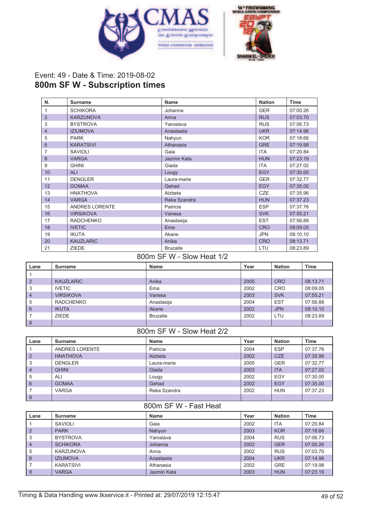



### Event: 49 - Date & Time: 2019-08-02 **800m SF W - Subscription times**

| N.             | <b>Surname</b>        | <b>Name</b>     | <b>Nation</b> | <b>Time</b> |
|----------------|-----------------------|-----------------|---------------|-------------|
| 1              | <b>SCHIKORA</b>       | Johanna         | <b>GER</b>    | 07:00.26    |
| $\overline{2}$ | <b>KARZUNOVA</b>      | Anna            | <b>RUS</b>    | 07:03.70    |
| 3              | <b>BYSTROVA</b>       | Yaroslava       | <b>RUS</b>    | 07:06.73    |
| $\overline{4}$ | <b>IZIUMOVA</b>       | Anastasiia      | <b>UKR</b>    | 07:14.96    |
| 5              | <b>PARK</b>           | Nahyun          | <b>KOR</b>    | 07:18.66    |
| 6              | <b>KARATSIVI</b>      | Athanasia       | <b>GRE</b>    | 07:19.98    |
| 7              | <b>SAVIOLI</b>        | Gaia            | <b>ITA</b>    | 07:20.84    |
| 8              | <b>VARGA</b>          | Jazmin Kata     | <b>HUN</b>    | 07:23.19    |
| 9              | <b>GHINI</b>          | Giada           | <b>ITA</b>    | 07:27.02    |
| 10             | <b>ALI</b>            | Lougy           | <b>EGY</b>    | 07:30.00    |
| 11             | <b>DENGLER</b>        | Laura-marie     | <b>GER</b>    | 07:32.77    |
| 12             | <b>GOMAA</b>          | Gehad           | <b>EGY</b>    | 07:35.00    |
| 13             | <b>HNATHOVA</b>       | Alzbeta         | <b>CZE</b>    | 07:35.96    |
| 14             | <b>VARGA</b>          | Reka Szandra    | <b>HUN</b>    | 07:37.23    |
| 15             | <b>ANDRES LORENTE</b> | Patricia        | <b>ESP</b>    | 07:37.76    |
| 16             | <b>VIRSIKOVA</b>      | Vanesa          | <b>SVK</b>    | 07:55.21    |
| 17             | <b>RADCHENKO</b>      | Anastasija      | <b>EST</b>    | 07:56.88    |
| 18             | <b>IVETIC</b>         | Ema             | <b>CRO</b>    | 08:09.05    |
| 19             | <b>IKUTA</b>          | Akane           | <b>JPN</b>    | 08:10.10    |
| 20             | <b>KAUZLARIC</b>      | Anika           | <b>CRO</b>    | 08:13.71    |
| 21             | <b>ZIEDE</b>          | <b>Bruzaite</b> | LTU           | 08:23.89    |

800m SF W - Slow Heat 1/2

| Lane           | Surname          | <b>Name</b>     | Year | <b>Nation</b> | <b>Time</b> |
|----------------|------------------|-----------------|------|---------------|-------------|
|                |                  |                 |      |               |             |
| $\overline{2}$ | <b>KAUZLARIC</b> | Anika           | 2005 | <b>CRO</b>    | 08:13.71    |
| 3              | <b>IVETIC</b>    | Ema             | 2002 | <b>CRO</b>    | 08:09.05    |
| $\overline{4}$ | <b>VIRSIKOVA</b> | Vanesa          | 2003 | <b>SVK</b>    | 07:55.21    |
| 5              | <b>RADCHENKO</b> | Anastasija      | 2004 | <b>EST</b>    | 07:56.88    |
| 6              | <b>IKUTA</b>     | Akane           | 2002 | <b>JPN</b>    | 08:10.10    |
|                | <b>ZIEDE</b>     | <b>Bruzaite</b> | 2002 | LTU           | 08:23.89    |
| 8              |                  |                 |      |               |             |

#### 800m SF W - Slow Heat 2/2

| Lane           | Surname         | Name         | Year | <b>Nation</b> | Time     |
|----------------|-----------------|--------------|------|---------------|----------|
|                | ANDRES LORENTE  | Patricia     | 2004 | <b>ESP</b>    | 07:37.76 |
| $\overline{2}$ | <b>HNATHOVA</b> | Alzbeta      | 2002 | CZE           | 07:35.96 |
| 3              | <b>DENGLER</b>  | Laura-marie  | 2005 | <b>GER</b>    | 07:32.77 |
| $\overline{4}$ | <b>GHINI</b>    | Giada        | 2003 | <b>ITA</b>    | 07:27.02 |
| 5              | ALI             | Lougy        | 2002 | EGY           | 07:30.00 |
| 6              | <b>GOMAA</b>    | Gehad        | 2002 | <b>EGY</b>    | 07:35.00 |
|                | <b>VARGA</b>    | Reka Szandra | 2002 | <b>HUN</b>    | 07:37.23 |
| 8              |                 |              |      |               |          |

#### 800m SF W - Fast Heat

| Lane           | Surname         | <b>Name</b> | Year | <b>Nation</b> | <b>Time</b> |
|----------------|-----------------|-------------|------|---------------|-------------|
|                | SAVIOLI         | Gaia        | 2002 | <b>ITA</b>    | 07:20.84    |
| $\overline{2}$ | <b>PARK</b>     | Nahyun      | 2003 | <b>KOR</b>    | 07:18.66    |
| 3              | <b>BYSTROVA</b> | Yaroslava   | 2004 | <b>RUS</b>    | 07:06.73    |
| $\overline{4}$ | <b>SCHIKORA</b> | Johanna     | 2002 | <b>GER</b>    | 07:00.26    |
| 5              | KARZUNOVA       | Anna        | 2002 | <b>RUS</b>    | 07:03.70    |
| 6              | <b>IZIUMOVA</b> | Anastasija  | 2004 | <b>UKR</b>    | 07:14.96    |
|                | KARATSIVI       | Athanasia   | 2002 | <b>GRE</b>    | 07:19.98    |
| 8              | <b>VARGA</b>    | Jazmin Kata | 2003 | <b>HUN</b>    | 07:23.19    |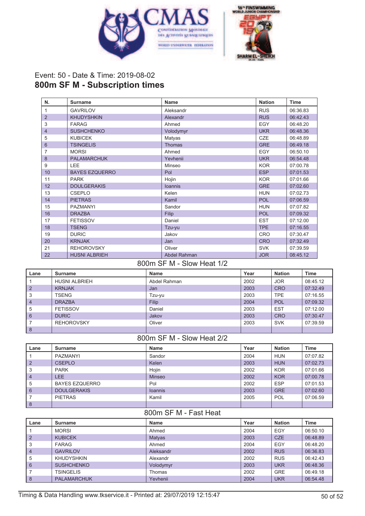



# Event: 50 - Date & Time: 2019-08-02 **800m SF M - Subscription times**

| N.             | <b>Surname</b>        | <b>Name</b>    | <b>Nation</b> | <b>Time</b> |
|----------------|-----------------------|----------------|---------------|-------------|
| 1              | <b>GAVRILOV</b>       | Aleksandr      | <b>RUS</b>    | 06:36.83    |
| $\overline{2}$ | <b>KHUDYSHKIN</b>     | Alexandr       | <b>RUS</b>    | 06:42.43    |
| 3              | <b>FARAG</b>          | Ahmed          | <b>EGY</b>    | 06:48.20    |
| 4              | <b>SUSHCHENKO</b>     | Volodymyr      | <b>UKR</b>    | 06:48.36    |
| 5              | <b>KUBICEK</b>        | Matyas         | <b>CZE</b>    | 06:48.89    |
| 6              | <b>TSINGELIS</b>      | <b>Thomas</b>  | <b>GRE</b>    | 06:49.18    |
| 7              | <b>MORSI</b>          | Ahmed          | EGY           | 06:50.10    |
| 8              | <b>PALAMARCHUK</b>    | Yevhenii       | <b>UKR</b>    | 06:54.48    |
| 9              | LEE                   | Minseo         | <b>KOR</b>    | 07:00.78    |
| 10             | <b>BAYES EZQUERRO</b> | Pol            | <b>ESP</b>    | 07:01.53    |
| 11             | <b>PARK</b>           | Hojin          | <b>KOR</b>    | 07:01.66    |
| 12             | <b>DOULGERAKIS</b>    | <b>loannis</b> | <b>GRE</b>    | 07:02.60    |
| 13             | <b>CSEPLO</b>         | Kelen          | <b>HUN</b>    | 07:02.73    |
| 14             | <b>PIETRAS</b>        | Kamil          | <b>POL</b>    | 07:06.59    |
| 15             | <b>PAZMANYI</b>       | Sandor         | <b>HUN</b>    | 07:07.82    |
| 16             | <b>DRAZBA</b>         | <b>Filip</b>   | <b>POL</b>    | 07:09.32    |
| 17             | <b>FETISSOV</b>       | Daniel         | <b>EST</b>    | 07:12.00    |
| 18             | <b>TSENG</b>          | Tzu-yu         | <b>TPE</b>    | 07:16.55    |
| 19             | <b>DURIC</b>          | Jakov          | <b>CRO</b>    | 07:30.47    |
| 20             | <b>KRNJAK</b>         | Jan            | <b>CRO</b>    | 07:32.49    |
| 21             | <b>REHOROVSKY</b>     | Oliver         | <b>SVK</b>    | 07:39.59    |
| 22             | <b>HUSNI ALBRIEH</b>  | Abdel Rahman   | <b>JOR</b>    | 08:45.12    |

#### 800m SF M - Slow Heat 1/2

| Lane           | Surname              | <b>Name</b>  | Year | <b>Nation</b> | <b>Time</b> |
|----------------|----------------------|--------------|------|---------------|-------------|
|                | <b>HUSNI ALBRIEH</b> | Abdel Rahman | 2002 | <b>JOR</b>    | 08:45.12    |
| $\overline{2}$ | <b>KRNJAK</b>        | Jan          | 2003 | <b>CRO</b>    | 07:32.49    |
| 3              | <b>TSENG</b>         | Tzu-yu       | 2003 | <b>TPE</b>    | 07:16.55    |
| $\overline{4}$ | <b>DRAZBA</b>        | Filip        | 2004 | <b>POL</b>    | 07:09.32    |
| 5              | <b>FETISSOV</b>      | Daniel       | 2003 | <b>EST</b>    | 07:12.00    |
| 6              | <b>DURIC</b>         | Jakov        | 2003 | <b>CRO</b>    | 07:30.47    |
|                | <b>REHOROVSKY</b>    | Oliver       | 2003 | <b>SVK</b>    | 07:39.59    |
| 8              |                      |              |      |               |             |

### 800m SF M - Slow Heat 2/2

| Lane           | Surname               | <b>Name</b>    | Year | <b>Nation</b> | Time     |
|----------------|-----------------------|----------------|------|---------------|----------|
|                | PAZMANYI              | Sandor         | 2004 | <b>HUN</b>    | 07:07.82 |
| $\overline{2}$ | <b>CSEPLO</b>         | Kelen          | 2003 | <b>HUN</b>    | 07:02.73 |
| 3              | <b>PARK</b>           | Hojin          | 2002 | <b>KOR</b>    | 07:01.66 |
| $\overline{4}$ | <b>LEE</b>            | <b>Minseo</b>  | 2002 | <b>KOR</b>    | 07:00.78 |
| 5              | <b>BAYES EZQUERRO</b> | Pol            | 2002 | <b>ESP</b>    | 07:01.53 |
| 6              | <b>DOULGERAKIS</b>    | <b>Ioannis</b> | 2003 | <b>GRE</b>    | 07:02.60 |
|                | <b>PIETRAS</b>        | Kamil          | 2005 | <b>POL</b>    | 07:06.59 |
| 8              |                       |                |      |               |          |

#### 800m SF M - Fast Heat

| Lane           | Surname            | Name      | Year | <b>Nation</b> | Time     |
|----------------|--------------------|-----------|------|---------------|----------|
|                | <b>MORSI</b>       | Ahmed     | 2004 | EGY           | 06:50.10 |
| $\overline{2}$ | <b>KUBICEK</b>     | Matyas    | 2003 | <b>CZE</b>    | 06:48.89 |
| 3              | <b>FARAG</b>       | Ahmed     | 2004 | EGY           | 06:48.20 |
| $\overline{4}$ | <b>GAVRILOV</b>    | Aleksandr | 2002 | <b>RUS</b>    | 06:36.83 |
| 5              | <b>KHUDYSHKIN</b>  | Alexandr  | 2002 | <b>RUS</b>    | 06:42.43 |
| 6              | <b>SUSHCHENKO</b>  | Volodymyr | 2003 | <b>UKR</b>    | 06:48.36 |
|                | <b>TSINGELIS</b>   | Thomas    | 2002 | <b>GRE</b>    | 06:49.18 |
| 8              | <b>PALAMARCHUK</b> | Yevhenii  | 2004 | <b>UKR</b>    | 06:54.48 |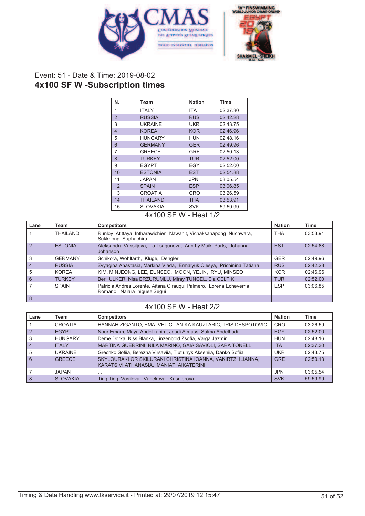



### Event: 51 - Date & Time: 2019-08-02 **4x100 SF W -Subscription times**

| N.                      | Team            | <b>Nation</b> | Time     |
|-------------------------|-----------------|---------------|----------|
| 1                       | <b>ITALY</b>    | ITA.          | 02:37.30 |
| $\overline{2}$          | <b>RUSSIA</b>   | <b>RUS</b>    | 02:42.28 |
| 3                       | <b>UKRAINE</b>  | UKR           | 02:43.75 |
| $\overline{\mathbf{4}}$ | <b>KOREA</b>    | <b>KOR</b>    | 02:46.96 |
| 5                       | <b>HUNGARY</b>  | HUN           | 02:48.16 |
| 6                       | <b>GERMANY</b>  | <b>GER</b>    | 02:49.96 |
| 7                       | <b>GREECE</b>   | <b>GRE</b>    | 02:50.13 |
| 8                       | <b>TURKEY</b>   | <b>TUR</b>    | 02:52.00 |
| 9                       | <b>EGYPT</b>    | EGY           | 02:52.00 |
| 10                      | <b>ESTONIA</b>  | <b>EST</b>    | 02:54.88 |
| 11                      | <b>JAPAN</b>    | JPN           | 03:05.54 |
| 12                      | <b>SPAIN</b>    | <b>ESP</b>    | 03:06.85 |
| 13                      | <b>CROATIA</b>  | CRO           | 03:26.59 |
| 14                      | <b>THAILAND</b> | <b>THA</b>    | 03:53.91 |
| 15                      | <b>SLOVAKIA</b> | <b>SVK</b>    | 59:59.99 |

#### 4x100 SF W - Heat 1/2

| Lane           | Team           | <b>Competitors</b>                                                                                  | <b>Nation</b> | Time     |
|----------------|----------------|-----------------------------------------------------------------------------------------------------|---------------|----------|
|                | THAILAND       | Runloy Atittaya, Intharawichien Nawanit, Vichaksanapong Nuchwara,<br>Sukkhong Suphachira            | <b>THA</b>    | 03:53.91 |
| $\mathcal{P}$  | <b>ESTONIA</b> | Aleksandra Vassiljeva, Lia Tsagunova, Ann Ly Maiki Parts, Johanna<br>Johanson                       | <b>EST</b>    | 02:54.88 |
| 3              | <b>GERMANY</b> | Schikora, Wohlfarth, Kluge, Dengler                                                                 | <b>GER</b>    | 02:49.96 |
| $\overline{4}$ | <b>RUSSIA</b>  | Zvyagina Anastasia, Markina Vlada, Ermalyuk Olesya, Prichinina Tatiana                              | <b>RUS</b>    | 02:42.28 |
| 5              | <b>KORFA</b>   | KIM, MINJEONG, LEE, EUNSEO, MOON, YEJIN, RYU, MINSEO                                                | <b>KOR</b>    | 02:46.96 |
| 6              | <b>TURKEY</b>  | Beril ULKER, Nisa ERZURUMLU, Miray TUNCEL, Ela CELTIK                                               | <b>TUR</b>    | 02:52.00 |
|                | <b>SPAIN</b>   | Patricia Andres Lorente, Aitana Cirauqui Palmero, Lorena Echeverria<br>Romano, Naiara Iniquez Sequi | <b>ESP</b>    | 03:06.85 |
| 8              |                |                                                                                                     |               |          |

# 4x100 SF W - Heat 2/2

| Lane           | Team            | <b>Competitors</b>                                                                                     | <b>Nation</b> | <b>Time</b> |
|----------------|-----------------|--------------------------------------------------------------------------------------------------------|---------------|-------------|
|                | <b>CROATIA</b>  | HANNAH ZIGANTO, EMA IVETIC, ANIKA KAUZLARIC, IRIS DESPOTOVIC                                           | CRO           | 03:26.59    |
| $\overline{2}$ | <b>EGYPT</b>    | Nour Emam, Maya Abdel-rahim, Joudi Almass, Salma Abdelhadi                                             | EGY           | 02:52.00    |
| 3              | <b>HUNGARY</b>  | Deme Dorka, Kiss Blanka, Linzenbold Zsofia, Varga Jazmin                                               | <b>HUN</b>    | 02:48.16    |
| $\overline{4}$ | <b>ITALY</b>    | MARTINA GUERRINI, NILA MARINO, GAIA SAVIOLI, SARA TONELLI                                              | <b>ITA</b>    | 02:37.30    |
| 5              | <b>UKRAINE</b>  | Grechko Sofiia, Berezna Virsaviia, Tiutiunyk Akseniia, Danko Sofiia                                    | <b>UKR</b>    | 02:43.75    |
| 6              | <b>GREECE</b>   | SKYLOURAKI OR SKILURAKI CHRISTINA IOANNA, VAKIRTZI ILIANNA,<br>KARATSIVI ATHANASIA, MANIATI AIKATERINI | <b>GRE</b>    | 02:50.13    |
|                | <b>JAPAN</b>    | , , ,                                                                                                  | <b>JPN</b>    | 03:05.54    |
| 8              | <b>SLOVAKIA</b> | Ting Ting, Vasilova, Vanekova, Kusnierova                                                              | <b>SVK</b>    | 59:59.99    |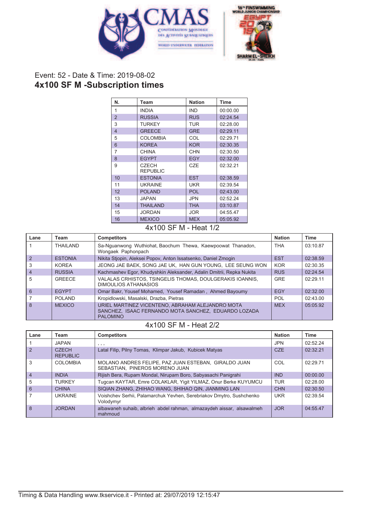



# Event: 52 - Date & Time: 2019-08-02 **4x100 SF M -Subscription times**

| N.             | Team                            | <b>Nation</b> | <b>Time</b> |
|----------------|---------------------------------|---------------|-------------|
| 1              | <b>INDIA</b>                    | <b>IND</b>    | 00:00.00    |
| $\overline{2}$ | <b>RUSSIA</b>                   | <b>RUS</b>    | 02:24.54    |
| 3              | <b>TURKEY</b>                   | TUR           | 02:28.00    |
| $\overline{4}$ | <b>GREECE</b>                   | <b>GRE</b>    | 02:29.11    |
| 5              | <b>COLOMBIA</b>                 | COL           | 02:29.71    |
| 6              | <b>KOREA</b>                    | <b>KOR</b>    | 02:30.35    |
| 7              | <b>CHINA</b>                    | <b>CHN</b>    | 02:30.50    |
| 8              | <b>EGYPT</b>                    | <b>EGY</b>    | 02:32.00    |
| 9              | <b>CZECH</b><br><b>REPUBLIC</b> | CZE           | 02:32.21    |
| 10             | <b>ESTONIA</b>                  | <b>EST</b>    | 02:38.59    |
| 11             | <b>UKRAINE</b>                  | UKR           | 02:39.54    |
| 12             | <b>POLAND</b>                   | <b>POL</b>    | 02:43.00    |
| 13             | <b>JAPAN</b>                    | <b>JPN</b>    | 02:52.24    |
| 14             | <b>THAILAND</b>                 | <b>THA</b>    | 03:10.87    |
| 15             | <b>JORDAN</b>                   | <b>JOR</b>    | 04:55.47    |
| 16             | <b>MEXICO</b>                   | <b>MEX</b>    | 05:05.92    |

#### 4x100 SF M - Heat 1/2

| Lane           | Team            | <b>Competitors</b>                                                                                                          | <b>Nation</b> | <b>Time</b> |
|----------------|-----------------|-----------------------------------------------------------------------------------------------------------------------------|---------------|-------------|
|                | <b>THAILAND</b> | Sa-Nguanwong Wuthiohat, Baochum Thewa, Kaewpoowat Thanadon,<br>Wongaek Paphonpach                                           | <b>THA</b>    | 03:10.87    |
| $\overline{2}$ | <b>ESTONIA</b>  | Nikita Stjopin, Aleksei Popov, Anton Issatsenko, Daniel Zmogin                                                              | <b>EST</b>    | 02:38.59    |
| 3              | <b>KOREA</b>    | JEONG JAE BAEK, SONG JAE UK, HAN GUN YOUNG, LEE SEUNG WON                                                                   | <b>KOR</b>    | 02:30.35    |
| $\overline{4}$ | <b>RUSSIA</b>   | Kachmashev Egor, Khudyshkin Aleksander, Adalin Dmitrii, Repka Nukita                                                        | <b>RUS</b>    | 02:24.54    |
| 5              | GREECE          | VALALAS CRHISTOS, TSINGELIS THOMAS, DOULGERAKIS IOANNIS,<br>DIMOULIOS ATHANASIOS                                            | <b>GRE</b>    | 02:29.11    |
| 6              | <b>EGYPT</b>    | Omar Bakr, Yousef Mohamed, Yousef Ramadan, Ahmed Bayoumy                                                                    | EGY           | 02:32.00    |
|                | <b>POLAND</b>   | Kropidlowski, Masalski, Drazba, Pietras                                                                                     | <b>POL</b>    | 02:43.00    |
| $\mathcal{B}$  | <b>MEXICO</b>   | URIEL MARTINEZ VICENTENO, ABRAHAM ALEJANDRO MOTA<br>SANCHEZ, ISAAC FERNANDO MOTA SANCHEZ, EDUARDO LOZADA<br><b>PALOMINO</b> | <b>MEX</b>    | 05:05.92    |

#### 4x100 SF M - Heat 2/2

| Lane           | Team                            | <b>Competitors</b>                                                                     | <b>Nation</b> | Time     |
|----------------|---------------------------------|----------------------------------------------------------------------------------------|---------------|----------|
|                | JAPAN.                          | , , ,                                                                                  | <b>JPN</b>    | 02.5224  |
| $\mathcal{P}$  | <b>CZECH</b><br><b>REPUBLIC</b> | Latal Filip, Pilny Tomas, Klimpar Jakub, Kubicek Matyas                                | <b>CZE</b>    | 02:32.21 |
| 3              | <b>COLOMBIA</b>                 | MOLANO ANDRES FELIPE, PAZ JUAN ESTEBAN, GIRALDO JUAN<br>SEBASTIAN, PINEROS MORENO JUAN | COL           | 02.2971  |
| $\overline{4}$ | <b>INDIA</b>                    | Rijish Bera, Rupam Mondal, Nirupam Boro, Sabyasachi Panigrahi                          | <b>IND</b>    | 00:00.00 |
| 5              | <b>TURKEY</b>                   | Tugcan KAYTAR, Emre COLAKLAR, Yigit YILMAZ, Onur Berke KUYUMCU                         | <b>TUR</b>    | 02:28.00 |
| 6              | <b>CHINA</b>                    | SIQIAN ZHANG, ZHIHAO WANG, SHIHAO QIN, JIANMING LAN                                    | <b>CHN</b>    | 02:30.50 |
|                | <b>UKRAINE</b>                  | Voishchev Serhii, Palamarchuk Yevhen, Serebriakov Dmytro, Sushchenko<br>Volodymyr      | <b>UKR</b>    | 02:39.54 |
| l 8            | <b>JORDAN</b>                   | albawaneh suhaib, albrieh abdel rahman, almazaydeh aissar, alsawalmeh<br>mahmoud       | <b>JOR</b>    | 04:55.47 |